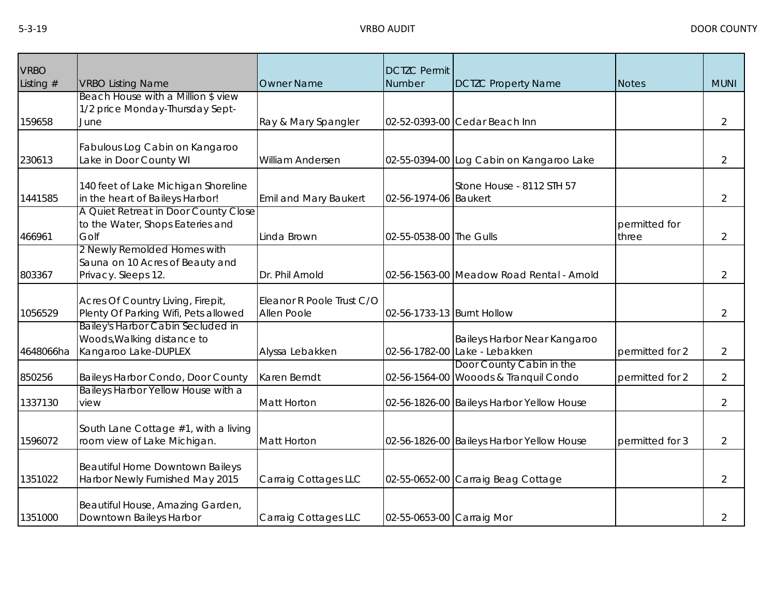| <b>VRBO</b><br>Listing $#$ | <b>VRBO Listing Name</b>                                                                | <b>Owner Name</b>                        | <b>DCTZC Permit</b><br>Number | <b>DCTZC Property Name</b>                                        | <b>Notes</b>           | <b>MUNI</b>    |
|----------------------------|-----------------------------------------------------------------------------------------|------------------------------------------|-------------------------------|-------------------------------------------------------------------|------------------------|----------------|
| 159658                     | Beach House with a Million \$ view<br>1/2 price Monday-Thursday Sept-<br>June           | Ray & Mary Spangler                      | 02-52-0393-00                 | Cedar Beach Inn                                                   |                        | $\overline{2}$ |
| 230613                     | Fabulous Log Cabin on Kangaroo<br>Lake in Door County WI                                | William Andersen                         |                               | 02-55-0394-00 Log Cabin on Kangaroo Lake                          |                        | $\overline{2}$ |
| 1441585                    | 140 feet of Lake Michigan Shoreline<br>in the heart of Baileys Harbor!                  | <b>Emil and Mary Baukert</b>             | 02-56-1974-06 Baukert         | Stone House - 8112 STH 57                                         |                        | $\overline{2}$ |
| 466961                     | A Quiet Retreat in Door County Close<br>to the Water, Shops Eateries and<br>Golf        | Linda Brown                              | 02-55-0538-00 The Gulls       |                                                                   | permitted for<br>three | $\overline{2}$ |
| 803367                     | 2 Newly Remolded Homes with<br>Sauna on 10 Acres of Beauty and<br>Privacy. Sleeps 12.   | Dr. Phil Arnold                          |                               | 02-56-1563-00 Meadow Road Rental - Arnold                         |                        | $\overline{2}$ |
| 1056529                    | Acres Of Country Living, Firepit,<br>Plenty Of Parking Wifi, Pets allowed               | Eleanor R Poole Trust C/O<br>Allen Poole | 02-56-1733-13 Burnt Hollow    |                                                                   |                        | $\overline{2}$ |
| 4648066ha                  | Bailey's Harbor Cabin Secluded in<br>Woods, Walking distance to<br>Kangaroo Lake-DUPLEX | Alyssa Lebakken                          |                               | Baileys Harbor Near Kangaroo<br>02-56-1782-00 Lake - Lebakken     | permitted for 2        | 2              |
| 850256                     | Baileys Harbor Condo, Door County                                                       | Karen Berndt                             |                               | Door County Cabin in the<br>02-56-1564-00 Wooods & Tranquil Condo | permitted for 2        | $\overline{2}$ |
| 1337130                    | Baileys Harbor Yellow House with a<br>view                                              | <b>Matt Horton</b>                       |                               | 02-56-1826-00 Baileys Harbor Yellow House                         |                        | $\overline{2}$ |
| 1596072                    | South Lane Cottage #1, with a living<br>room view of Lake Michigan.                     | <b>Matt Horton</b>                       |                               | 02-56-1826-00 Baileys Harbor Yellow House                         | permitted for 3        | $\overline{2}$ |
| 1351022                    | <b>Beautiful Home Downtown Baileys</b><br>Harbor Newly Furnished May 2015               | Carraig Cottages LLC                     |                               | 02-55-0652-00 Carraig Beag Cottage                                |                        | $\overline{2}$ |
| 1351000                    | Beautiful House, Amazing Garden,<br>Downtown Baileys Harbor                             | Carraig Cottages LLC                     | 02-55-0653-00 Carraig Mor     |                                                                   |                        | $\overline{2}$ |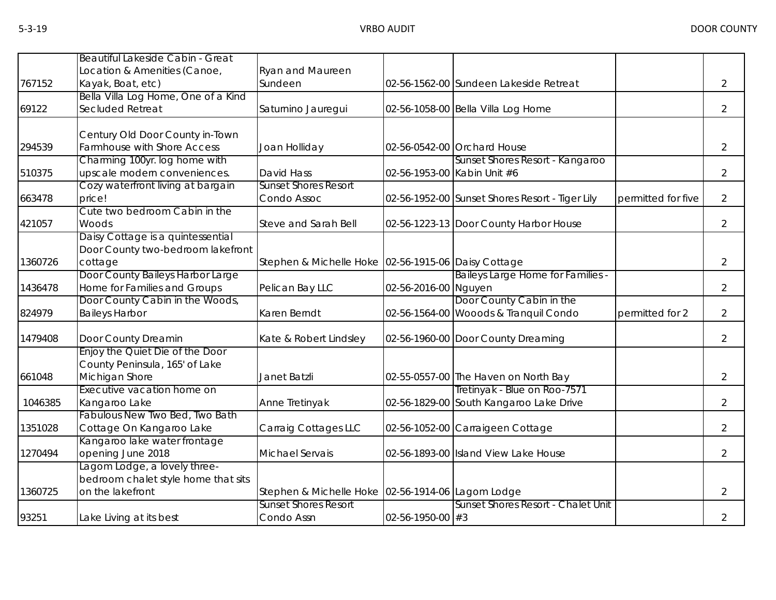|         | Beautiful Lakeside Cabin - Great<br>Location & Amenities (Canoe,                        | <b>Ryan and Maureen</b>                             |                             |                                                                         |                    |                |
|---------|-----------------------------------------------------------------------------------------|-----------------------------------------------------|-----------------------------|-------------------------------------------------------------------------|--------------------|----------------|
| 767152  | Kayak, Boat, etc)                                                                       | Sundeen                                             |                             | 02-56-1562-00 Sundeen Lakeside Retreat                                  |                    | $\overline{2}$ |
| 69122   | Bella Villa Log Home, One of a Kind<br>Secluded Retreat                                 | Saturnino Jauregui                                  |                             | 02-56-1058-00 Bella Villa Log Home                                      |                    | $\overline{2}$ |
| 294539  | Century Old Door County in-Town<br>Farmhouse with Shore Access                          | Joan Holliday                                       |                             | 02-56-0542-00 Orchard House                                             |                    | $\overline{2}$ |
| 510375  | Charming 100yr. log home with<br>upscale modern conveniences.                           | David Hass                                          | 02-56-1953-00 Kabin Unit #6 | Sunset Shores Resort - Kangaroo                                         |                    | $\overline{2}$ |
| 663478  | Cozy waterfront living at bargain<br>price!<br>Cute two bedroom Cabin in the            | <b>Sunset Shores Resort</b><br>Condo Assoc          |                             | 02-56-1952-00 Sunset Shores Resort - Tiger Lily                         | permitted for five | $\overline{2}$ |
| 421057  | Woods                                                                                   | <b>Steve and Sarah Bell</b>                         |                             | 02-56-1223-13 Door County Harbor House                                  |                    | $\overline{2}$ |
| 1360726 | Daisy Cottage is a quintessential<br>Door County two-bedroom lakefront<br>cottage       | Stephen & Michelle Hoke 02-56-1915-06 Daisy Cottage |                             |                                                                         |                    | $\overline{2}$ |
| 1436478 | Door County Baileys Harbor Large<br>Home for Families and Groups                        | Pelican Bay LLC                                     | 02-56-2016-00 Nguyen        | Baileys Large Home for Families -                                       |                    | $\overline{2}$ |
| 824979  | Door County Cabin in the Woods,<br><b>Baileys Harbor</b>                                | Karen Berndt                                        |                             | Door County Cabin in the<br>02-56-1564-00 Wooods & Tranquil Condo       | permitted for 2    | $\overline{2}$ |
| 1479408 | Door County Dreamin                                                                     | Kate & Robert Lindsley                              |                             | 02-56-1960-00 Door County Dreaming                                      |                    | $\overline{2}$ |
| 661048  | Enjoy the Quiet Die of the Door<br>County Peninsula, 165' of Lake<br>Michigan Shore     | Janet Batzli                                        |                             | 02-55-0557-00 The Haven on North Bay                                    |                    | $\overline{2}$ |
| 1046385 | Executive vacation home on<br>Kangaroo Lake                                             | Anne Tretinyak                                      |                             | Tretinyak - Blue on Roo-7571<br>02-56-1829-00 South Kangaroo Lake Drive |                    | $\overline{2}$ |
| 1351028 | Fabulous New Two Bed, Two Bath<br>Cottage On Kangaroo Lake                              | Carraig Cottages LLC                                |                             | 02-56-1052-00 Carraigeen Cottage                                        |                    | $\overline{2}$ |
| 1270494 | Kangaroo lake water frontage<br>opening June 2018                                       | Michael Servais                                     |                             | 02-56-1893-00 Island View Lake House                                    |                    | $\overline{2}$ |
| 1360725 | Lagom Lodge, a lovely three-<br>bedroom chalet style home that sits<br>on the lakefront | Stephen & Michelle Hoke 02-56-1914-06 Lagom Lodge   |                             |                                                                         |                    | $\overline{2}$ |
| 93251   | Lake Living at its best                                                                 | <b>Sunset Shores Resort</b><br>Condo Assn           | $02 - 56 - 1950 - 00$ #3    | Sunset Shores Resort - Chalet Unit                                      |                    | $\overline{2}$ |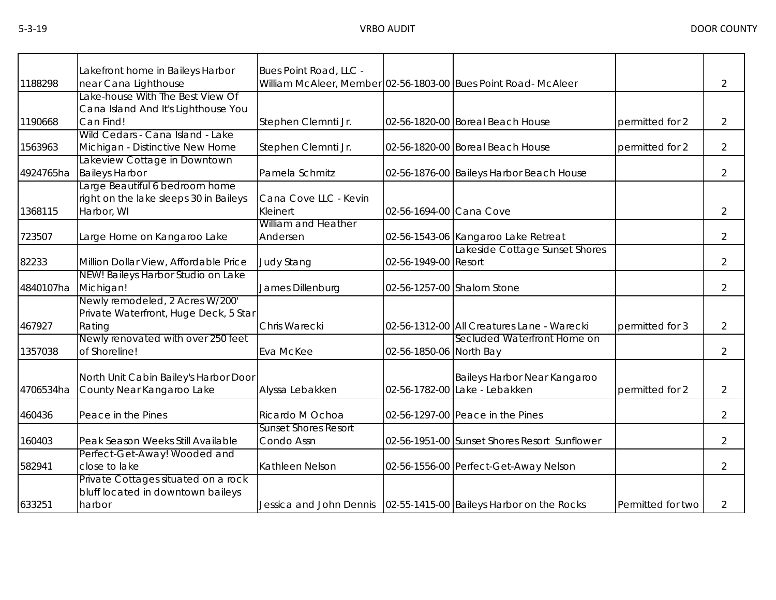|           | Lakefront home in Baileys Harbor       | Bues Point Road, LLC -      |                         |                                                                     |                   |                |
|-----------|----------------------------------------|-----------------------------|-------------------------|---------------------------------------------------------------------|-------------------|----------------|
| 1188298   | near Cana Lighthouse                   |                             |                         | William McAleer, Member 02-56-1803-00 Bues Point Road- McAleer      |                   | $\overline{2}$ |
|           | Lake-house With The Best View Of       |                             |                         |                                                                     |                   |                |
|           | Cana Island And It's Lighthouse You    |                             |                         |                                                                     |                   |                |
| 1190668   | Can Find!                              | Stephen Clemnti Jr.         |                         | 02-56-1820-00 Boreal Beach House                                    | permitted for 2   | $\overline{2}$ |
|           | Wild Cedars - Cana Island - Lake       |                             |                         |                                                                     |                   |                |
| 1563963   | Michigan - Distinctive New Home        | Stephen Clemnti Jr.         |                         | 02-56-1820-00 Boreal Beach House                                    | permitted for 2   | $\overline{2}$ |
|           | Lakeview Cottage in Downtown           |                             |                         |                                                                     |                   |                |
| 4924765ha | <b>Baileys Harbor</b>                  | Pamela Schmitz              |                         | 02-56-1876-00 Baileys Harbor Beach House                            |                   | $\overline{2}$ |
|           | Large Beautiful 6 bedroom home         |                             |                         |                                                                     |                   |                |
|           | right on the lake sleeps 30 in Baileys | Cana Cove LLC - Kevin       |                         |                                                                     |                   |                |
| 1368115   | Harbor, WI                             | Kleinert                    | 02-56-1694-00 Cana Cove |                                                                     |                   | $\overline{2}$ |
|           |                                        | <b>William and Heather</b>  |                         |                                                                     |                   |                |
| 723507    | Large Home on Kangaroo Lake            | Andersen                    |                         | 02-56-1543-06 Kangaroo Lake Retreat                                 |                   | $\overline{2}$ |
|           |                                        |                             |                         | Lakeside Cottage Sunset Shores                                      |                   |                |
| 82233     | Million Dollar View, Affordable Price  | <b>Judy Stang</b>           | 02-56-1949-00 Resort    |                                                                     |                   | $\overline{2}$ |
|           | NEW! Baileys Harbor Studio on Lake     |                             |                         |                                                                     |                   |                |
| 4840107ha | Michigan!                              | James Dillenburg            |                         | 02-56-1257-00 Shalom Stone                                          |                   | $\overline{2}$ |
|           | Newly remodeled, 2 Acres W/200'        |                             |                         |                                                                     |                   |                |
|           | Private Waterfront, Huge Deck, 5 Star  |                             |                         |                                                                     |                   |                |
| 467927    | Rating                                 | Chris Warecki               |                         | 02-56-1312-00 All Creatures Lane - Warecki                          | permitted for 3   | $\overline{2}$ |
|           | Newly renovated with over 250 feet     |                             |                         | Secluded Waterfront Home on                                         |                   |                |
| 1357038   | of Shoreline!                          | Eva McKee                   | 02-56-1850-06 North Bay |                                                                     |                   | $\overline{2}$ |
|           |                                        |                             |                         |                                                                     |                   |                |
|           | North Unit Cabin Bailey's Harbor Door  |                             |                         | Baileys Harbor Near Kangaroo                                        |                   |                |
| 4706534ha | County Near Kangaroo Lake              | Alyssa Lebakken             |                         | 02-56-1782-00 Lake - Lebakken                                       | permitted for 2   | $\overline{2}$ |
| 460436    | Peace in the Pines                     | Ricardo M Ochoa             |                         | 02-56-1297-00 Peace in the Pines                                    |                   | 2              |
|           |                                        | <b>Sunset Shores Resort</b> |                         |                                                                     |                   |                |
| 160403    | Peak Season Weeks Still Available      | Condo Assn                  |                         | 02-56-1951-00 Sunset Shores Resort Sunflower                        |                   | $\overline{2}$ |
|           | Perfect-Get-Away! Wooded and           |                             |                         |                                                                     |                   |                |
| 582941    | close to lake                          | Kathleen Nelson             |                         | 02-56-1556-00 Perfect-Get-Away Nelson                               |                   | $\overline{2}$ |
|           | Private Cottages situated on a rock    |                             |                         |                                                                     |                   |                |
|           | bluff located in downtown baileys      |                             |                         |                                                                     |                   |                |
| 633251    | harbor                                 |                             |                         | Jessica and John Dennis   02-55-1415-00 Baileys Harbor on the Rocks | Permitted for two | $\overline{2}$ |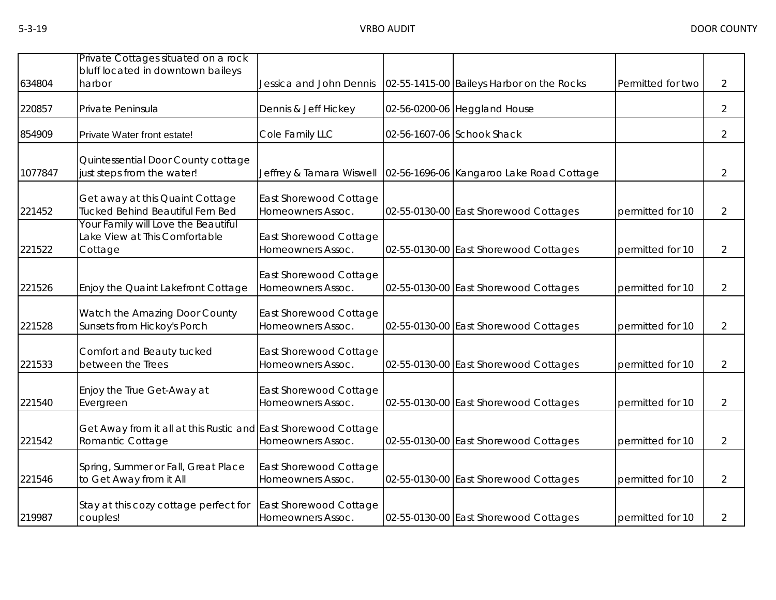| 634804  | Private Cottages situated on a rock<br>bluff located in downtown baileys<br>harbor | Jessica and John Dennis                     | 02-55-1415-00 Baileys Harbor on the Rocks | Permitted for two | $\overline{2}$ |
|---------|------------------------------------------------------------------------------------|---------------------------------------------|-------------------------------------------|-------------------|----------------|
| 220857  | Private Peninsula                                                                  | Dennis & Jeff Hickey                        | 02-56-0200-06 Heggland House              |                   | $\overline{2}$ |
| 854909  | Private Water front estate!                                                        | Cole Family LLC                             | 02-56-1607-06 Schook Shack                |                   | $\overline{2}$ |
| 1077847 | Quintessential Door County cottage<br>just steps from the water!                   | Jeffrey & Tamara Wiswell                    | 02-56-1696-06 Kangaroo Lake Road Cottage  |                   | $\overline{2}$ |
| 221452  | Get away at this Quaint Cottage<br>Tucked Behind Beautiful Fern Bed                | East Shorewood Cottage<br>Homeowners Assoc. | 02-55-0130-00 East Shorewood Cottages     | permitted for 10  | $\overline{2}$ |
| 221522  | Your Family will Love the Beautiful<br>Lake View at This Comfortable<br>Cottage    | East Shorewood Cottage<br>Homeowners Assoc. | 02-55-0130-00 East Shorewood Cottages     | permitted for 10  | 2              |
| 221526  | Enjoy the Quaint Lakefront Cottage                                                 | East Shorewood Cottage<br>Homeowners Assoc. | 02-55-0130-00 East Shorewood Cottages     | permitted for 10  | $\overline{2}$ |
| 221528  | Watch the Amazing Door County<br>Sunsets from Hickoy's Porch                       | East Shorewood Cottage<br>Homeowners Assoc. | 02-55-0130-00 East Shorewood Cottages     | permitted for 10  | 2              |
| 221533  | Comfort and Beauty tucked<br>between the Trees                                     | East Shorewood Cottage<br>Homeowners Assoc. | 02-55-0130-00 East Shorewood Cottages     | permitted for 10  | $\overline{2}$ |
| 221540  | Enjoy the True Get-Away at<br>Evergreen                                            | East Shorewood Cottage<br>Homeowners Assoc. | 02-55-0130-00 East Shorewood Cottages     | permitted for 10  | $\overline{2}$ |
| 221542  | Get Away from it all at this Rustic and East Shorewood Cottage<br>Romantic Cottage | Homeowners Assoc.                           | 02-55-0130-00 East Shorewood Cottages     | permitted for 10  | 2              |
| 221546  | Spring, Summer or Fall, Great Place<br>to Get Away from it All                     | East Shorewood Cottage<br>Homeowners Assoc. | 02-55-0130-00 East Shorewood Cottages     | permitted for 10  | $\overline{2}$ |
| 219987  | Stay at this cozy cottage perfect for<br>couples!                                  | East Shorewood Cottage<br>Homeowners Assoc. | 02-55-0130-00 East Shorewood Cottages     | permitted for 10  | 2              |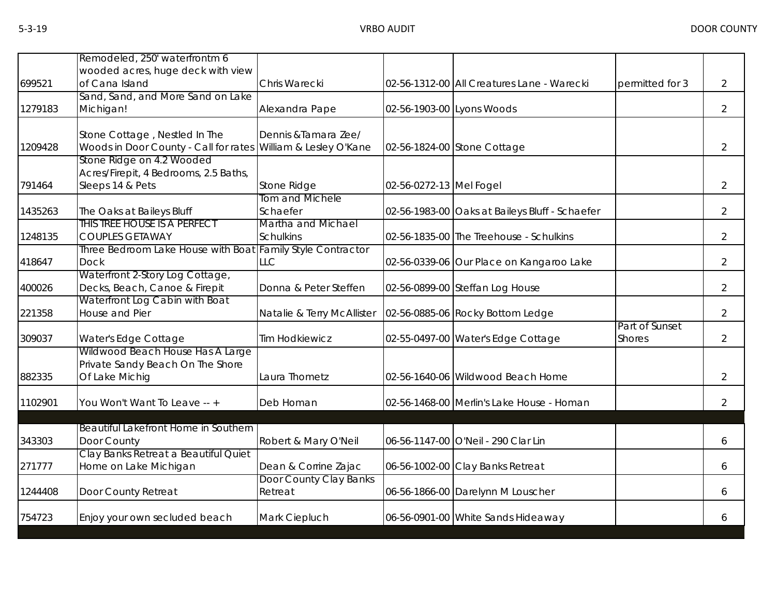|         | Remodeled, 250' waterfrontm 6                                                                  |                                        |                           |                                                |                                 |                |
|---------|------------------------------------------------------------------------------------------------|----------------------------------------|---------------------------|------------------------------------------------|---------------------------------|----------------|
| 699521  | wooded acres, huge deck with view<br>of Cana Island                                            | Chris Warecki                          |                           | 02-56-1312-00 All Creatures Lane - Warecki     | permitted for 3                 | $\overline{2}$ |
| 1279183 | Sand, Sand, and More Sand on Lake<br>Michigan!                                                 | Alexandra Pape                         | 02-56-1903-00 Lyons Woods |                                                |                                 | $\overline{2}$ |
| 1209428 | Stone Cottage, Nestled In The<br>Woods in Door County - Call for rates William & Lesley O'Kane | Dennis & Tamara Zee/                   |                           | 02-56-1824-00 Stone Cottage                    |                                 | $\overline{2}$ |
| 791464  | Stone Ridge on 4.2 Wooded<br>Acres/Firepit, 4 Bedrooms, 2.5 Baths,<br>Sleeps 14 & Pets         | Stone Ridge                            | 02-56-0272-13 Mel Fogel   |                                                |                                 | $\overline{2}$ |
| 1435263 | The Oaks at Baileys Bluff                                                                      | Tom and Michele<br>Schaefer            |                           | 02-56-1983-00 Oaks at Baileys Bluff - Schaefer |                                 | $\overline{2}$ |
| 1248135 | THIS TREE HOUSE IS A PERFECT<br><b>COUPLES GETAWAY</b>                                         | Martha and Michael<br><b>Schulkins</b> |                           | 02-56-1835-00 The Treehouse - Schulkins        |                                 | $\overline{2}$ |
| 418647  | Three Bedroom Lake House with Boat Family Style Contractor<br><b>Dock</b>                      | <b>LLC</b>                             |                           | 02-56-0339-06 Our Place on Kangaroo Lake       |                                 | 2              |
| 400026  | Waterfront 2-Story Log Cottage,<br>Decks, Beach, Canoe & Firepit                               | Donna & Peter Steffen                  |                           | 02-56-0899-00 Steffan Log House                |                                 | 2              |
| 221358  | Waterfront Log Cabin with Boat<br><b>House and Pier</b>                                        | Natalie & Terry McAllister             |                           | 02-56-0885-06 Rocky Bottom Ledge               |                                 | $\overline{2}$ |
| 309037  | Water's Edge Cottage                                                                           | <b>Tim Hodkiewicz</b>                  |                           | 02-55-0497-00 Water's Edge Cottage             | Part of Sunset<br><b>Shores</b> | $\overline{2}$ |
| 882335  | Wildwood Beach House Has A Large<br>Private Sandy Beach On The Shore<br>Of Lake Michig         | Laura Thometz                          |                           | 02-56-1640-06 Wildwood Beach Home              |                                 | $\overline{2}$ |
| 1102901 | You Won't Want To Leave -- +                                                                   | Deb Homan                              |                           | 02-56-1468-00 Merlin's Lake House - Homan      |                                 | 2              |
| 343303  | Beautiful Lakefront Home in Southern<br>Door County                                            | Robert & Mary O'Neil                   |                           | 06-56-1147-00 O'Neil - 290 Clar Lin            |                                 | 6              |
| 271777  | Clay Banks Retreat a Beautiful Quiet<br>Home on Lake Michigan                                  | Dean & Corrine Zajac                   |                           | 06-56-1002-00 Clay Banks Retreat               |                                 | 6              |
| 1244408 | Door County Retreat                                                                            | Door County Clay Banks<br>Retreat      |                           | 06-56-1866-00 Darelynn M Louscher              |                                 | 6              |
| 754723  | Enjoy your own secluded beach                                                                  | Mark Ciepluch                          |                           | 06-56-0901-00 White Sands Hideaway             |                                 | 6              |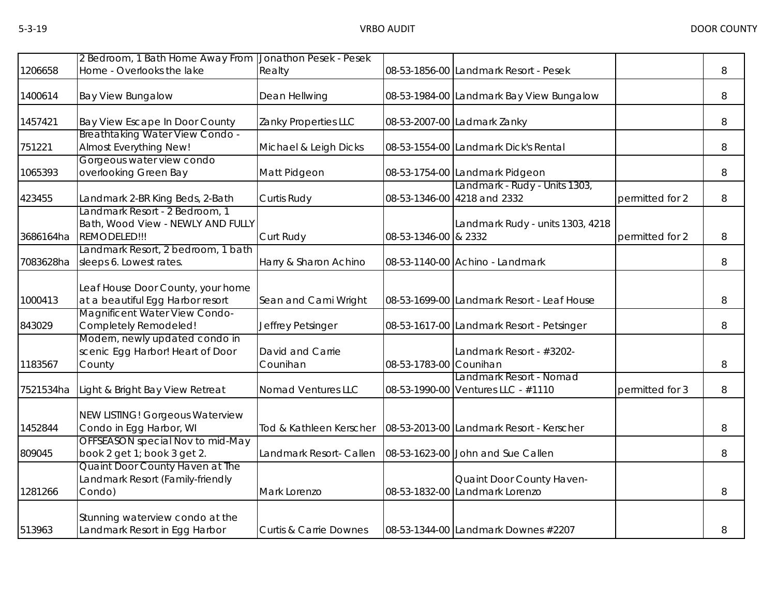|           | 2 Bedroom, 1 Bath Home Away From Jonathon Pesek - Pesek                             |                                   |                        |                                                               |                 |   |
|-----------|-------------------------------------------------------------------------------------|-----------------------------------|------------------------|---------------------------------------------------------------|-----------------|---|
| 1206658   | Home - Overlooks the lake                                                           | Realty                            |                        | 08-53-1856-00 Landmark Resort - Pesek                         |                 | 8 |
| 1400614   | <b>Bay View Bungalow</b>                                                            | Dean Hellwing                     |                        | 08-53-1984-00 Landmark Bay View Bungalow                      |                 | 8 |
| 1457421   | Bay View Escape In Door County                                                      | Zanky Properties LLC              |                        | 08-53-2007-00 Ladmark Zanky                                   |                 | 8 |
| 751221    | Breathtaking Water View Condo -<br>Almost Everything New!                           | Michael & Leigh Dicks             |                        | 08-53-1554-00 Landmark Dick's Rental                          |                 | 8 |
| 1065393   | Gorgeous water view condo<br>overlooking Green Bay                                  | Matt Pidgeon                      |                        | 08-53-1754-00 Landmark Pidgeon                                |                 | 8 |
| 423455    | Landmark 2-BR King Beds, 2-Bath                                                     | Curtis Rudy                       |                        | Landmark - Rudy - Units 1303,<br>08-53-1346-00 4218 and 2332  | permitted for 2 | 8 |
| 3686164ha | Landmark Resort - 2 Bedroom, 1<br>Bath, Wood View - NEWLY AND FULLY<br>REMODELED!!! | Curt Rudy                         | 08-53-1346-00 & 2332   | Landmark Rudy - units 1303, 4218                              | permitted for 2 | 8 |
| 7083628ha | Landmark Resort, 2 bedroom, 1 bath<br>sleeps 6. Lowest rates.                       | Harry & Sharon Achino             |                        | 08-53-1140-00 Achino - Landmark                               |                 | 8 |
| 1000413   | Leaf House Door County, your home<br>at a beautiful Egg Harbor resort               | Sean and Cami Wright              |                        | 08-53-1699-00 Landmark Resort - Leaf House                    |                 | 8 |
| 843029    | Magnificent Water View Condo-<br>Completely Remodeled!                              | Jeffrey Petsinger                 |                        | 08-53-1617-00 Landmark Resort - Petsinger                     |                 | 8 |
| 1183567   | Modern, newly updated condo in<br>scenic Egg Harbor! Heart of Door<br>County        | David and Carrie<br>Counihan      | 08-53-1783-00 Counihan | Landmark Resort - #3202-                                      |                 | 8 |
| 7521534ha | Light & Bright Bay View Retreat                                                     | Nomad Ventures LLC                |                        | Landmark Resort - Nomad<br>08-53-1990-00 Ventures LLC - #1110 | permitted for 3 | 8 |
| 1452844   | <b>NEW LISTING! Gorgeous Waterview</b><br>Condo in Egg Harbor, WI                   | Tod & Kathleen Kerscher           |                        | 08-53-2013-00 Landmark Resort - Kerscher                      |                 | 8 |
| 809045    | OFFSEASON special Nov to mid-May<br>book 2 get 1; book 3 get 2.                     | Landmark Resort- Callen           |                        | 08-53-1623-00 John and Sue Callen                             |                 | 8 |
| 1281266   | Quaint Door County Haven at The<br>Landmark Resort (Family-friendly<br>Condo)       | Mark Lorenzo                      |                        | Quaint Door County Haven-<br>08-53-1832-00 Landmark Lorenzo   |                 | 8 |
| 513963    | Stunning waterview condo at the<br>Landmark Resort in Egg Harbor                    | <b>Curtis &amp; Carrie Downes</b> |                        | 08-53-1344-00 Landmark Downes #2207                           |                 | 8 |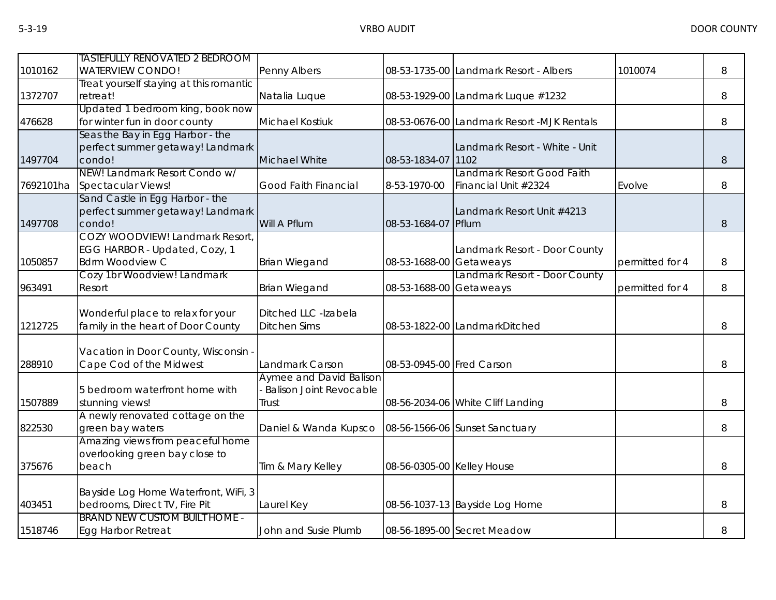| 1010162   | <b>TASTEFULLY RENOVATED 2 BEDROOM</b><br><b>WATERVIEW CONDO!</b>                           | Penny Albers                                                              |                            | 08-53-1735-00 Landmark Resort - Albers             | 1010074         | 8 |
|-----------|--------------------------------------------------------------------------------------------|---------------------------------------------------------------------------|----------------------------|----------------------------------------------------|-----------------|---|
| 1372707   | Treat yourself staying at this romantic<br>retreat!                                        | Natalia Luque                                                             |                            | 08-53-1929-00 Landmark Luque #1232                 |                 | 8 |
| 476628    | Updated 1 bedroom king, book now<br>for winter fun in door county                          | <b>Michael Kostiuk</b>                                                    |                            | 08-53-0676-00 Landmark Resort -MJK Rentals         |                 | 8 |
| 1497704   | Seas the Bay in Egg Harbor - the<br>perfect summer getaway! Landmark<br>condo!             | Michael White                                                             | 08-53-1834-07              | Landmark Resort - White - Unit<br>1102             |                 | 8 |
| 7692101ha | NEW! Landmark Resort Condo w/<br>Spectacular Views!                                        | Good Faith Financial                                                      | 8-53-1970-00               | Landmark Resort Good Faith<br>Financial Unit #2324 | Evolve          | 8 |
| 1497708   | Sand Castle in Egg Harbor - the<br>perfect summer getaway! Landmark<br>condo!              | Will A Pflum                                                              | 08-53-1684-07 Pflum        | Landmark Resort Unit #4213                         |                 | 8 |
| 1050857   | COZY WOODVIEW! Landmark Resort,<br>EGG HARBOR - Updated, Cozy, 1<br><b>Bdrm Woodview C</b> | <b>Brian Wiegand</b>                                                      | 08-53-1688-00              | Landmark Resort - Door County<br>Getaweays         | permitted for 4 | 8 |
| 963491    | Cozy 1br Woodview! Landmark<br>Resort                                                      | <b>Brian Wiegand</b>                                                      | 08-53-1688-00 Getaweays    | Landmark Resort - Door County                      | permitted for 4 | 8 |
| 1212725   | Wonderful place to relax for your<br>family in the heart of Door County                    | Ditched LLC -Izabela<br><b>Ditchen Sims</b>                               |                            | 08-53-1822-00 LandmarkDitched                      |                 | 8 |
| 288910    | Vacation in Door County, Wisconsin -<br>Cape Cod of the Midwest                            | Landmark Carson                                                           | 08-53-0945-00 Fred Carson  |                                                    |                 | 8 |
| 1507889   | 5 bedroom waterfront home with<br>stunning views!                                          | <b>Aymee and David Balison</b><br><b>Balison Joint Revocable</b><br>Trust |                            | 08-56-2034-06 White Cliff Landing                  |                 | 8 |
| 822530    | A newly renovated cottage on the<br>green bay waters                                       | Daniel & Wanda Kupsco                                                     |                            | 08-56-1566-06 Sunset Sanctuary                     |                 | 8 |
| 375676    | Amazing views from peaceful home<br>overlooking green bay close to<br>beach                | Tim & Mary Kelley                                                         | 08-56-0305-00 Kelley House |                                                    |                 | 8 |
| 403451    | Bayside Log Home Waterfront, WiFi, 3<br>bedrooms, Direct TV, Fire Pit                      | Laurel Key                                                                |                            | 08-56-1037-13 Bayside Log Home                     |                 | 8 |
| 1518746   | <b>BRAND NEW CUSTOM BUILT HOME -</b><br><b>Egg Harbor Retreat</b>                          | John and Susie Plumb                                                      |                            | 08-56-1895-00 Secret Meadow                        |                 | 8 |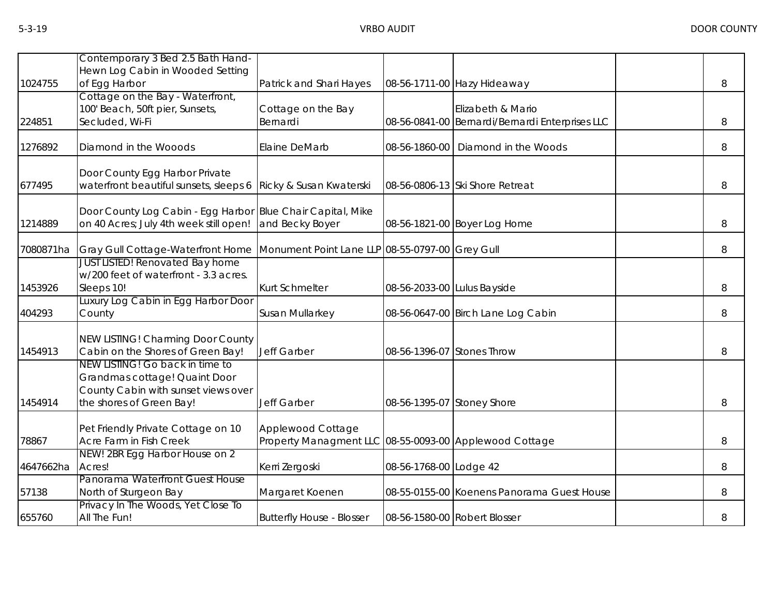| 1024755   | Contemporary 3 Bed 2.5 Bath Hand-<br>Hewn Log Cabin in Wooded Setting<br>of Egg Harbor                                              | Patrick and Shari Hayes                                                     |                             | 08-56-1711-00 Hazy Hideaway                                          | 8 |
|-----------|-------------------------------------------------------------------------------------------------------------------------------------|-----------------------------------------------------------------------------|-----------------------------|----------------------------------------------------------------------|---|
| 224851    | Cottage on the Bay - Waterfront,<br>100' Beach, 50ft pier, Sunsets,<br>Secluded, Wi-Fi                                              | Cottage on the Bay<br>Bernardi                                              |                             | Elizabeth & Mario<br>08-56-0841-00 Bernardi/Bernardi Enterprises LLC | 8 |
| 1276892   | Diamond in the Wooods                                                                                                               | Elaine DeMarb                                                               | 08-56-1860-00               | Diamond in the Woods                                                 | 8 |
| 677495    | Door County Egg Harbor Private<br>waterfront beautiful sunsets, sleeps 6                                                            | Ricky & Susan Kwaterski                                                     |                             | 08-56-0806-13 Ski Shore Retreat                                      | 8 |
| 1214889   | Door County Log Cabin - Egg Harbor Blue Chair Capital, Mike<br>on 40 Acres; July 4th week still open!                               | and Becky Boyer                                                             |                             | 08-56-1821-00 Boyer Log Home                                         | 8 |
| 7080871ha | <b>Gray Gull Cottage-Waterfront Home</b>                                                                                            | Monument Point Lane LLP 08-55-0797-00 Grey Gull                             |                             |                                                                      | 8 |
| 1453926   | <b>JUST LISTED! Renovated Bay home</b><br>w/200 feet of waterfront - 3.3 acres.<br>Sleeps 10!                                       | <b>Kurt Schmelter</b>                                                       | 08-56-2033-00 Lulus Bayside |                                                                      | 8 |
| 404293    | Luxury Log Cabin in Egg Harbor Door<br>County                                                                                       | Susan Mullarkey                                                             |                             | 08-56-0647-00 Birch Lane Log Cabin                                   | 8 |
| 1454913   | <b>NEW LISTING! Charming Door County</b><br>Cabin on the Shores of Green Bay!                                                       | Jeff Garber                                                                 | 08-56-1396-07 Stones Throw  |                                                                      | 8 |
| 1454914   | NEW LISTING! Go back in time to<br>Grandmas cottage! Quaint Door<br>County Cabin with sunset views over<br>the shores of Green Bay! | Jeff Garber                                                                 | 08-56-1395-07 Stoney Shore  |                                                                      | 8 |
| 78867     | Pet Friendly Private Cottage on 10<br>Acre Farm in Fish Creek                                                                       | Applewood Cottage<br>Property Managment LLC 08-55-0093-00 Applewood Cottage |                             |                                                                      | 8 |
| 4647662ha | NEW! 2BR Egg Harbor House on 2<br>Acres!                                                                                            | Kerri Zergoski                                                              | 08-56-1768-00 Lodge 42      |                                                                      | 8 |
| 57138     | Panorama Waterfront Guest House<br>North of Sturgeon Bay                                                                            | Margaret Koenen                                                             |                             | 08-55-0155-00 Koenens Panorama Guest House                           | 8 |
| 655760    | Privacy In The Woods, Yet Close To<br>All The Fun!                                                                                  | <b>Butterfly House - Blosser</b>                                            |                             | 08-56-1580-00 Robert Blosser                                         | 8 |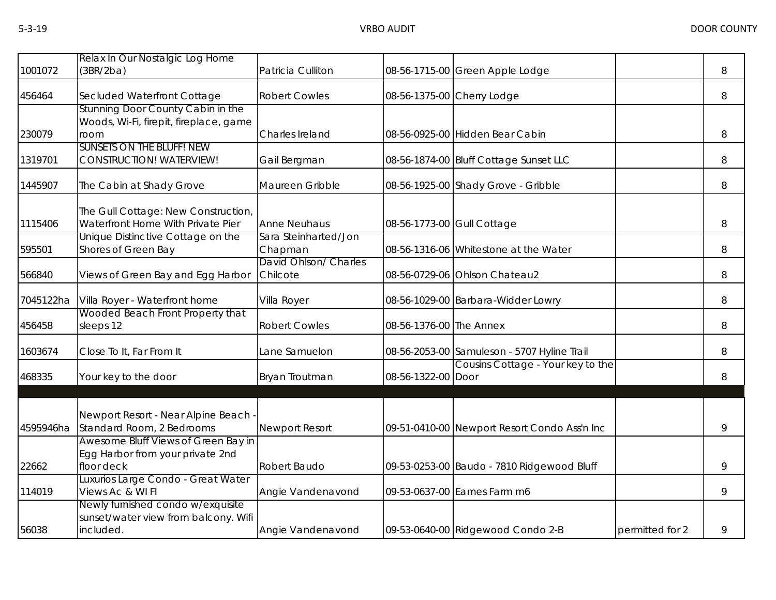| 1001072   | Relax In Our Nostalgic Log Home<br>(3BR/2ba)                                                         | Patricia Culliton                 |                            | 08-56-1715-00 Green Apple Lodge              |                 | 8 |
|-----------|------------------------------------------------------------------------------------------------------|-----------------------------------|----------------------------|----------------------------------------------|-----------------|---|
| 456464    | Secluded Waterfront Cottage                                                                          | <b>Robert Cowles</b>              |                            | 08-56-1375-00 Cherry Lodge                   |                 | 8 |
| 230079    | Stunning Door County Cabin in the<br>Woods, Wi-Fi, firepit, fireplace, game<br>room                  | Charles Ireland                   |                            | 08-56-0925-00 Hidden Bear Cabin              |                 | 8 |
| 1319701   | <b>SUNSETS ON THE BLUFF! NEW</b><br><b>CONSTRUCTION! WATERVIEW!</b>                                  | Gail Bergman                      |                            | 08-56-1874-00 Bluff Cottage Sunset LLC       |                 | 8 |
| 1445907   | The Cabin at Shady Grove                                                                             | Maureen Gribble                   |                            | 08-56-1925-00 Shady Grove - Gribble          |                 | 8 |
| 1115406   | The Gull Cottage: New Construction,<br>Waterfront Home With Private Pier                             | <b>Anne Neuhaus</b>               | 08-56-1773-00 Gull Cottage |                                              |                 | 8 |
| 595501    | Unique Distinctive Cottage on the<br>Shores of Green Bay                                             | Sara Steinharted/Jon<br>Chapman   |                            | 08-56-1316-06 Whitestone at the Water        |                 | 8 |
| 566840    | Views of Green Bay and Egg Harbor                                                                    | David Ohlson/ Charles<br>Chilcote |                            | 08-56-0729-06 Ohlson Chateau2                |                 | 8 |
| 7045122ha | Villa Royer - Waterfront home                                                                        | Villa Royer                       |                            | 08-56-1029-00 Barbara-Widder Lowry           |                 | 8 |
| 456458    | Wooded Beach Front Property that<br>sleeps 12                                                        | <b>Robert Cowles</b>              | 08-56-1376-00 The Annex    |                                              |                 | 8 |
| 1603674   | Close To It, Far From It                                                                             | Lane Samuelon                     |                            | 08-56-2053-00 Samuleson - 5707 Hyline Trail  |                 | 8 |
| 468335    | Your key to the door                                                                                 | Bryan Troutman                    | 08-56-1322-00 Door         | Cousins Cottage - Your key to the            |                 | 8 |
|           | Newport Resort - Near Alpine Beach -                                                                 |                                   |                            |                                              |                 |   |
| 4595946ha | Standard Room, 2 Bedrooms<br>Awesome Bluff Views of Green Bay in<br>Egg Harbor from your private 2nd | <b>Newport Resort</b>             |                            | 09-51-0410-00 Newport Resort Condo Ass'n Inc |                 | 9 |
| 22662     | floor deck                                                                                           | Robert Baudo                      |                            | 09-53-0253-00 Baudo - 7810 Ridgewood Bluff   |                 | 9 |
| 114019    | Luxurios Large Condo - Great Water<br>Views Ac & WI FI                                               | Angie Vandenavond                 |                            | 09-53-0637-00 Eames Farm m6                  |                 | 9 |
| 56038     | Newly furnished condo w/exquisite<br>sunset/water view from balcony. Wifi<br>included.               | Angie Vandenavond                 |                            | 09-53-0640-00 Ridgewood Condo 2-B            | permitted for 2 | 9 |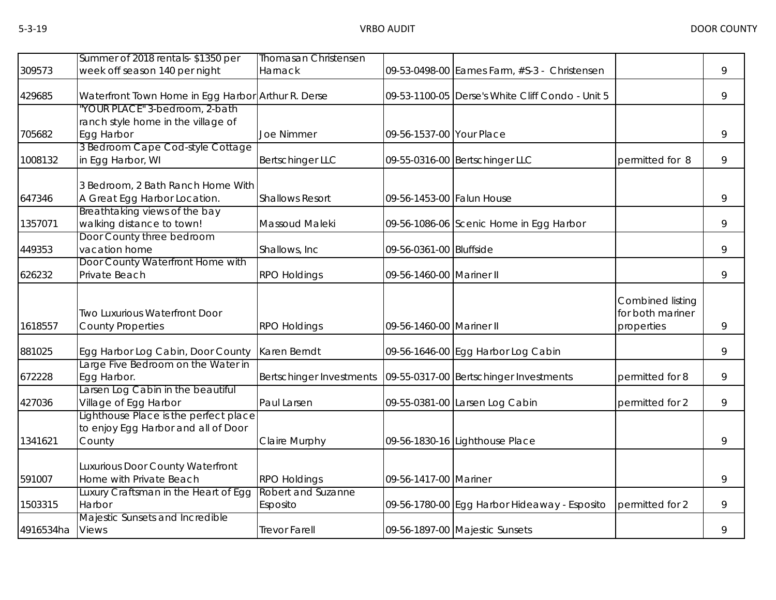|           | Summer of 2018 rentals-\$1350 per                                                      | <b>Thomasan Christensen</b>    |                           |                                                  |                                                    |   |
|-----------|----------------------------------------------------------------------------------------|--------------------------------|---------------------------|--------------------------------------------------|----------------------------------------------------|---|
| 309573    | week off season 140 per night                                                          | Harnack                        |                           | 09-53-0498-00 Eames Farm, #S-3 - Christensen     |                                                    | 9 |
| 429685    | Waterfront Town Home in Egg Harbor Arthur R. Derse                                     |                                |                           | 09-53-1100-05 Derse's White Cliff Condo - Unit 5 |                                                    | 9 |
|           | 'YOUR PLACE" 3-bedroom, 2-bath<br>ranch style home in the village of                   |                                |                           |                                                  |                                                    |   |
| 705682    | Egg Harbor                                                                             | <b>Joe Nimmer</b>              | 09-56-1537-00 Your Place  |                                                  |                                                    | 9 |
| 1008132   | 3 Bedroom Cape Cod-style Cottage<br>in Egg Harbor, WI                                  | <b>Bertschinger LLC</b>        |                           | 09-55-0316-00 Bertschinger LLC                   | permitted for 8                                    | 9 |
|           | 3 Bedroom, 2 Bath Ranch Home With                                                      |                                |                           |                                                  |                                                    |   |
| 647346    | A Great Egg Harbor Location.                                                           | <b>Shallows Resort</b>         | 09-56-1453-00 Falun House |                                                  |                                                    | 9 |
| 1357071   | Breathtaking views of the bay<br>walking distance to town!                             | Massoud Maleki                 |                           | 09-56-1086-06 Scenic Home in Egg Harbor          |                                                    | 9 |
| 449353    | Door County three bedroom<br>vacation home                                             | Shallows, Inc.                 | 09-56-0361-00 Bluffside   |                                                  |                                                    | 9 |
| 626232    | Door County Waterfront Home with<br>Private Beach                                      | <b>RPO Holdings</b>            | 09-56-1460-00 Mariner II  |                                                  |                                                    | 9 |
| 1618557   | <b>Two Luxurious Waterfront Door</b><br><b>County Properties</b>                       | <b>RPO Holdings</b>            | 09-56-1460-00 Mariner II  |                                                  | Combined listing<br>for both mariner<br>properties | 9 |
| 881025    | Egg Harbor Log Cabin, Door County                                                      | Karen Berndt                   |                           | 09-56-1646-00 Egg Harbor Log Cabin               |                                                    | 9 |
| 672228    | Large Five Bedroom on the Water in<br>Egg Harbor.                                      | Bertschinger Investments       |                           | 09-55-0317-00 Bertschinger Investments           | permitted for 8                                    | 9 |
| 427036    | Larsen Log Cabin in the beautiful<br>Village of Egg Harbor                             | Paul Larsen                    |                           | 09-55-0381-00 Larsen Log Cabin                   | permitted for 2                                    | 9 |
| 1341621   | Lighthouse Place is the perfect place<br>to enjoy Egg Harbor and all of Door<br>County | Claire Murphy                  |                           | 09-56-1830-16 Lighthouse Place                   |                                                    | 9 |
| 591007    | Luxurious Door County Waterfront<br>Home with Private Beach                            | <b>RPO Holdings</b>            | 09-56-1417-00 Mariner     |                                                  |                                                    | 9 |
| 1503315   | Luxury Craftsman in the Heart of Egg<br>Harbor                                         | Robert and Suzanne<br>Esposito |                           | 09-56-1780-00 Egg Harbor Hideaway - Esposito     | permitted for 2                                    | 9 |
| 4916534ha | Majestic Sunsets and Incredible<br><b>Views</b>                                        | <b>Trevor Farell</b>           |                           | 09-56-1897-00 Majestic Sunsets                   |                                                    | 9 |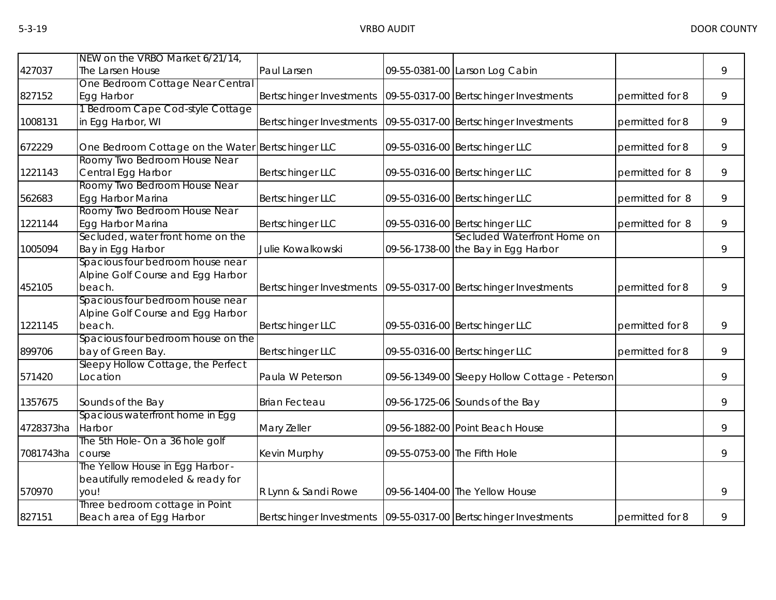|           | NEW on the VRBO Market 6/21/14,                   |                                                                     |                              |                                                |                 |   |
|-----------|---------------------------------------------------|---------------------------------------------------------------------|------------------------------|------------------------------------------------|-----------------|---|
| 427037    | The Larsen House                                  | Paul Larsen                                                         |                              | 09-55-0381-00 Larson Log Cabin                 |                 | 9 |
|           | One Bedroom Cottage Near Central                  |                                                                     |                              |                                                |                 |   |
| 827152    | Egg Harbor                                        | Bertschinger Investments                                            |                              | 09-55-0317-00 Bertschinger Investments         | permitted for 8 | 9 |
|           | 1 Bedroom Cape Cod-style Cottage                  |                                                                     |                              |                                                |                 |   |
| 1008131   | in Egg Harbor, WI                                 | Bertschinger Investments   09-55-0317-00   Bertschinger Investments |                              |                                                | permitted for 8 | 9 |
| 672229    | One Bedroom Cottage on the Water Bertschinger LLC |                                                                     |                              | 09-55-0316-00 Bertschinger LLC                 | permitted for 8 | 9 |
|           | Roomy Two Bedroom House Near                      |                                                                     |                              |                                                |                 |   |
| 1221143   | Central Egg Harbor                                | <b>Bertschinger LLC</b>                                             |                              | 09-55-0316-00 Bertschinger LLC                 | permitted for 8 | 9 |
| 562683    | Roomy Two Bedroom House Near<br>Egg Harbor Marina | <b>Bertschinger LLC</b>                                             |                              | 09-55-0316-00 Bertschinger LLC                 | permitted for 8 | 9 |
|           | Roomy Two Bedroom House Near                      |                                                                     |                              |                                                |                 |   |
| 1221144   | Egg Harbor Marina                                 | <b>Bertschinger LLC</b>                                             |                              | 09-55-0316-00 Bertschinger LLC                 | permitted for 8 | 9 |
|           | Secluded, water front home on the                 |                                                                     |                              | Secluded Waterfront Home on                    |                 |   |
| 1005094   | Bay in Egg Harbor                                 | Julie Kowalkowski                                                   |                              | 09-56-1738-00 the Bay in Egg Harbor            |                 | 9 |
|           | Spacious four bedroom house near                  |                                                                     |                              |                                                |                 |   |
|           | Alpine Golf Course and Egg Harbor                 |                                                                     |                              |                                                |                 |   |
| 452105    | beach.                                            | Bertschinger Investments   09-55-0317-00   Bertschinger Investments |                              |                                                | permitted for 8 | 9 |
|           | Spacious four bedroom house near                  |                                                                     |                              |                                                |                 |   |
|           | Alpine Golf Course and Egg Harbor                 |                                                                     |                              |                                                |                 |   |
| 1221145   | beach.                                            | <b>Bertschinger LLC</b>                                             |                              | 09-55-0316-00 Bertschinger LLC                 | permitted for 8 | 9 |
|           | Spacious four bedroom house on the                |                                                                     |                              |                                                |                 |   |
| 899706    | bay of Green Bay.                                 | <b>Bertschinger LLC</b>                                             |                              | 09-55-0316-00 Bertschinger LLC                 | permitted for 8 | 9 |
| 571420    | Sleepy Hollow Cottage, the Perfect<br>Location    | Paula W Peterson                                                    |                              | 09-56-1349-00 Sleepy Hollow Cottage - Peterson |                 | 9 |
| 1357675   | Sounds of the Bay                                 | <b>Brian Fecteau</b>                                                |                              | 09-56-1725-06 Sounds of the Bay                |                 | 9 |
|           | Spacious waterfront home in Egg                   |                                                                     |                              |                                                |                 |   |
| 4728373ha | Harbor                                            | Mary Zeller                                                         |                              | 09-56-1882-00 Point Beach House                |                 | 9 |
|           | The 5th Hole- On a 36 hole golf                   |                                                                     |                              |                                                |                 |   |
| 7081743ha | course                                            | Kevin Murphy                                                        | 09-55-0753-00 The Fifth Hole |                                                |                 | 9 |
|           | The Yellow House in Egg Harbor -                  |                                                                     |                              |                                                |                 |   |
|           | beautifully remodeled & ready for                 |                                                                     |                              |                                                |                 |   |
| 570970    | you!                                              | R Lynn & Sandi Rowe                                                 |                              | 09-56-1404-00 The Yellow House                 |                 | 9 |
|           | Three bedroom cottage in Point                    |                                                                     |                              |                                                |                 |   |
| 827151    | Beach area of Egg Harbor                          | Bertschinger Investments   09-55-0317-00 Bertschinger Investments   |                              |                                                | permitted for 8 | 9 |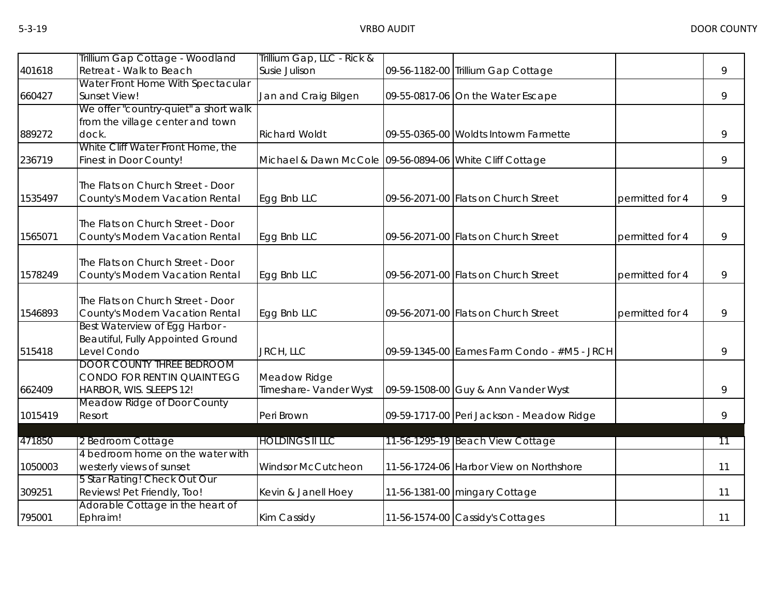|         | Trillium Gap Cottage - Woodland       | Trillium Gap, LLC - Rick &                              |                                             |                 |    |
|---------|---------------------------------------|---------------------------------------------------------|---------------------------------------------|-----------------|----|
| 401618  | Retreat - Walk to Beach               | Susie Julison                                           | 09-56-1182-00 Trillium Gap Cottage          |                 | 9  |
|         | Water Front Home With Spectacular     |                                                         |                                             |                 |    |
| 660427  | Sunset View!                          | Jan and Craig Bilgen                                    | 09-55-0817-06 On the Water Escape           |                 | 9  |
|         | We offer "country-quiet" a short walk |                                                         |                                             |                 |    |
|         | from the village center and town      |                                                         |                                             |                 |    |
| 889272  | dock.                                 | <b>Richard Woldt</b>                                    | 09-55-0365-00 Woldts Intowm Farmette        |                 | 9  |
|         | White Cliff Water Front Home, the     |                                                         |                                             |                 |    |
| 236719  | Finest in Door County!                | Michael & Dawn McCole 09-56-0894-06 White Cliff Cottage |                                             |                 | 9  |
|         |                                       |                                                         |                                             |                 |    |
| 1535497 | The Flats on Church Street - Door     |                                                         | 09-56-2071-00 Flats on Church Street        |                 |    |
|         | County's Modern Vacation Rental       | Egg Bnb LLC                                             |                                             | permitted for 4 | 9  |
|         | The Flats on Church Street - Door     |                                                         |                                             |                 |    |
| 1565071 | County's Modern Vacation Rental       | Egg Bnb LLC                                             | 09-56-2071-00 Flats on Church Street        | permitted for 4 | 9  |
|         |                                       |                                                         |                                             |                 |    |
|         | The Flats on Church Street - Door     |                                                         |                                             |                 |    |
| 1578249 | County's Modern Vacation Rental       | Egg Bnb LLC                                             | 09-56-2071-00 Flats on Church Street        | permitted for 4 | 9  |
|         |                                       |                                                         |                                             |                 |    |
|         | The Flats on Church Street - Door     |                                                         |                                             |                 |    |
| 1546893 | County's Modern Vacation Rental       | Egg Bnb LLC                                             | 09-56-2071-00 Flats on Church Street        | permitted for 4 | 9  |
|         | Best Waterview of Egg Harbor -        |                                                         |                                             |                 |    |
|         | Beautiful, Fully Appointed Ground     |                                                         |                                             |                 |    |
| 515418  | Level Condo                           | JRCH, LLC                                               | 09-59-1345-00 Eames Farm Condo - #M5 - JRCH |                 | 9  |
|         | <b>DOOR COUNTY THREE BEDROOM</b>      |                                                         |                                             |                 |    |
|         | CONDO FOR RENT IN QUAINT EGG          | Meadow Ridge                                            |                                             |                 |    |
| 662409  | HARBOR, WIS. SLEEPS 12!               | Timeshare- Vander Wyst                                  | 09-59-1508-00 Guy & Ann Vander Wyst         |                 | 9  |
|         | Meadow Ridge of Door County           |                                                         |                                             |                 |    |
| 1015419 | Resort                                | Peri Brown                                              | 09-59-1717-00 Peri Jackson - Meadow Ridge   |                 | 9  |
| 471850  | 2 Bedroom Cottage                     | <b>HOLDINGS II LLC</b>                                  | 11-56-1295-19 Beach View Cottage            |                 | 11 |
|         | 4 bedroom home on the water with      |                                                         |                                             |                 |    |
| 1050003 | westerly views of sunset              | Windsor McCutcheon                                      | 11-56-1724-06 Harbor View on Northshore     |                 | 11 |
|         | 5 Star Rating! Check Out Our          |                                                         |                                             |                 |    |
| 309251  | Reviews! Pet Friendly, Too!           | Kevin & Janell Hoey                                     | 11-56-1381-00 mingary Cottage               |                 | 11 |
|         | Adorable Cottage in the heart of      |                                                         |                                             |                 |    |
| 795001  | Ephraim!                              | Kim Cassidy                                             | 11-56-1574-00 Cassidy's Cottages            |                 | 11 |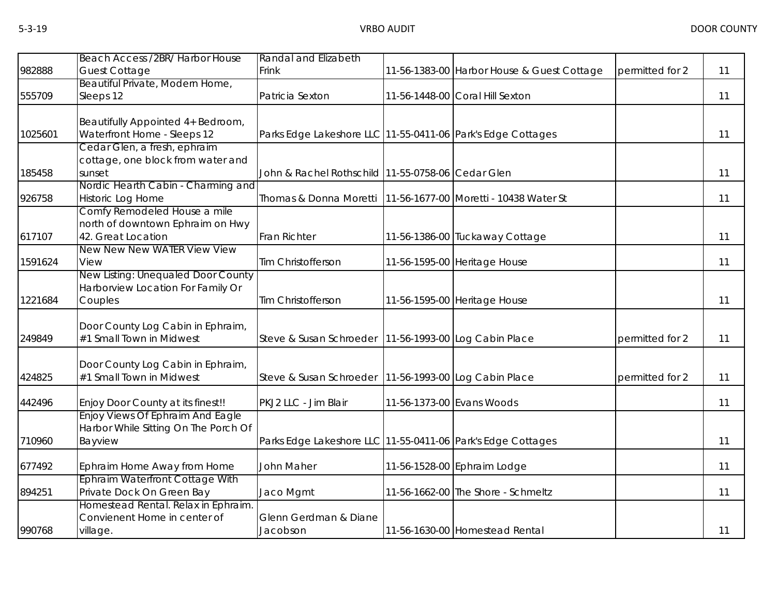|         | Beach Access /2BR/ Harbor House      | Randal and Elizabeth                                        |                           |                                            |                 |    |
|---------|--------------------------------------|-------------------------------------------------------------|---------------------------|--------------------------------------------|-----------------|----|
| 982888  | <b>Guest Cottage</b>                 | Frink                                                       |                           | 11-56-1383-00 Harbor House & Guest Cottage | permitted for 2 | 11 |
|         | Beautiful Private, Modern Home,      |                                                             |                           |                                            |                 |    |
| 555709  | Sleeps 12                            | Patricia Sexton                                             |                           | 11-56-1448-00 Coral Hill Sexton            |                 | 11 |
|         | Beautifully Appointed 4+ Bedroom,    |                                                             |                           |                                            |                 |    |
| 1025601 | Waterfront Home - Sleeps 12          | Parks Edge Lakeshore LLC 11-55-0411-06 Park's Edge Cottages |                           |                                            |                 | 11 |
|         | Cedar Glen, a fresh, ephraim         |                                                             |                           |                                            |                 |    |
|         | cottage, one block from water and    |                                                             |                           |                                            |                 |    |
| 185458  | sunset                               | John & Rachel Rothschild 11-55-0758-06 Cedar Glen           |                           |                                            |                 | 11 |
|         | Nordic Hearth Cabin - Charming and   |                                                             |                           |                                            |                 |    |
| 926758  | Historic Log Home                    | Thomas & Donna Moretti                                      |                           | 11-56-1677-00 Moretti - 10438 Water St     |                 | 11 |
|         | Comfy Remodeled House a mile         |                                                             |                           |                                            |                 |    |
|         | north of downtown Ephraim on Hwy     |                                                             |                           |                                            |                 |    |
| 617107  | 42. Great Location                   | <b>Fran Richter</b>                                         |                           | 11-56-1386-00 Tuckaway Cottage             |                 | 11 |
|         | New New New WATER View View          |                                                             |                           |                                            |                 |    |
| 1591624 | View                                 | Tim Christofferson                                          |                           | 11-56-1595-00 Heritage House               |                 | 11 |
|         | New Listing: Unequaled Door County   |                                                             |                           |                                            |                 |    |
|         | Harborview Location For Family Or    |                                                             |                           |                                            |                 |    |
| 1221684 | Couples                              | Tim Christofferson                                          |                           | 11-56-1595-00 Heritage House               |                 | 11 |
|         | Door County Log Cabin in Ephraim,    |                                                             |                           |                                            |                 |    |
| 249849  | #1 Small Town in Midwest             | Steve & Susan Schroeder   11-56-1993-00 Log Cabin Place     |                           |                                            | permitted for 2 | 11 |
|         |                                      |                                                             |                           |                                            |                 |    |
|         | Door County Log Cabin in Ephraim,    |                                                             |                           |                                            |                 |    |
| 424825  | #1 Small Town in Midwest             | Steve & Susan Schroeder   11-56-1993-00 Log Cabin Place     |                           |                                            | permitted for 2 | 11 |
|         |                                      |                                                             |                           |                                            |                 |    |
| 442496  | Enjoy Door County at its finest!!    | PKJ2 LLC - Jim Blair                                        | 11-56-1373-00 Evans Woods |                                            |                 | 11 |
|         | Enjoy Views Of Ephraim And Eagle     |                                                             |                           |                                            |                 |    |
|         | Harbor While Sitting On The Porch Of |                                                             |                           |                                            |                 |    |
| 710960  | Bayview                              | Parks Edge Lakeshore LLC 11-55-0411-06 Park's Edge Cottages |                           |                                            |                 | 11 |
| 677492  | Ephraim Home Away from Home          | John Maher                                                  |                           | 11-56-1528-00 Ephraim Lodge                |                 | 11 |
|         | Ephraim Waterfront Cottage With      |                                                             |                           |                                            |                 |    |
| 894251  | Private Dock On Green Bay            | Jaco Mgmt                                                   |                           | 11-56-1662-00 The Shore - Schmeltz         |                 | 11 |
|         | Homestead Rental. Relax in Ephraim.  |                                                             |                           |                                            |                 |    |
|         | Convienent Home in center of         | Glenn Gerdman & Diane                                       |                           |                                            |                 |    |
| 990768  | village.                             | Jacobson                                                    |                           | 11-56-1630-00 Homestead Rental             |                 | 11 |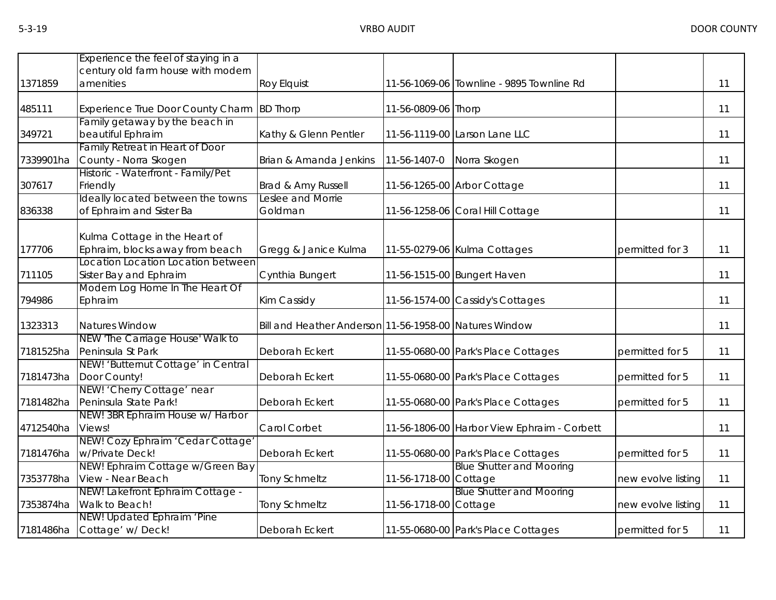|           | Experience the feel of staying in a      |                                                        |                     |                                             |                    |    |
|-----------|------------------------------------------|--------------------------------------------------------|---------------------|---------------------------------------------|--------------------|----|
|           | century old farm house with modern       |                                                        |                     |                                             |                    |    |
| 1371859   | amenities                                | <b>Roy Elquist</b>                                     |                     | 11-56-1069-06 Townline - 9895 Townline Rd   |                    | 11 |
| 485111    | <b>Experience True Door County Charm</b> | <b>BD Thorp</b>                                        | 11-56-0809-06 Thorp |                                             |                    | 11 |
|           | Family getaway by the beach in           |                                                        |                     |                                             |                    |    |
| 349721    | beautiful Ephraim                        | Kathy & Glenn Pentler                                  |                     | 11-56-1119-00 Larson Lane LLC               |                    | 11 |
|           | Family Retreat in Heart of Door          |                                                        |                     |                                             |                    |    |
| 7339901ha | County - Norra Skogen                    | Brian & Amanda Jenkins                                 | 11-56-1407-0        | Norra Skogen                                |                    | 11 |
|           | Historic - Waterfront - Family/Pet       |                                                        |                     |                                             |                    |    |
| 307617    | Friendly                                 | Brad & Amy Russell                                     |                     | 11-56-1265-00 Arbor Cottage                 |                    | 11 |
|           | Ideally located between the towns        | Leslee and Morrie                                      |                     |                                             |                    |    |
| 836338    | of Ephraim and Sister Ba                 | Goldman                                                |                     | 11-56-1258-06 Coral Hill Cottage            |                    | 11 |
|           |                                          |                                                        |                     |                                             |                    |    |
|           | Kulma Cottage in the Heart of            |                                                        |                     |                                             |                    |    |
| 177706    | Ephraim, blocks away from beach          | Gregg & Janice Kulma                                   |                     | 11-55-0279-06 Kulma Cottages                | permitted for 3    | 11 |
|           | Location Location Location between       |                                                        |                     |                                             |                    |    |
| 711105    | Sister Bay and Ephraim                   | Cynthia Bungert                                        |                     | 11-56-1515-00 Bungert Haven                 |                    | 11 |
|           | Modern Log Home In The Heart Of          |                                                        |                     |                                             |                    |    |
| 794986    | Ephraim                                  | Kim Cassidy                                            |                     | 11-56-1574-00 Cassidy's Cottages            |                    | 11 |
| 1323313   | Natures Window                           | Bill and Heather Anderson 11-56-1958-00 Natures Window |                     |                                             |                    | 11 |
|           | NEW 'The Carriage House' Walk to         |                                                        |                     |                                             |                    |    |
| 7181525ha | Peninsula St Park                        | Deborah Eckert                                         |                     | 11-55-0680-00 Park's Place Cottages         | permitted for 5    | 11 |
|           | NEW! 'Butternut Cottage' in Central      |                                                        |                     |                                             |                    |    |
| 7181473ha | Door County!                             | Deborah Eckert                                         |                     | 11-55-0680-00 Park's Place Cottages         | permitted for 5    | 11 |
|           | NEW! 'Cherry Cottage' near               |                                                        |                     |                                             |                    |    |
| 7181482ha | Peninsula State Park!                    | Deborah Eckert                                         |                     | 11-55-0680-00 Park's Place Cottages         | permitted for 5    | 11 |
|           | NEW! 3BR Ephraim House w/ Harbor         |                                                        |                     |                                             |                    |    |
| 4712540ha | Views!                                   | Carol Corbet                                           |                     | 11-56-1806-00 Harbor View Ephraim - Corbett |                    | 11 |
|           | NEW! Cozy Ephraim 'Cedar Cottage'        |                                                        |                     |                                             |                    |    |
| 7181476ha | w/Private Deck!                          | Deborah Eckert                                         |                     | 11-55-0680-00 Park's Place Cottages         | permitted for 5    | 11 |
|           | NEW! Ephraim Cottage w/Green Bay         |                                                        |                     | <b>Blue Shutter and Mooring</b>             |                    |    |
| 7353778ha | View - Near Beach                        | <b>Tony Schmeltz</b>                                   | 11-56-1718-00       | Cottage                                     | new evolve listing | 11 |
|           | NEW! Lakefront Ephraim Cottage -         |                                                        |                     | <b>Blue Shutter and Mooring</b>             |                    |    |
| 7353874ha | Walk to Beach!                           | Tony Schmeltz                                          | 11-56-1718-00       | Cottage                                     | new evolve listing | 11 |
|           | NEW! Updated Ephraim 'Pine               |                                                        |                     |                                             |                    |    |
| 7181486ha | Cottage' w/ Deck!                        | Deborah Eckert                                         |                     | 11-55-0680-00 Park's Place Cottages         | permitted for 5    | 11 |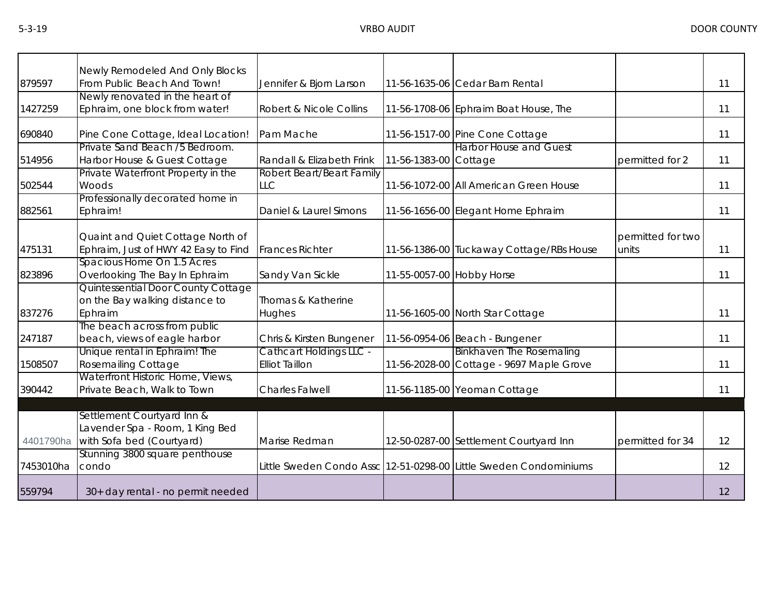|           | Newly Remodeled And Only Blocks      |                           |                           |                                                                   |                   |    |
|-----------|--------------------------------------|---------------------------|---------------------------|-------------------------------------------------------------------|-------------------|----|
| 879597    | From Public Beach And Town!          | Jennifer & Bjorn Larson   |                           | 11-56-1635-06 Cedar Barn Rental                                   |                   | 11 |
|           | Newly renovated in the heart of      |                           |                           |                                                                   |                   |    |
| 1427259   | Ephraim, one block from water!       | Robert & Nicole Collins   |                           | 11-56-1708-06 Ephraim Boat House, The                             |                   | 11 |
| 690840    | Pine Cone Cottage, Ideal Location!   | Pam Mache                 |                           | 11-56-1517-00 Pine Cone Cottage                                   |                   | 11 |
|           | Private Sand Beach /5 Bedroom.       |                           |                           | <b>Harbor House and Guest</b>                                     |                   |    |
| 514956    | Harbor House & Guest Cottage         | Randall & Elizabeth Frink | 11-56-1383-00 Cottage     |                                                                   | permitted for 2   | 11 |
|           | Private Waterfront Property in the   | Robert Beart/Beart Family |                           |                                                                   |                   |    |
| 502544    | Woods                                | <b>LLC</b>                |                           | 11-56-1072-00 All American Green House                            |                   | 11 |
|           | Professionally decorated home in     |                           |                           |                                                                   |                   |    |
| 882561    | Ephraim!                             | Daniel & Laurel Simons    |                           | 11-56-1656-00 Elegant Home Ephraim                                |                   | 11 |
|           |                                      |                           |                           |                                                                   |                   |    |
|           | Quaint and Quiet Cottage North of    |                           |                           |                                                                   | permitted for two |    |
| 475131    | Ephraim, Just of HWY 42 Easy to Find | <b>Frances Richter</b>    |                           | 11-56-1386-00 Tuckaway Cottage/RBs House                          | units             | 11 |
|           | Spacious Home On 1.5 Acres           |                           |                           |                                                                   |                   |    |
| 823896    | Overlooking The Bay In Ephraim       | Sandy Van Sickle          | 11-55-0057-00 Hobby Horse |                                                                   |                   | 11 |
|           | Quintessential Door County Cottage   |                           |                           |                                                                   |                   |    |
|           | on the Bay walking distance to       | Thomas & Katherine        |                           |                                                                   |                   |    |
| 837276    | Ephraim                              | Hughes                    |                           | 11-56-1605-00 North Star Cottage                                  |                   | 11 |
|           | The beach across from public         |                           |                           |                                                                   |                   |    |
| 247187    | beach, views of eagle harbor         | Chris & Kirsten Bungener  |                           | 11-56-0954-06 Beach - Bungener                                    |                   | 11 |
|           | Unique rental in Ephraim! The        | Cathcart Holdings LLC -   |                           | <b>Binkhaven The Rosemaling</b>                                   |                   |    |
| 1508507   | <b>Rosemailing Cottage</b>           | <b>Elliot Taillon</b>     |                           | 11-56-2028-00 Cottage - 9697 Maple Grove                          |                   | 11 |
|           | Waterfront Historic Home, Views,     |                           |                           |                                                                   |                   |    |
| 390442    | Private Beach, Walk to Town          | <b>Charles Falwell</b>    |                           | 11-56-1185-00 Yeoman Cottage                                      |                   | 11 |
|           |                                      |                           |                           |                                                                   |                   |    |
|           | Settlement Courtyard Inn &           |                           |                           |                                                                   |                   |    |
|           | Lavender Spa - Room, 1 King Bed      |                           |                           |                                                                   |                   |    |
| 4401790ha | with Sofa bed (Courtyard)            | Marise Redman             |                           | 12-50-0287-00 Settlement Courtyard Inn                            | permitted for 34  | 12 |
|           | Stunning 3800 square penthouse       |                           |                           |                                                                   |                   |    |
| 7453010ha | condo                                |                           |                           | Little Sweden Condo Assc 12-51-0298-00 Little Sweden Condominiums |                   | 12 |
|           |                                      |                           |                           |                                                                   |                   |    |
| 559794    | 30+ day rental - no permit needed    |                           |                           |                                                                   |                   | 12 |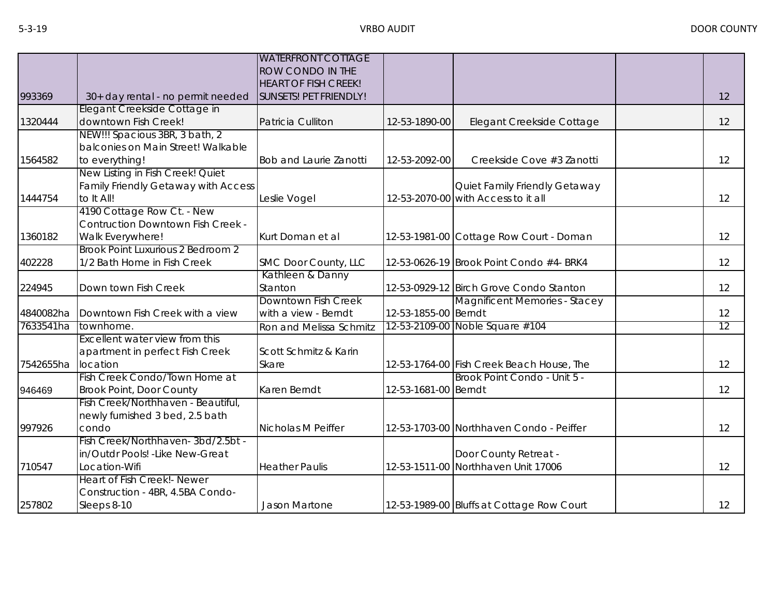|           |                                          | <b>WATERFRONT COTTAGE</b><br>ROW CONDO IN THE |                      |                                           |    |
|-----------|------------------------------------------|-----------------------------------------------|----------------------|-------------------------------------------|----|
|           |                                          | <b>HEART OF FISH CREEK!</b>                   |                      |                                           |    |
| 993369    | 30+ day rental - no permit needed        | SUNSETS! PET FRIENDLY!                        |                      |                                           | 12 |
|           | Elegant Creekside Cottage in             |                                               |                      |                                           |    |
| 1320444   | downtown Fish Creek!                     | Patricia Culliton                             | 12-53-1890-00        | Elegant Creekside Cottage                 | 12 |
|           | NEW!!! Spacious 3BR, 3 bath, 2           |                                               |                      |                                           |    |
|           | balconies on Main Street! Walkable       |                                               |                      |                                           |    |
| 1564582   | to everything!                           | <b>Bob and Laurie Zanotti</b>                 | 12-53-2092-00        | Creekside Cove #3 Zanotti                 | 12 |
|           | New Listing in Fish Creek! Quiet         |                                               |                      |                                           |    |
|           | Family Friendly Getaway with Access      |                                               |                      | Quiet Family Friendly Getaway             |    |
| 1444754   | to It All!                               | Leslie Vogel                                  |                      | 12-53-2070-00 with Access to it all       | 12 |
|           | 4190 Cottage Row Ct. - New               |                                               |                      |                                           |    |
|           | <b>Contruction Downtown Fish Creek -</b> |                                               |                      |                                           |    |
| 1360182   | Walk Everywhere!                         | Kurt Doman et al                              |                      | 12-53-1981-00 Cottage Row Court - Doman   | 12 |
|           | Brook Point Luxurious 2 Bedroom 2        |                                               |                      |                                           |    |
| 402228    | 1/2 Bath Home in Fish Creek              | SMC Door County, LLC                          |                      | 12-53-0626-19 Brook Point Condo #4- BRK4  | 12 |
|           |                                          | Kathleen & Danny                              |                      |                                           |    |
| 224945    | Down town Fish Creek                     | Stanton                                       |                      | 12-53-0929-12 Birch Grove Condo Stanton   | 12 |
|           |                                          | Downtown Fish Creek                           |                      | <b>Magnificent Memories - Stacey</b>      |    |
| 4840082ha | Downtown Fish Creek with a view          | with a view - Berndt                          | 12-53-1855-00 Berndt |                                           | 12 |
| 7633541ha | townhome.                                | Ron and Melissa Schmitz                       |                      | 12-53-2109-00 Noble Square #104           | 12 |
|           | Excellent water view from this           |                                               |                      |                                           |    |
|           | apartment in perfect Fish Creek          | Scott Schmitz & Karin                         |                      |                                           |    |
| 7542655ha | location                                 | Skare                                         |                      | 12-53-1764-00 Fish Creek Beach House, The | 12 |
|           | Fish Creek Condo/Town Home at            |                                               |                      | Brook Point Condo - Unit 5 -              |    |
| 946469    | <b>Brook Point, Door County</b>          | Karen Berndt                                  | 12-53-1681-00 Berndt |                                           | 12 |
|           | Fish Creek/Northhaven - Beautiful,       |                                               |                      |                                           |    |
|           | newly furnished 3 bed, 2.5 bath          |                                               |                      |                                           |    |
| 997926    | condo                                    | Nicholas M Peiffer                            |                      | 12-53-1703-00 Northhaven Condo - Peiffer  | 12 |
|           | Fish Creek/Northhaven-3bd/2.5bt -        |                                               |                      |                                           |    |
|           | in/Outdr Pools! - Like New-Great         |                                               |                      | Door County Retreat -                     |    |
| 710547    | Location-Wifi                            | <b>Heather Paulis</b>                         |                      | 12-53-1511-00 Northhaven Unit 17006       | 12 |
|           | Heart of Fish Creek!- Newer              |                                               |                      |                                           |    |
|           | Construction - 4BR, 4.5BA Condo-         |                                               |                      |                                           |    |
| 257802    | Sleeps 8-10                              | Jason Martone                                 |                      | 12-53-1989-00 Bluffs at Cottage Row Court | 12 |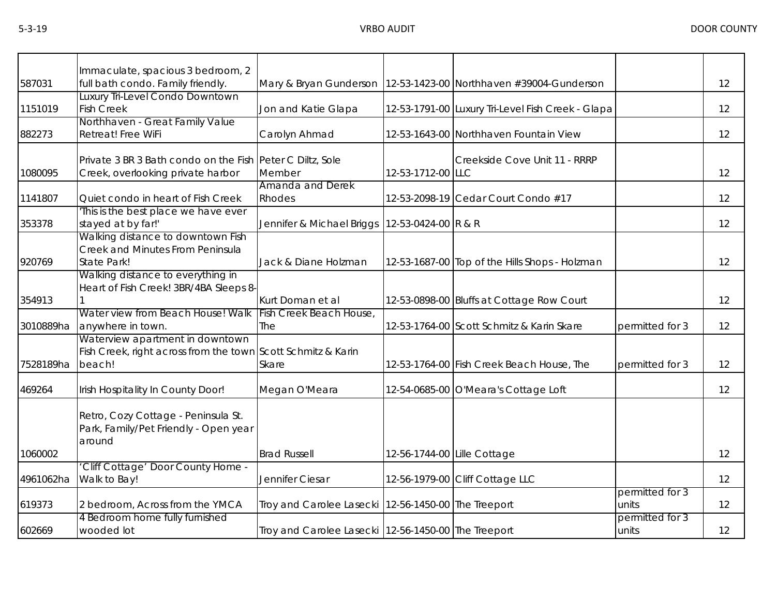|           | Immaculate, spacious 3 bedroom, 2                                                                         |                                                         |                             |                                                   |                          |    |
|-----------|-----------------------------------------------------------------------------------------------------------|---------------------------------------------------------|-----------------------------|---------------------------------------------------|--------------------------|----|
| 587031    | full bath condo. Family friendly.                                                                         | Mary & Bryan Gunderson                                  |                             | 12-53-1423-00 Northhaven #39004-Gunderson         |                          | 12 |
| 1151019   | Luxury Tri-Level Condo Downtown<br><b>Fish Creek</b>                                                      | Jon and Katie Glapa                                     |                             | 12-53-1791-00 Luxury Tri-Level Fish Creek - Glapa |                          | 12 |
| 882273    | Northhaven - Great Family Value<br>Retreat! Free WiFi                                                     | Carolyn Ahmad                                           |                             | 12-53-1643-00 Northhaven Fountain View            |                          | 12 |
| 1080095   | Private 3 BR 3 Bath condo on the Fish Peter C Diltz, Sole<br>Creek, overlooking private harbor            | Member                                                  | 12-53-1712-00 LLC           | Creekside Cove Unit 11 - RRRP                     |                          | 12 |
| 1141807   | Quiet condo in heart of Fish Creek                                                                        | Amanda and Derek<br>Rhodes                              |                             | 12-53-2098-19 Cedar Court Condo #17               |                          | 12 |
| 353378    | This is the best place we have ever<br>stayed at by far!'                                                 | Jennifer & Michael Briggs   12-53-0424-00 R & R         |                             |                                                   |                          | 12 |
| 920769    | Walking distance to downtown Fish<br>Creek and Minutes From Peninsula<br>State Park!                      | Jack & Diane Holzman                                    |                             | 12-53-1687-00 Top of the Hills Shops - Holzman    |                          | 12 |
| 354913    | Walking distance to everything in<br>Heart of Fish Creek! 3BR/4BA Sleeps 8-                               | Kurt Doman et al                                        |                             | 12-53-0898-00 Bluffs at Cottage Row Court         |                          | 12 |
| 3010889ha | Water view from Beach House! Walk<br>anywhere in town.                                                    | Fish Creek Beach House,<br>The                          |                             | 12-53-1764-00 Scott Schmitz & Karin Skare         | permitted for 3          | 12 |
| 7528189ha | Waterview apartment in downtown<br>Fish Creek, right across from the town Scott Schmitz & Karin<br>beach! | Skare                                                   |                             | 12-53-1764-00 Fish Creek Beach House, The         | permitted for 3          | 12 |
| 469264    | Irish Hospitality In County Door!                                                                         | Megan O'Meara                                           |                             | 12-54-0685-00 O'Meara's Cottage Loft              |                          | 12 |
|           | Retro, Cozy Cottage - Peninsula St.<br>Park, Family/Pet Friendly - Open year<br>around                    |                                                         |                             |                                                   |                          |    |
| 1060002   | 'Cliff Cottage' Door County Home -                                                                        | <b>Brad Russell</b>                                     | 12-56-1744-00 Lille Cottage |                                                   |                          | 12 |
| 4961062ha | Walk to Bay!                                                                                              | Jennifer Ciesar                                         |                             | 12-56-1979-00 Cliff Cottage LLC                   |                          | 12 |
| 619373    | 2 bedroom, Across from the YMCA                                                                           | Troy and Carolee Lasecki   12-56-1450-00   The Treeport |                             |                                                   | permitted for 3<br>units | 12 |
| 602669    | 4 Bedroom home fully furnished<br>wooded lot                                                              | Troy and Carolee Lasecki 12-56-1450-00 The Treeport     |                             |                                                   | permitted for 3<br>units | 12 |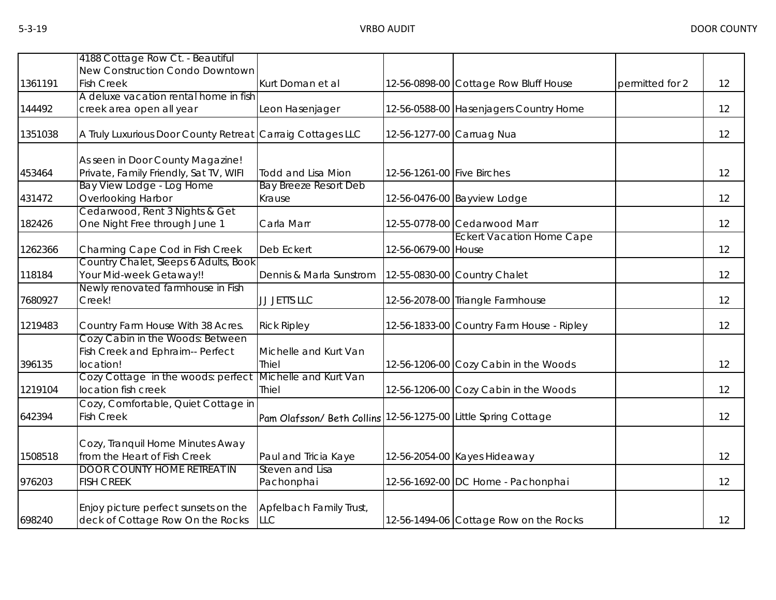|         | 4188 Cottage Row Ct. - Beautiful                                 |                                                                |                            |                                           |                 |    |
|---------|------------------------------------------------------------------|----------------------------------------------------------------|----------------------------|-------------------------------------------|-----------------|----|
|         | New Construction Condo Downtown                                  |                                                                |                            |                                           |                 |    |
| 1361191 | <b>Fish Creek</b>                                                | Kurt Doman et al                                               |                            | 12-56-0898-00 Cottage Row Bluff House     | permitted for 2 | 12 |
|         | A deluxe vacation rental home in fish                            |                                                                |                            |                                           |                 |    |
| 144492  | creek area open all year                                         | Leon Hasenjager                                                |                            | 12-56-0588-00 Hasenjagers Country Home    |                 | 12 |
| 1351038 | A Truly Luxurious Door County Retreat Carraig Cottages LLC       |                                                                | 12-56-1277-00 Carruag Nua  |                                           |                 | 12 |
|         | As seen in Door County Magazine!                                 |                                                                |                            |                                           |                 |    |
| 453464  | Private, Family Friendly, Sat TV, WIFI                           | <b>Todd and Lisa Mion</b>                                      | 12-56-1261-00 Five Birches |                                           |                 | 12 |
|         | Bay View Lodge - Log Home                                        | <b>Bay Breeze Resort Deb</b>                                   |                            |                                           |                 |    |
| 431472  | Overlooking Harbor                                               | Krause                                                         |                            | 12-56-0476-00 Bayview Lodge               |                 | 12 |
|         | Cedarwood, Rent 3 Nights & Get                                   |                                                                |                            |                                           |                 |    |
| 182426  | One Night Free through June 1                                    | Carla Marr                                                     |                            | 12-55-0778-00 Cedarwood Marr              |                 | 12 |
|         |                                                                  |                                                                |                            | <b>Eckert Vacation Home Cape</b>          |                 |    |
| 1262366 | Charming Cape Cod in Fish Creek                                  | Deb Eckert                                                     | 12-56-0679-00 House        |                                           |                 | 12 |
| 118184  | Country Chalet, Sleeps 6 Adults, Book<br>Your Mid-week Getaway!! |                                                                |                            |                                           |                 | 12 |
|         | Newly renovated farmhouse in Fish                                | Dennis & Marla Sunstrom                                        |                            | 12-55-0830-00 Country Chalet              |                 |    |
| 7680927 | Creek!                                                           | JJ JETTS LLC                                                   |                            | 12-56-2078-00 Triangle Farmhouse          |                 | 12 |
| 1219483 | Country Farm House With 38 Acres.                                | <b>Rick Ripley</b>                                             |                            | 12-56-1833-00 Country Farm House - Ripley |                 | 12 |
|         | Cozy Cabin in the Woods: Between                                 |                                                                |                            |                                           |                 |    |
|         | Fish Creek and Ephraim-- Perfect                                 | Michelle and Kurt Van                                          |                            |                                           |                 |    |
| 396135  | location!                                                        | Thiel                                                          |                            | 12-56-1206-00 Cozy Cabin in the Woods     |                 | 12 |
|         | Cozy Cottage in the woods: perfect Michelle and Kurt Van         |                                                                |                            |                                           |                 |    |
| 1219104 | location fish creek                                              | <b>Thiel</b>                                                   |                            | 12-56-1206-00 Cozy Cabin in the Woods     |                 | 12 |
|         | Cozy, Comfortable, Quiet Cottage in                              |                                                                |                            |                                           |                 |    |
| 642394  | <b>Fish Creek</b>                                                | Pam Olafsson/ Beth Collins 12-56-1275-00 Little Spring Cottage |                            |                                           |                 | 12 |
|         |                                                                  |                                                                |                            |                                           |                 |    |
| 1508518 | Cozy, Tranquil Home Minutes Away<br>from the Heart of Fish Creek |                                                                |                            |                                           |                 | 12 |
|         | <b>DOOR COUNTY HOME RETREAT IN</b>                               | Paul and Tricia Kaye<br>Steven and Lisa                        |                            | 12-56-2054-00 Kayes Hideaway              |                 |    |
| 976203  | <b>FISH CREEK</b>                                                | Pachonphai                                                     |                            | 12-56-1692-00 DC Home - Pachonphai        |                 | 12 |
|         |                                                                  |                                                                |                            |                                           |                 |    |
|         | Enjoy picture perfect sunsets on the                             | Apfelbach Family Trust,                                        |                            |                                           |                 |    |
| 698240  | deck of Cottage Row On the Rocks                                 | <b>LLC</b>                                                     |                            | 12-56-1494-06 Cottage Row on the Rocks    |                 | 12 |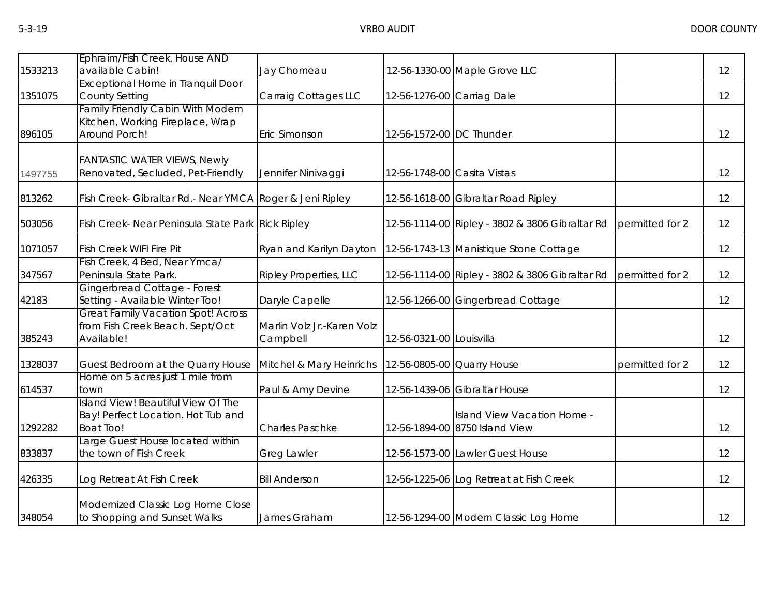|         | Ephraim/Fish Creek, House AND                                                                 |                                        |                             |                                                               |                 |    |
|---------|-----------------------------------------------------------------------------------------------|----------------------------------------|-----------------------------|---------------------------------------------------------------|-----------------|----|
| 1533213 | available Cabin!<br><b>Exceptional Home in Tranquil Door</b>                                  | Jay Chomeau                            |                             | 12-56-1330-00 Maple Grove LLC                                 |                 | 12 |
| 1351075 | <b>County Setting</b>                                                                         | Carraig Cottages LLC                   | 12-56-1276-00 Carriag Dale  |                                                               |                 | 12 |
| 896105  | <b>Family Friendly Cabin With Modern</b><br>Kitchen, Working Fireplace, Wrap<br>Around Porch! | Eric Simonson                          | 12-56-1572-00 DC Thunder    |                                                               |                 | 12 |
| 1497755 | <b>FANTASTIC WATER VIEWS, Newly</b><br>Renovated, Secluded, Pet-Friendly                      | Jennifer Ninivaggi                     | 12-56-1748-00 Casita Vistas |                                                               |                 | 12 |
| 813262  | Fish Creek- Gibraltar Rd.- Near YMCA Roger & Jeni Ripley                                      |                                        |                             | 12-56-1618-00 Gibraltar Road Ripley                           |                 | 12 |
| 503056  | Fish Creek- Near Peninsula State Park Rick Ripley                                             |                                        |                             | 12-56-1114-00 Ripley - 3802 & 3806 Gibraltar Rd               | permitted for 2 | 12 |
| 1071057 | <b>Fish Creek WIFI Fire Pit</b>                                                               | Ryan and Karilyn Dayton                |                             | 12-56-1743-13 Manistique Stone Cottage                        |                 | 12 |
| 347567  | Fish Creek, 4 Bed, Near Ymca/<br>Peninsula State Park.                                        | <b>Ripley Properties, LLC</b>          |                             | 12-56-1114-00 Ripley - 3802 & 3806 Gibraltar Rd               | permitted for 2 | 12 |
| 42183   | Gingerbread Cottage - Forest<br>Setting - Available Winter Too!                               | Daryle Capelle                         |                             | 12-56-1266-00 Gingerbread Cottage                             |                 | 12 |
| 385243  | <b>Great Family Vacation Spot! Across</b><br>from Fish Creek Beach. Sept/Oct<br>Available!    | Marlin Volz Jr.-Karen Volz<br>Campbell | 12-56-0321-00 Louisvilla    |                                                               |                 | 12 |
| 1328037 | Guest Bedroom at the Quarry House                                                             | Mitchel & Mary Heinrichs               | 12-56-0805-00 Quarry House  |                                                               | permitted for 2 | 12 |
| 614537  | Home on 5 acres just 1 mile from<br>town                                                      | Paul & Amy Devine                      |                             | 12-56-1439-06 Gibraltar House                                 |                 | 12 |
| 1292282 | Island View! Beautiful View Of The<br>Bay! Perfect Location. Hot Tub and<br><b>Boat Too!</b>  | <b>Charles Paschke</b>                 |                             | Island View Vacation Home -<br>12-56-1894-00 8750 Island View |                 | 12 |
| 833837  | Large Guest House located within<br>the town of Fish Creek                                    | Greg Lawler                            |                             | 12-56-1573-00 Lawler Guest House                              |                 | 12 |
| 426335  | Log Retreat At Fish Creek                                                                     | <b>Bill Anderson</b>                   |                             | 12-56-1225-06 Log Retreat at Fish Creek                       |                 | 12 |
| 348054  | Modernized Classic Log Home Close<br>to Shopping and Sunset Walks                             | James Graham                           |                             | 12-56-1294-00 Modern Classic Log Home                         |                 | 12 |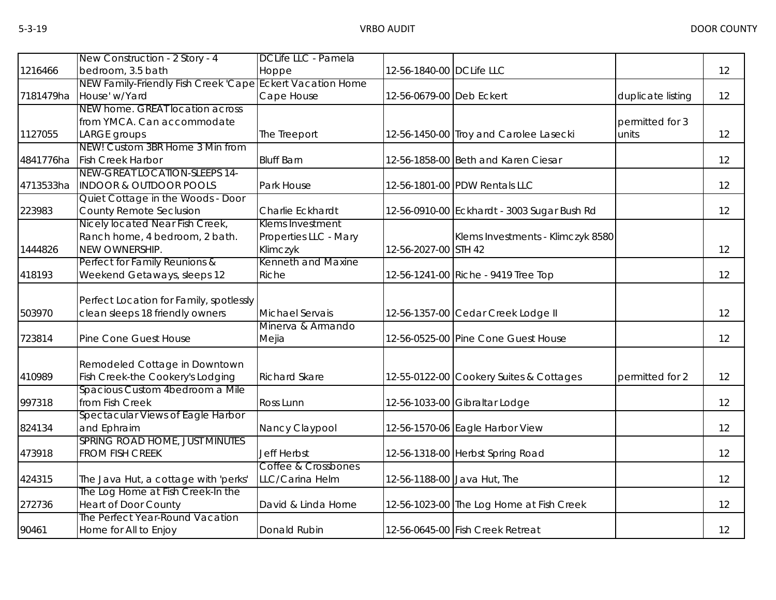|           | New Construction - 2 Story - 4                                 | DCLife LLC - Pamela   |                          |                                             |                   |    |
|-----------|----------------------------------------------------------------|-----------------------|--------------------------|---------------------------------------------|-------------------|----|
| 1216466   | bedroom, 3.5 bath                                              | Hoppe                 | 12-56-1840-00 DCLife LLC |                                             |                   | 12 |
|           | NEW Family-Friendly Fish Creek 'Cape Eckert Vacation Home      |                       |                          |                                             |                   |    |
| 7181479ha | House' w/Yard                                                  | Cape House            | 12-56-0679-00 Deb Eckert |                                             | duplicate listing | 12 |
|           | NEW home. GREAT location across                                |                       |                          |                                             |                   |    |
|           | from YMCA. Can accommodate                                     |                       |                          |                                             | permitted for 3   |    |
| 1127055   | LARGE groups                                                   | The Treeport          |                          | 12-56-1450-00 Troy and Carolee Lasecki      | units             | 12 |
|           | NEW! Custom 3BR Home 3 Min from                                |                       |                          |                                             |                   |    |
| 4841776ha | <b>Fish Creek Harbor</b>                                       | <b>Bluff Barn</b>     |                          | 12-56-1858-00 Beth and Karen Ciesar         |                   | 12 |
|           | NEW-GREAT LOCATION-SLEEPS 14-                                  |                       |                          |                                             |                   |    |
| 4713533ha | <b>INDOOR &amp; OUTDOOR POOLS</b>                              | Park House            |                          | 12-56-1801-00 PDW Rentals LLC               |                   | 12 |
|           | Quiet Cottage in the Woods - Door                              |                       |                          |                                             |                   |    |
| 223983    | County Remote Seclusion                                        | Charlie Eckhardt      |                          | 12-56-0910-00 Eckhardt - 3003 Sugar Bush Rd |                   | 12 |
|           | Nicely located Near Fish Creek,                                | Klems Investment      |                          |                                             |                   |    |
|           | Ranch home, 4 bedroom, 2 bath.                                 | Properties LLC - Mary |                          | Klems Investments - Klimczyk 8580           |                   |    |
| 1444826   | NEW OWNERSHIP.                                                 | Klimczyk              | 12-56-2027-00 STH 42     |                                             |                   | 12 |
|           | Perfect for Family Reunions &                                  | Kenneth and Maxine    |                          |                                             |                   |    |
| 418193    | Weekend Getaways, sleeps 12                                    | Riche                 |                          | 12-56-1241-00 Riche - 9419 Tree Top         |                   | 12 |
|           |                                                                |                       |                          |                                             |                   |    |
|           | Perfect Location for Family, spotlessly                        |                       |                          |                                             |                   |    |
| 503970    | clean sleeps 18 friendly owners                                | Michael Servais       |                          | 12-56-1357-00 Cedar Creek Lodge II          |                   | 12 |
|           |                                                                | Minerva & Armando     |                          |                                             |                   |    |
| 723814    | Pine Cone Guest House                                          | Mejia                 |                          | 12-56-0525-00 Pine Cone Guest House         |                   | 12 |
|           |                                                                |                       |                          |                                             |                   |    |
|           | Remodeled Cottage in Downtown                                  |                       |                          |                                             |                   |    |
| 410989    | Fish Creek-the Cookery's Lodging                               | <b>Richard Skare</b>  |                          | 12-55-0122-00 Cookery Suites & Cottages     | permitted for 2   | 12 |
|           | Spacious Custom 4bedroom a Mile                                |                       |                          |                                             |                   |    |
| 997318    | from Fish Creek                                                | Ross Lunn             |                          | 12-56-1033-00 Gibraltar Lodge               |                   | 12 |
|           | Spectacular Views of Eagle Harbor                              |                       |                          |                                             |                   |    |
| 824134    | and Ephraim                                                    | Nancy Claypool        |                          | 12-56-1570-06 Eagle Harbor View             |                   | 12 |
|           | SPRING ROAD HOME, JUST MINUTES                                 |                       |                          |                                             |                   |    |
| 473918    | <b>FROM FISH CREEK</b>                                         | <b>Jeff Herbst</b>    |                          | 12-56-1318-00 Herbst Spring Road            |                   | 12 |
|           |                                                                | Coffee & Crossbones   |                          |                                             |                   |    |
| 424315    | The Java Hut, a cottage with 'perks'                           | LLC/Carina Helm       |                          | 12-56-1188-00 Java Hut, The                 |                   | 12 |
|           | The Log Home at Fish Creek-In the                              |                       |                          |                                             |                   |    |
| 272736    | <b>Heart of Door County</b><br>The Perfect Year-Round Vacation | David & Linda Horne   |                          | 12-56-1023-00 The Log Home at Fish Creek    |                   | 12 |
|           |                                                                |                       |                          |                                             |                   |    |
| 90461     | Home for All to Enjoy                                          | Donald Rubin          |                          | 12-56-0645-00 Fish Creek Retreat            |                   | 12 |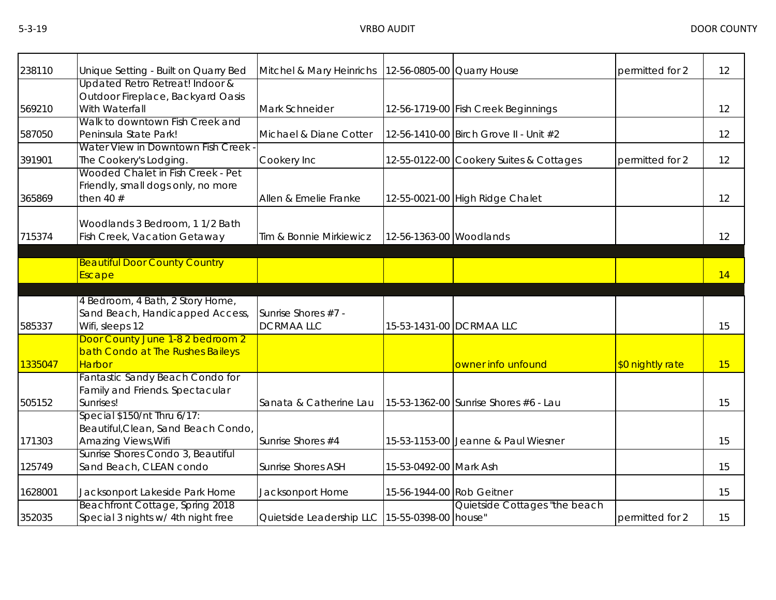| 238110  | Unique Setting - Built on Quarry Bed                                                      | Mitchel & Mary Heinrichs                          | 12-56-0805-00 Quarry House |                                         | permitted for 2  | 12 |
|---------|-------------------------------------------------------------------------------------------|---------------------------------------------------|----------------------------|-----------------------------------------|------------------|----|
| 569210  | Updated Retro Retreat! Indoor &<br>Outdoor Fireplace, Backyard Oasis<br>With Waterfall    | Mark Schneider                                    |                            | 12-56-1719-00 Fish Creek Beginnings     |                  | 12 |
| 587050  | Walk to downtown Fish Creek and<br>Peninsula State Park!                                  | Michael & Diane Cotter                            |                            | 12-56-1410-00 Birch Grove II - Unit #2  |                  | 12 |
| 391901  | Water View in Downtown Fish Creek -<br>The Cookery's Lodging.                             | Cookery Inc                                       |                            | 12-55-0122-00 Cookery Suites & Cottages | permitted for 2  | 12 |
| 365869  | Wooded Chalet in Fish Creek - Pet<br>Friendly, small dogs only, no more<br>then 40 $#$    | Allen & Emelie Franke                             |                            | 12-55-0021-00 High Ridge Chalet         |                  | 12 |
| 715374  | Woodlands 3 Bedroom, 1 1/2 Bath<br>Fish Creek, Vacation Getaway                           | Tim & Bonnie Mirkiewicz                           | 12-56-1363-00 Woodlands    |                                         |                  | 12 |
|         | <b>Beautiful Door County Country</b><br>Escape                                            |                                                   |                            |                                         |                  | 14 |
| 585337  | 4 Bedroom, 4 Bath, 2 Story Home,<br>Sand Beach, Handicapped Access,<br>Wifi, sleeps 12    | Sunrise Shores #7 -<br><b>DCRMAALLC</b>           |                            | 15-53-1431-00 DCRMAA LLC                |                  | 15 |
| 1335047 | Door County June 1-8 2 bedroom 2<br>bath Condo at The Rushes Baileys<br><b>Harbor</b>     |                                                   |                            | owner info unfound                      | \$0 nightly rate | 15 |
| 505152  | Fantastic Sandy Beach Condo for<br>Family and Friends. Spectacular<br>Sunrises!           | Sanata & Catherine Lau                            |                            | 15-53-1362-00 Sunrise Shores #6 - Lau   |                  | 15 |
| 171303  | Special \$150/nt Thru 6/17:<br>Beautiful, Clean, Sand Beach Condo,<br>Amazing Views, Wifi | Sunrise Shores #4                                 |                            | 15-53-1153-00 Jeanne & Paul Wiesner     |                  | 15 |
| 125749  | Sunrise Shores Condo 3, Beautiful<br>Sand Beach, CLEAN condo                              | <b>Sunrise Shores ASH</b>                         | 15-53-0492-00 Mark Ash     |                                         |                  | 15 |
| 1628001 | Jacksonport Lakeside Park Home                                                            | Jacksonport Home                                  | 15-56-1944-00 Rob Geitner  |                                         |                  | 15 |
| 352035  | Beachfront Cottage, Spring 2018<br>Special 3 nights w/ 4th night free                     | Quietside Leadership LLC   15-55-0398-00   house" |                            | Quietside Cottages "the beach           | permitted for 2  | 15 |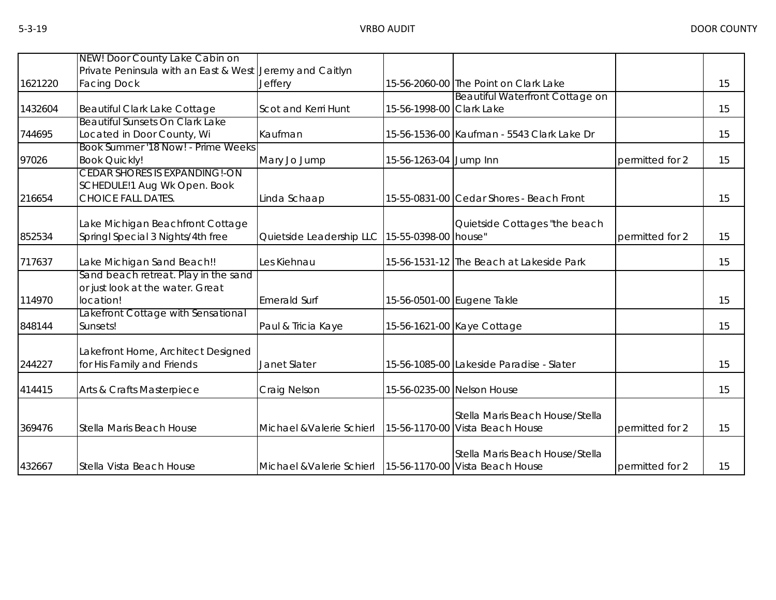|         | NEW! Door County Lake Cabin on                           |                                                             |                          |                                            |                 |    |
|---------|----------------------------------------------------------|-------------------------------------------------------------|--------------------------|--------------------------------------------|-----------------|----|
|         | Private Peninsula with an East & West Jeremy and Caitlyn |                                                             |                          |                                            |                 |    |
| 1621220 | <b>Facing Dock</b>                                       | <b>Jeffery</b>                                              |                          | 15-56-2060-00 The Point on Clark Lake      |                 | 15 |
|         |                                                          |                                                             |                          | Beautiful Waterfront Cottage on            |                 |    |
| 1432604 | Beautiful Clark Lake Cottage                             | Scot and Kerri Hunt                                         | 15-56-1998-00 Clark Lake |                                            |                 | 15 |
|         | Beautiful Sunsets On Clark Lake                          |                                                             |                          |                                            |                 |    |
| 744695  | Located in Door County, Wi                               | Kaufman                                                     |                          | 15-56-1536-00 Kaufman - 5543 Clark Lake Dr |                 | 15 |
|         | Book Summer '18 Now! - Prime Weeks                       |                                                             |                          |                                            |                 |    |
| 97026   | <b>Book Quickly!</b>                                     | Mary Jo Jump                                                | 15-56-1263-04 Jump Inn   |                                            | permitted for 2 | 15 |
|         | <b>CEDAR SHORES IS EXPANDING!-ON</b>                     |                                                             |                          |                                            |                 |    |
|         | SCHEDULE!1 Aug Wk Open. Book                             |                                                             |                          |                                            |                 |    |
| 216654  | <b>CHOICE FALL DATES.</b>                                | Linda Schaap                                                |                          | 15-55-0831-00 Cedar Shores - Beach Front   |                 | 15 |
|         |                                                          |                                                             |                          |                                            |                 |    |
|         | Lake Michigan Beachfront Cottage                         |                                                             |                          | Quietside Cottages "the beach              |                 |    |
| 852534  | Springl Special 3 Nights/4th free                        | Quietside Leadership LLC 15-55-0398-00 house"               |                          |                                            | permitted for 2 | 15 |
|         |                                                          |                                                             |                          |                                            |                 |    |
| 717637  | Lake Michigan Sand Beach!!                               | Les Kiehnau                                                 |                          | 15-56-1531-12 The Beach at Lakeside Park   |                 | 15 |
|         | Sand beach retreat. Play in the sand                     |                                                             |                          |                                            |                 |    |
|         | or just look at the water. Great                         |                                                             |                          |                                            |                 |    |
| 114970  | location!                                                | <b>Emerald Surf</b>                                         |                          | 15-56-0501-00 Eugene Takle                 |                 | 15 |
|         | Lakefront Cottage with Sensational                       |                                                             |                          |                                            |                 |    |
| 848144  | Sunsets!                                                 | Paul & Tricia Kaye                                          |                          | 15-56-1621-00 Kaye Cottage                 |                 | 15 |
|         |                                                          |                                                             |                          |                                            |                 |    |
|         |                                                          |                                                             |                          |                                            |                 |    |
|         | Lakefront Home, Architect Designed                       |                                                             |                          |                                            |                 |    |
| 244227  | for His Family and Friends                               | Janet Slater                                                |                          | 15-56-1085-00 Lakeside Paradise - Slater   |                 | 15 |
|         |                                                          |                                                             |                          |                                            |                 |    |
| 414415  | Arts & Crafts Masterpiece                                | Craig Nelson                                                |                          | 15-56-0235-00 Nelson House                 |                 | 15 |
|         |                                                          |                                                             |                          |                                            |                 |    |
|         |                                                          |                                                             |                          | Stella Maris Beach House/Stella            |                 |    |
| 369476  | Stella Maris Beach House                                 | Michael & Valerie Schierl                                   |                          | 15-56-1170-00 Vista Beach House            | permitted for 2 | 15 |
|         |                                                          |                                                             |                          |                                            |                 |    |
|         |                                                          |                                                             |                          | Stella Maris Beach House/Stella            |                 |    |
| 432667  | Stella Vista Beach House                                 | Michael & Valerie Schierl   15-56-1170-00 Vista Beach House |                          |                                            | permitted for 2 | 15 |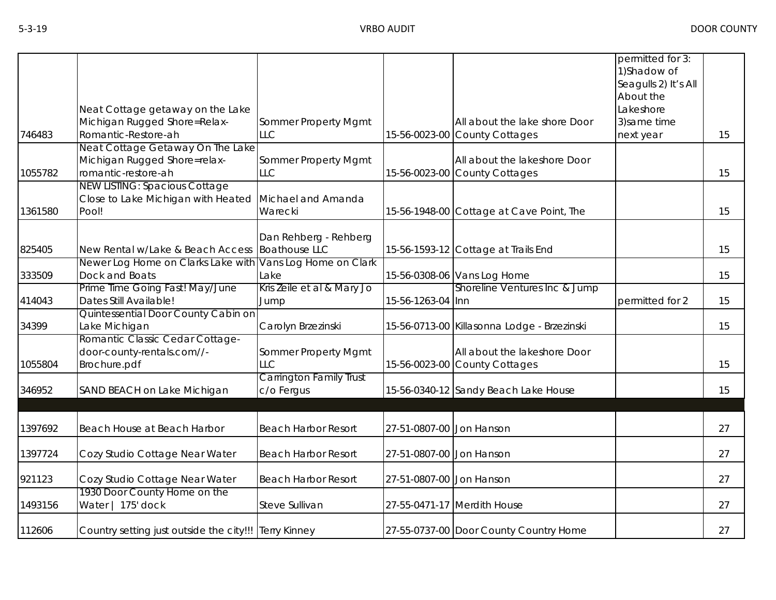|         |                                                                                     |                                               |                          |                                                               | permitted for 3:<br>1) Shadow of<br>Seagulls 2) It's All<br>About the |    |
|---------|-------------------------------------------------------------------------------------|-----------------------------------------------|--------------------------|---------------------------------------------------------------|-----------------------------------------------------------------------|----|
|         | Neat Cottage getaway on the Lake                                                    |                                               |                          |                                                               | Lakeshore                                                             |    |
|         | Michigan Rugged Shore=Relax-                                                        | Sommer Property Mgmt                          |                          | All about the lake shore Door                                 | 3) same time                                                          |    |
| 746483  | Romantic-Restore-ah<br>Neat Cottage Getaway On The Lake                             | LLC                                           |                          | 15-56-0023-00 County Cottages                                 | next year                                                             | 15 |
| 1055782 | Michigan Rugged Shore=relax-<br>romantic-restore-ah                                 | Sommer Property Mgmt<br>LLC                   |                          | All about the lakeshore Door<br>15-56-0023-00 County Cottages |                                                                       | 15 |
| 1361580 | <b>NEW LISTING: Spacious Cottage</b><br>Close to Lake Michigan with Heated<br>Pool! | Michael and Amanda<br>Warecki                 |                          | 15-56-1948-00 Cottage at Cave Point, The                      |                                                                       | 15 |
| 825405  | New Rental w/Lake & Beach Access                                                    | Dan Rehberg - Rehberg<br><b>Boathouse LLC</b> |                          | 15-56-1593-12 Cottage at Trails End                           |                                                                       | 15 |
| 333509  | Newer Log Home on Clarks Lake with<br>Dock and Boats                                | Vans Log Home on Clark<br>Lake                |                          | 15-56-0308-06 Vans Log Home                                   |                                                                       | 15 |
| 414043  | Prime Time Going Fast! May/June<br>Dates Still Available!                           | Kris Zeile et al & Mary Jo<br>Jump            | 15-56-1263-04 Inn        | Shoreline Ventures Inc & Jump                                 | permitted for 2                                                       | 15 |
| 34399   | Quintessential Door County Cabin on<br>Lake Michigan                                | Carolyn Brzezinski                            |                          | 15-56-0713-00 Killasonna Lodge - Brzezinski                   |                                                                       | 15 |
| 1055804 | Romantic Classic Cedar Cottage-<br>door-county-rentals.com//-<br>Brochure.pdf       | Sommer Property Mgmt<br>LLC                   |                          | All about the lakeshore Door<br>15-56-0023-00 County Cottages |                                                                       | 15 |
| 346952  | SAND BEACH on Lake Michigan                                                         | <b>Carrington Family Trust</b><br>c/o Fergus  |                          | 15-56-0340-12 Sandy Beach Lake House                          |                                                                       | 15 |
|         |                                                                                     |                                               |                          |                                                               |                                                                       |    |
| 1397692 | Beach House at Beach Harbor                                                         | <b>Beach Harbor Resort</b>                    | 27-51-0807-00 Jon Hanson |                                                               |                                                                       | 27 |
| 1397724 | Cozy Studio Cottage Near Water                                                      | <b>Beach Harbor Resort</b>                    | 27-51-0807-00 Jon Hanson |                                                               |                                                                       | 27 |
| 921123  | Cozy Studio Cottage Near Water                                                      | <b>Beach Harbor Resort</b>                    | 27-51-0807-00 Jon Hanson |                                                               |                                                                       | 27 |
| 1493156 | 1930 Door County Home on the<br>Water   175' dock                                   | Steve Sullivan                                |                          | 27-55-0471-17 Merdith House                                   |                                                                       | 27 |
| 112606  | Country setting just outside the city!!! Terry Kinney                               |                                               |                          | 27-55-0737-00 Door County Country Home                        |                                                                       | 27 |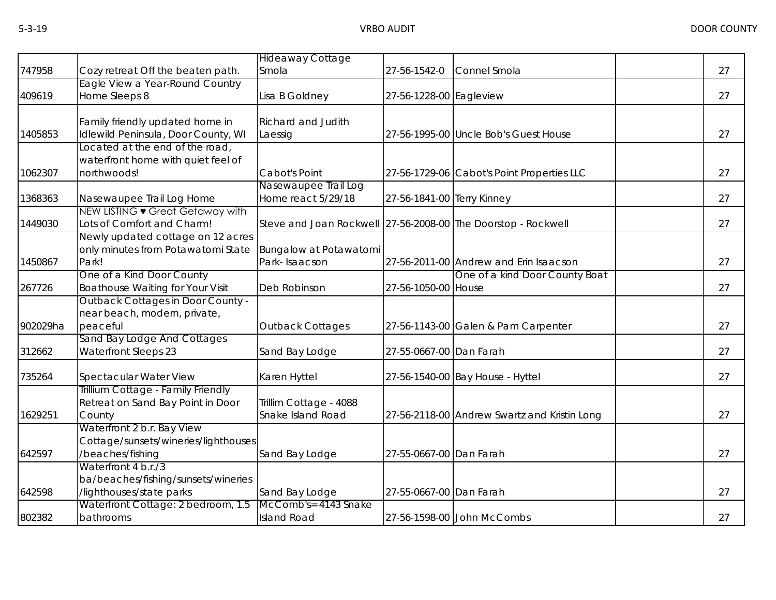|                                     | <b>Hideaway Cottage</b>                                                                                                                                                                                                                                                                                                                                                                                                                                                                                                                                                                                                                                                                                                                                                                     |                                                                                                                                                                                                                           |              |                                                                                                                                                                                                                                                                                                                                                                                                                                                                                                                                                            |    |
|-------------------------------------|---------------------------------------------------------------------------------------------------------------------------------------------------------------------------------------------------------------------------------------------------------------------------------------------------------------------------------------------------------------------------------------------------------------------------------------------------------------------------------------------------------------------------------------------------------------------------------------------------------------------------------------------------------------------------------------------------------------------------------------------------------------------------------------------|---------------------------------------------------------------------------------------------------------------------------------------------------------------------------------------------------------------------------|--------------|------------------------------------------------------------------------------------------------------------------------------------------------------------------------------------------------------------------------------------------------------------------------------------------------------------------------------------------------------------------------------------------------------------------------------------------------------------------------------------------------------------------------------------------------------------|----|
| Cozy retreat Off the beaten path.   | Smola                                                                                                                                                                                                                                                                                                                                                                                                                                                                                                                                                                                                                                                                                                                                                                                       | 27-56-1542-0                                                                                                                                                                                                              | Connel Smola |                                                                                                                                                                                                                                                                                                                                                                                                                                                                                                                                                            | 27 |
|                                     |                                                                                                                                                                                                                                                                                                                                                                                                                                                                                                                                                                                                                                                                                                                                                                                             |                                                                                                                                                                                                                           |              |                                                                                                                                                                                                                                                                                                                                                                                                                                                                                                                                                            |    |
|                                     |                                                                                                                                                                                                                                                                                                                                                                                                                                                                                                                                                                                                                                                                                                                                                                                             |                                                                                                                                                                                                                           |              |                                                                                                                                                                                                                                                                                                                                                                                                                                                                                                                                                            | 27 |
|                                     | <b>Richard and Judith</b>                                                                                                                                                                                                                                                                                                                                                                                                                                                                                                                                                                                                                                                                                                                                                                   |                                                                                                                                                                                                                           |              |                                                                                                                                                                                                                                                                                                                                                                                                                                                                                                                                                            |    |
| Idlewild Peninsula, Door County, WI | Laessig                                                                                                                                                                                                                                                                                                                                                                                                                                                                                                                                                                                                                                                                                                                                                                                     |                                                                                                                                                                                                                           |              |                                                                                                                                                                                                                                                                                                                                                                                                                                                                                                                                                            | 27 |
|                                     |                                                                                                                                                                                                                                                                                                                                                                                                                                                                                                                                                                                                                                                                                                                                                                                             |                                                                                                                                                                                                                           |              |                                                                                                                                                                                                                                                                                                                                                                                                                                                                                                                                                            |    |
|                                     |                                                                                                                                                                                                                                                                                                                                                                                                                                                                                                                                                                                                                                                                                                                                                                                             |                                                                                                                                                                                                                           |              |                                                                                                                                                                                                                                                                                                                                                                                                                                                                                                                                                            |    |
|                                     |                                                                                                                                                                                                                                                                                                                                                                                                                                                                                                                                                                                                                                                                                                                                                                                             |                                                                                                                                                                                                                           |              |                                                                                                                                                                                                                                                                                                                                                                                                                                                                                                                                                            | 27 |
|                                     |                                                                                                                                                                                                                                                                                                                                                                                                                                                                                                                                                                                                                                                                                                                                                                                             |                                                                                                                                                                                                                           |              |                                                                                                                                                                                                                                                                                                                                                                                                                                                                                                                                                            |    |
|                                     |                                                                                                                                                                                                                                                                                                                                                                                                                                                                                                                                                                                                                                                                                                                                                                                             |                                                                                                                                                                                                                           |              |                                                                                                                                                                                                                                                                                                                                                                                                                                                                                                                                                            | 27 |
|                                     |                                                                                                                                                                                                                                                                                                                                                                                                                                                                                                                                                                                                                                                                                                                                                                                             |                                                                                                                                                                                                                           |              |                                                                                                                                                                                                                                                                                                                                                                                                                                                                                                                                                            |    |
|                                     |                                                                                                                                                                                                                                                                                                                                                                                                                                                                                                                                                                                                                                                                                                                                                                                             |                                                                                                                                                                                                                           |              |                                                                                                                                                                                                                                                                                                                                                                                                                                                                                                                                                            | 27 |
|                                     |                                                                                                                                                                                                                                                                                                                                                                                                                                                                                                                                                                                                                                                                                                                                                                                             |                                                                                                                                                                                                                           |              |                                                                                                                                                                                                                                                                                                                                                                                                                                                                                                                                                            |    |
|                                     |                                                                                                                                                                                                                                                                                                                                                                                                                                                                                                                                                                                                                                                                                                                                                                                             |                                                                                                                                                                                                                           |              |                                                                                                                                                                                                                                                                                                                                                                                                                                                                                                                                                            | 27 |
|                                     |                                                                                                                                                                                                                                                                                                                                                                                                                                                                                                                                                                                                                                                                                                                                                                                             |                                                                                                                                                                                                                           |              |                                                                                                                                                                                                                                                                                                                                                                                                                                                                                                                                                            |    |
|                                     |                                                                                                                                                                                                                                                                                                                                                                                                                                                                                                                                                                                                                                                                                                                                                                                             |                                                                                                                                                                                                                           |              |                                                                                                                                                                                                                                                                                                                                                                                                                                                                                                                                                            | 27 |
|                                     |                                                                                                                                                                                                                                                                                                                                                                                                                                                                                                                                                                                                                                                                                                                                                                                             |                                                                                                                                                                                                                           |              |                                                                                                                                                                                                                                                                                                                                                                                                                                                                                                                                                            |    |
|                                     |                                                                                                                                                                                                                                                                                                                                                                                                                                                                                                                                                                                                                                                                                                                                                                                             |                                                                                                                                                                                                                           |              |                                                                                                                                                                                                                                                                                                                                                                                                                                                                                                                                                            |    |
| peaceful                            | Outback Cottages                                                                                                                                                                                                                                                                                                                                                                                                                                                                                                                                                                                                                                                                                                                                                                            |                                                                                                                                                                                                                           |              |                                                                                                                                                                                                                                                                                                                                                                                                                                                                                                                                                            | 27 |
| Sand Bay Lodge And Cottages         |                                                                                                                                                                                                                                                                                                                                                                                                                                                                                                                                                                                                                                                                                                                                                                                             |                                                                                                                                                                                                                           |              |                                                                                                                                                                                                                                                                                                                                                                                                                                                                                                                                                            |    |
| <b>Waterfront Sleeps 23</b>         | Sand Bay Lodge                                                                                                                                                                                                                                                                                                                                                                                                                                                                                                                                                                                                                                                                                                                                                                              |                                                                                                                                                                                                                           |              |                                                                                                                                                                                                                                                                                                                                                                                                                                                                                                                                                            | 27 |
| Spectacular Water View              | Karen Hyttel                                                                                                                                                                                                                                                                                                                                                                                                                                                                                                                                                                                                                                                                                                                                                                                |                                                                                                                                                                                                                           |              |                                                                                                                                                                                                                                                                                                                                                                                                                                                                                                                                                            | 27 |
| Trillium Cottage - Family Friendly  |                                                                                                                                                                                                                                                                                                                                                                                                                                                                                                                                                                                                                                                                                                                                                                                             |                                                                                                                                                                                                                           |              |                                                                                                                                                                                                                                                                                                                                                                                                                                                                                                                                                            |    |
|                                     | Trillim Cottage - 4088                                                                                                                                                                                                                                                                                                                                                                                                                                                                                                                                                                                                                                                                                                                                                                      |                                                                                                                                                                                                                           |              |                                                                                                                                                                                                                                                                                                                                                                                                                                                                                                                                                            |    |
|                                     |                                                                                                                                                                                                                                                                                                                                                                                                                                                                                                                                                                                                                                                                                                                                                                                             |                                                                                                                                                                                                                           |              |                                                                                                                                                                                                                                                                                                                                                                                                                                                                                                                                                            | 27 |
|                                     |                                                                                                                                                                                                                                                                                                                                                                                                                                                                                                                                                                                                                                                                                                                                                                                             |                                                                                                                                                                                                                           |              |                                                                                                                                                                                                                                                                                                                                                                                                                                                                                                                                                            |    |
|                                     |                                                                                                                                                                                                                                                                                                                                                                                                                                                                                                                                                                                                                                                                                                                                                                                             |                                                                                                                                                                                                                           |              |                                                                                                                                                                                                                                                                                                                                                                                                                                                                                                                                                            |    |
|                                     |                                                                                                                                                                                                                                                                                                                                                                                                                                                                                                                                                                                                                                                                                                                                                                                             |                                                                                                                                                                                                                           |              |                                                                                                                                                                                                                                                                                                                                                                                                                                                                                                                                                            | 27 |
|                                     |                                                                                                                                                                                                                                                                                                                                                                                                                                                                                                                                                                                                                                                                                                                                                                                             |                                                                                                                                                                                                                           |              |                                                                                                                                                                                                                                                                                                                                                                                                                                                                                                                                                            |    |
|                                     |                                                                                                                                                                                                                                                                                                                                                                                                                                                                                                                                                                                                                                                                                                                                                                                             |                                                                                                                                                                                                                           |              |                                                                                                                                                                                                                                                                                                                                                                                                                                                                                                                                                            |    |
|                                     |                                                                                                                                                                                                                                                                                                                                                                                                                                                                                                                                                                                                                                                                                                                                                                                             |                                                                                                                                                                                                                           |              |                                                                                                                                                                                                                                                                                                                                                                                                                                                                                                                                                            | 27 |
| bathrooms                           | <b>Island Road</b>                                                                                                                                                                                                                                                                                                                                                                                                                                                                                                                                                                                                                                                                                                                                                                          |                                                                                                                                                                                                                           |              |                                                                                                                                                                                                                                                                                                                                                                                                                                                                                                                                                            | 27 |
|                                     | Eagle View a Year-Round Country<br>Home Sleeps 8<br>Family friendly updated home in<br>Located at the end of the road,<br>waterfront home with quiet feel of<br>northwoods!<br>Nasewaupee Trail Log Home<br>NEW LISTING • Great Getaway with<br>Lots of Comfort and Charm!<br>Newly updated cottage on 12 acres<br>only minutes from Potawatomi State<br>Park!<br>One of a Kind Door County<br><b>Boathouse Waiting for Your Visit</b><br><b>Outback Cottages in Door County -</b><br>near beach, modern, private,<br>Retreat on Sand Bay Point in Door<br>County<br>Waterfront 2 b.r. Bay View<br>Cottage/sunsets/wineries/lighthouses<br>/beaches/fishing<br>Waterfront 4 b.r./3<br>ba/beaches/fishing/sunsets/wineries<br>/lighthouses/state parks<br>Waterfront Cottage: 2 bedroom, 1.5 | Lisa B Goldney<br>Cabot's Point<br>Nasewaupee Trail Log<br>Home react 5/29/18<br>Bungalow at Potawatomi<br>Park-Isaacson<br>Deb Robinson<br>Snake Island Road<br>Sand Bay Lodge<br>Sand Bay Lodge<br>McComb's= 4143 Snake |              | 27-56-1228-00 Eagleview<br>27-56-1995-00 Uncle Bob's Guest House<br>27-56-1729-06 Cabot's Point Properties LLC<br>27-56-1841-00 Terry Kinney<br>Steve and Joan Rockwell 27-56-2008-00 The Doorstop - Rockwell<br>27-56-2011-00 Andrew and Erin Isaacson<br>One of a kind Door County Boat<br>27-56-1050-00 House<br>27-56-1143-00 Galen & Pam Carpenter<br>27-55-0667-00 Dan Farah<br>27-56-1540-00 Bay House - Hyttel<br>27-56-2118-00 Andrew Swartz and Kristin Long<br>27-55-0667-00 Dan Farah<br>27-55-0667-00 Dan Farah<br>27-56-1598-00 John McCombs |    |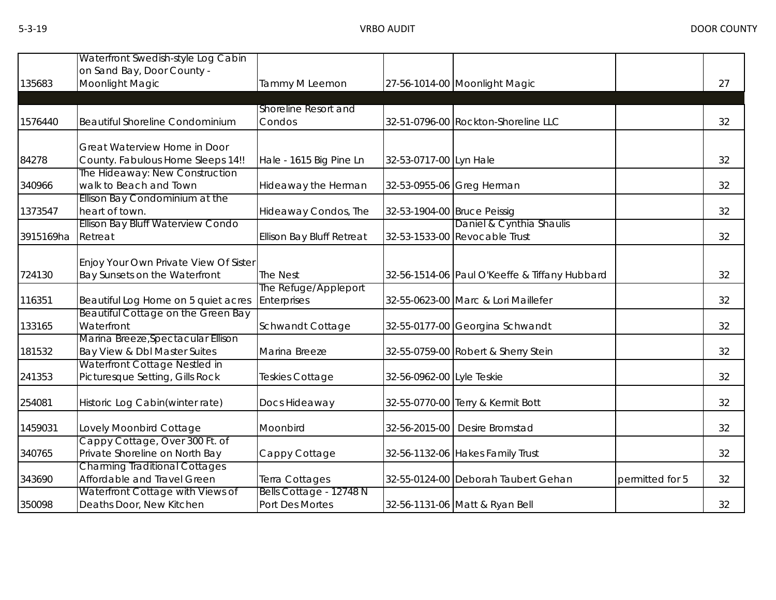| 135683    | Waterfront Swedish-style Log Cabin<br>on Sand Bay, Door County -<br>Moonlight Magic | Tammy M Leemon                             |                             | 27-56-1014-00 Moonlight Magic                             |                 | 27 |
|-----------|-------------------------------------------------------------------------------------|--------------------------------------------|-----------------------------|-----------------------------------------------------------|-----------------|----|
| 1576440   | <b>Beautiful Shoreline Condominium</b>                                              | Shoreline Resort and<br>Condos             |                             | 32-51-0796-00 Rockton-Shoreline LLC                       |                 | 32 |
| 84278     | Great Waterview Home in Door<br>County. Fabulous Home Sleeps 14!!                   | Hale - 1615 Big Pine Ln                    | 32-53-0717-00 Lyn Hale      |                                                           |                 | 32 |
| 340966    | The Hideaway: New Construction<br>walk to Beach and Town                            | Hideaway the Herman                        |                             | 32-53-0955-06 Greg Herman                                 |                 | 32 |
| 1373547   | Ellison Bay Condominium at the<br>heart of town.                                    | Hideaway Condos, The                       | 32-53-1904-00 Bruce Peissig |                                                           |                 | 32 |
| 3915169ha | Ellison Bay Bluff Waterview Condo<br>Retreat                                        | <b>Ellison Bay Bluff Retreat</b>           |                             | Daniel & Cynthia Shaulis<br>32-53-1533-00 Revocable Trust |                 | 32 |
| 724130    | Enjoy Your Own Private View Of Sister<br>Bay Sunsets on the Waterfront              | The Nest                                   |                             | 32-56-1514-06 Paul O'Keeffe & Tiffany Hubbard             |                 | 32 |
| 116351    | Beautiful Log Home on 5 quiet acres                                                 | The Refuge/Appleport<br>Enterprises        |                             | 32-55-0623-00 Marc & Lori Maillefer                       |                 | 32 |
| 133165    | Beautiful Cottage on the Green Bay<br>Waterfront                                    | Schwandt Cottage                           |                             | 32-55-0177-00 Georgina Schwandt                           |                 | 32 |
| 181532    | Marina Breeze, Spectacular Ellison<br>Bay View & Dbl Master Suites                  | Marina Breeze                              |                             | 32-55-0759-00 Robert & Sherry Stein                       |                 | 32 |
| 241353    | Waterfront Cottage Nestled in<br>Picturesque Setting, Gills Rock                    | Teskies Cottage                            | 32-56-0962-00 Lyle Teskie   |                                                           |                 | 32 |
| 254081    | Historic Log Cabin(winter rate)                                                     | Docs Hideaway                              |                             | 32-55-0770-00 Terry & Kermit Bott                         |                 | 32 |
| 1459031   | Lovely Moonbird Cottage                                                             | Moonbird                                   |                             | 32-56-2015-00 Desire Bromstad                             |                 | 32 |
| 340765    | Cappy Cottage, Over 300 Ft. of<br>Private Shoreline on North Bay                    | Cappy Cottage                              |                             | 32-56-1132-06 Hakes Family Trust                          |                 | 32 |
| 343690    | <b>Charming Traditional Cottages</b><br>Affordable and Travel Green                 | Terra Cottages                             |                             | 32-55-0124-00 Deborah Taubert Gehan                       | permitted for 5 | 32 |
| 350098    | Waterfront Cottage with Views of<br>Deaths Door, New Kitchen                        | Bells Cottage - 12748 N<br>Port Des Mortes |                             | 32-56-1131-06 Matt & Ryan Bell                            |                 | 32 |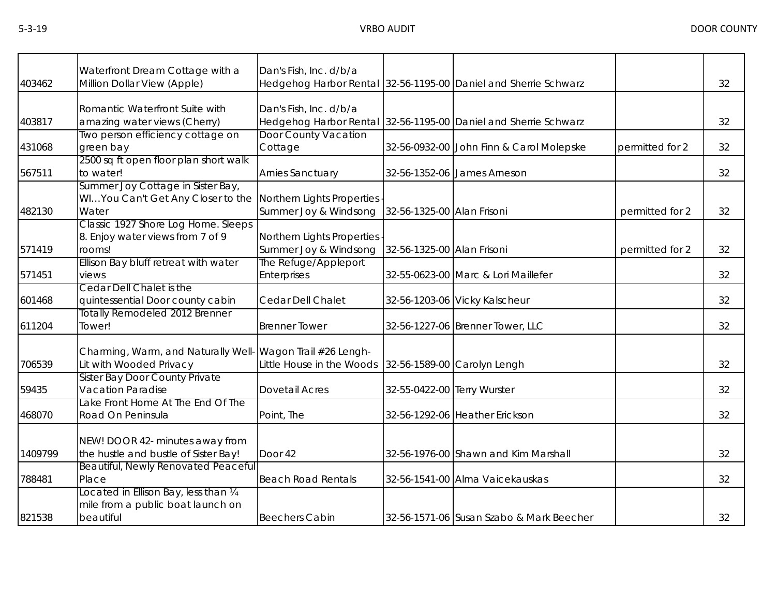|         | Waterfront Dream Cottage with a                                                         | Dan's Fish, Inc. d/b/a                                |                             |                                                                 |                 |    |
|---------|-----------------------------------------------------------------------------------------|-------------------------------------------------------|-----------------------------|-----------------------------------------------------------------|-----------------|----|
| 403462  | Million Dollar View (Apple)                                                             |                                                       |                             | Hedgehog Harbor Rental 32-56-1195-00 Daniel and Sherrie Schwarz |                 | 32 |
| 403817  | Romantic Waterfront Suite with<br>amazing water views (Cherry)                          | Dan's Fish, Inc. d/b/a                                |                             | Hedgehog Harbor Rental 32-56-1195-00 Daniel and Sherrie Schwarz |                 | 32 |
| 431068  | Two person efficiency cottage on<br>green bay                                           | <b>Door County Vacation</b><br>Cottage                |                             | 32-56-0932-00 John Finn & Carol Molepske                        | permitted for 2 | 32 |
| 567511  | 2500 sq ft open floor plan short walk<br>to water!                                      | Arnies Sanctuary                                      |                             | 32-56-1352-06 James Arneson                                     |                 | 32 |
| 482130  | Summer Joy Cottage in Sister Bay,<br>WIYou Can't Get Any Closer to the<br>Water         | Northern Lights Properties<br>Summer Joy & Windsong   | 32-56-1325-00 Alan Frisoni  |                                                                 | permitted for 2 | 32 |
| 571419  | Classic 1927 Shore Log Home. Sleeps<br>8. Enjoy water views from 7 of 9<br>rooms!       | Northern Lights Properties<br>Summer Joy & Windsong   | 32-56-1325-00 Alan Frisoni  |                                                                 | permitted for 2 | 32 |
| 571451  | Ellison Bay bluff retreat with water<br>views                                           | The Refuge/Appleport<br><b>Enterprises</b>            |                             | 32-55-0623-00 Marc & Lori Maillefer                             |                 | 32 |
| 601468  | Cedar Dell Chalet is the<br>quintessential Door county cabin                            | Cedar Dell Chalet                                     |                             | 32-56-1203-06 Vicky Kalscheur                                   |                 | 32 |
| 611204  | <b>Totally Remodeled 2012 Brenner</b><br>Tower!                                         | <b>Brenner Tower</b>                                  |                             | 32-56-1227-06 Brenner Tower, LLC                                |                 | 32 |
| 706539  | Charming, Warm, and Naturally Well- Wagon Trail #26 Lengh-<br>Lit with Wooded Privacy   | Little House in the Woods 32-56-1589-00 Carolyn Lengh |                             |                                                                 |                 | 32 |
| 59435   | <b>Sister Bay Door County Private</b><br><b>Vacation Paradise</b>                       | <b>Dovetail Acres</b>                                 | 32-55-0422-00 Terry Wurster |                                                                 |                 | 32 |
| 468070  | Lake Front Home At The End Of The<br>Road On Peninsula                                  | Point, The                                            |                             | 32-56-1292-06 Heather Erickson                                  |                 | 32 |
| 1409799 | NEW! DOOR 42- minutes away from<br>the hustle and bustle of Sister Bay!                 | Door 42                                               |                             | 32-56-1976-00 Shawn and Kim Marshall                            |                 | 32 |
| 788481  | Beautiful, Newly Renovated Peaceful<br>Place                                            | <b>Beach Road Rentals</b>                             |                             | 32-56-1541-00 Alma Vaicekauskas                                 |                 | 32 |
| 821538  | Located in Ellison Bay, less than 1/4<br>mile from a public boat launch on<br>beautiful | <b>Beechers Cabin</b>                                 |                             | 32-56-1571-06 Susan Szabo & Mark Beecher                        |                 | 32 |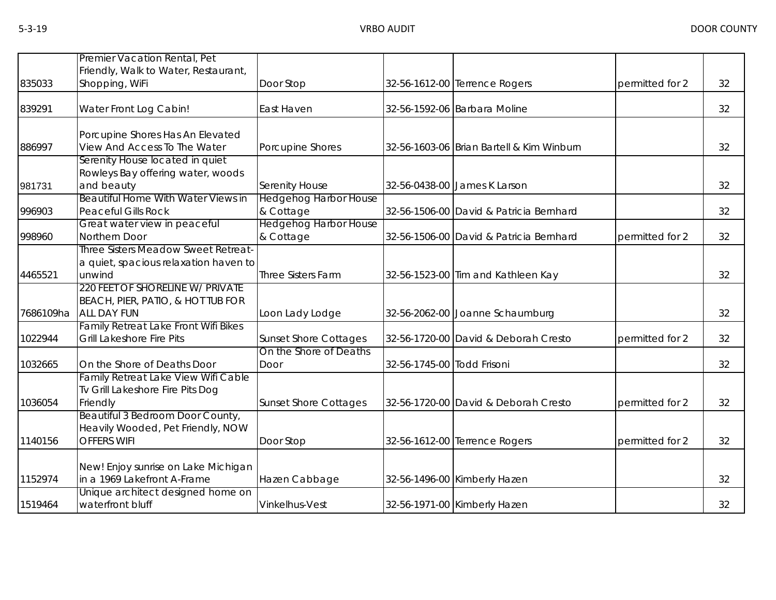|           | Premier Vacation Rental, Pet                                         |                              |                            |                                           |                 |    |
|-----------|----------------------------------------------------------------------|------------------------------|----------------------------|-------------------------------------------|-----------------|----|
| 835033    | Friendly, Walk to Water, Restaurant,                                 |                              |                            |                                           |                 | 32 |
|           | Shopping, WiFi                                                       | Door Stop                    |                            | 32-56-1612-00 Terrence Rogers             | permitted for 2 |    |
| 839291    | Water Front Log Cabin!                                               | East Haven                   |                            | 32-56-1592-06 Barbara Moline              |                 | 32 |
|           |                                                                      |                              |                            |                                           |                 |    |
|           | Porcupine Shores Has An Elevated                                     |                              |                            |                                           |                 |    |
| 886997    | View And Access To The Water                                         | Porcupine Shores             |                            | 32-56-1603-06 Brian Bartell & Kim Winburn |                 | 32 |
|           | Serenity House located in quiet<br>Rowleys Bay offering water, woods |                              |                            |                                           |                 |    |
| 981731    | and beauty                                                           | <b>Serenity House</b>        |                            | 32-56-0438-00 James K Larson              |                 | 32 |
|           | Beautiful Home With Water Views in                                   | <b>Hedgehog Harbor House</b> |                            |                                           |                 |    |
| 996903    | <b>Peaceful Gills Rock</b>                                           | & Cottage                    |                            | 32-56-1506-00 David & Patricia Bernhard   |                 | 32 |
|           | Great water view in peaceful                                         | <b>Hedgehog Harbor House</b> |                            |                                           |                 |    |
| 998960    | Northern Door                                                        | & Cottage                    |                            | 32-56-1506-00 David & Patricia Bernhard   | permitted for 2 | 32 |
|           | Three Sisters Meadow Sweet Retreat-                                  |                              |                            |                                           |                 |    |
|           | a quiet, spacious relaxation haven to                                |                              |                            |                                           |                 |    |
| 4465521   | unwind                                                               | Three Sisters Farm           |                            | 32-56-1523-00 Tim and Kathleen Kay        |                 | 32 |
|           | 220 FEET OF SHORELINE W/ PRIVATE                                     |                              |                            |                                           |                 |    |
|           | BEACH, PIER, PATIO, & HOT TUB FOR                                    |                              |                            |                                           |                 |    |
| 7686109ha | ALL DAY FUN<br>Family Retreat Lake Front Wifi Bikes                  | Loon Lady Lodge              |                            | 32-56-2062-00 Joanne Schaumburg           |                 | 32 |
| 1022944   | <b>Grill Lakeshore Fire Pits</b>                                     | <b>Sunset Shore Cottages</b> |                            | 32-56-1720-00 David & Deborah Cresto      | permitted for 2 | 32 |
|           |                                                                      | On the Shore of Deaths       |                            |                                           |                 |    |
| 1032665   | On the Shore of Deaths Door                                          | Door                         | 32-56-1745-00 Todd Frisoni |                                           |                 | 32 |
|           | Family Retreat Lake View Wifi Cable                                  |                              |                            |                                           |                 |    |
|           | Tv Grill Lakeshore Fire Pits Dog                                     |                              |                            |                                           |                 |    |
| 1036054   | Friendly                                                             | <b>Sunset Shore Cottages</b> |                            | 32-56-1720-00 David & Deborah Cresto      | permitted for 2 | 32 |
|           | Beautiful 3 Bedroom Door County,                                     |                              |                            |                                           |                 |    |
|           | Heavily Wooded, Pet Friendly, NOW                                    |                              |                            |                                           |                 |    |
| 1140156   | <b>OFFERS WIFI</b>                                                   | Door Stop                    |                            | 32-56-1612-00 Terrence Rogers             | permitted for 2 | 32 |
|           | New! Enjoy sunrise on Lake Michigan                                  |                              |                            |                                           |                 |    |
| 1152974   | in a 1969 Lakefront A-Frame                                          | Hazen Cabbage                |                            | 32-56-1496-00 Kimberly Hazen              |                 | 32 |
|           | Unique architect designed home on                                    |                              |                            |                                           |                 |    |
| 1519464   | waterfront bluff                                                     | Vinkelhus-Vest               |                            | 32-56-1971-00 Kimberly Hazen              |                 | 32 |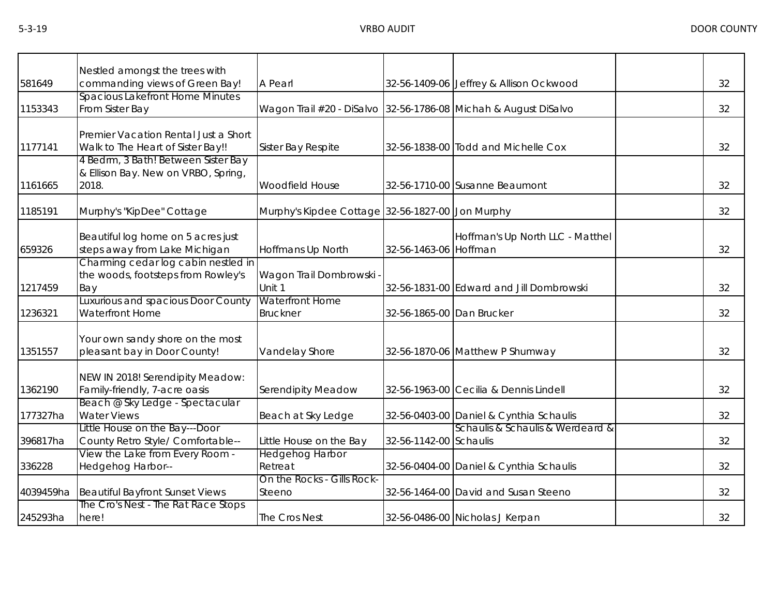|           | Nestled amongst the trees with                                                      |                                                                 |                           |                                          |    |
|-----------|-------------------------------------------------------------------------------------|-----------------------------------------------------------------|---------------------------|------------------------------------------|----|
| 581649    | commanding views of Green Bay!                                                      | A Pearl                                                         |                           | 32-56-1409-06 Jeffrey & Allison Ockwood  | 32 |
| 1153343   | <b>Spacious Lakefront Home Minutes</b><br>From Sister Bay                           | Wagon Trail #20 - DiSalvo 32-56-1786-08 Michah & August DiSalvo |                           |                                          | 32 |
| 1177141   | Premier Vacation Rental Just a Short<br>Walk to The Heart of Sister Bay!!           | Sister Bay Respite                                              |                           | 32-56-1838-00 Todd and Michelle Cox      | 32 |
| 1161665   | 4 Bedrm, 3 Bath! Between Sister Bay<br>& Ellison Bay. New on VRBO, Spring,<br>2018. | Woodfield House                                                 |                           | 32-56-1710-00 Susanne Beaumont           | 32 |
| 1185191   | Murphy's "KipDee" Cottage                                                           | Murphy's Kipdee Cottage 32-56-1827-00 Jon Murphy                |                           |                                          | 32 |
| 659326    | Beautiful log home on 5 acres just<br>steps away from Lake Michigan                 | Hoffmans Up North                                               | 32-56-1463-06 Hoffman     | Hoffman's Up North LLC - Matthel         | 32 |
| 1217459   | Charming cedar log cabin nestled in<br>the woods, footsteps from Rowley's<br>Bay    | Wagon Trail Dombrowski -<br>Unit 1                              |                           | 32-56-1831-00 Edward and Jill Dombrowski | 32 |
| 1236321   | Luxurious and spacious Door County<br>Waterfront Home                               | <b>Waterfront Home</b><br><b>Bruckner</b>                       | 32-56-1865-00 Dan Brucker |                                          | 32 |
| 1351557   | Your own sandy shore on the most<br>pleasant bay in Door County!                    | Vandelay Shore                                                  |                           | 32-56-1870-06 Matthew P Shumway          | 32 |
| 1362190   | NEW IN 2018! Serendipity Meadow:<br>Family-friendly, 7-acre oasis                   | <b>Serendipity Meadow</b>                                       |                           | 32-56-1963-00 Cecilia & Dennis Lindell   | 32 |
| 177327ha  | Beach @ Sky Ledge - Spectacular<br><b>Water Views</b>                               | Beach at Sky Ledge                                              |                           | 32-56-0403-00 Daniel & Cynthia Schaulis  | 32 |
| 396817ha  | Little House on the Bay---Door<br>County Retro Style/ Comfortable--                 | Little House on the Bay                                         | 32-56-1142-00 Schaulis    | Schaulis & Schaulis & Werdeard &         | 32 |
| 336228    | View the Lake from Every Room -<br>Hedgehog Harbor--                                | Hedgehog Harbor<br>Retreat                                      |                           | 32-56-0404-00 Daniel & Cynthia Schaulis  | 32 |
| 4039459ha | <b>Beautiful Bayfront Sunset Views</b>                                              | On the Rocks - Gills Rock-<br>Steeno                            |                           | 32-56-1464-00 David and Susan Steeno     | 32 |
| 245293ha  | The Cro's Nest - The Rat Race Stops<br>here!                                        | The Cros Nest                                                   |                           | 32-56-0486-00 Nicholas J Kerpan          | 32 |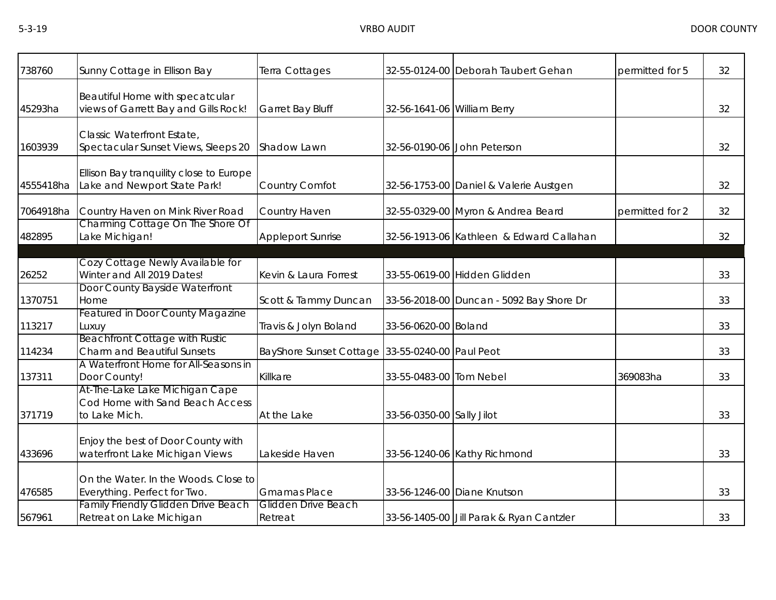| 738760    | Sunny Cottage in Ellison Bay                                                       | Terra Cottages                                  |                             | 32-55-0124-00 Deborah Taubert Gehan      | permitted for 5 | 32 |
|-----------|------------------------------------------------------------------------------------|-------------------------------------------------|-----------------------------|------------------------------------------|-----------------|----|
| 45293ha   | Beautiful Home with specatcular<br>views of Garrett Bay and Gills Rock!            | Garret Bay Bluff                                | 32-56-1641-06 William Berry |                                          |                 | 32 |
| 1603939   | Classic Waterfront Estate,<br>Spectacular Sunset Views, Sleeps 20                  | Shadow Lawn                                     |                             | 32-56-0190-06 John Peterson              |                 | 32 |
| 4555418ha | Ellison Bay tranquility close to Europe<br>Lake and Newport State Park!            | Country Comfot                                  |                             | 32-56-1753-00 Daniel & Valerie Austgen   |                 | 32 |
| 7064918ha | Country Haven on Mink River Road                                                   | Country Haven                                   |                             | 32-55-0329-00 Myron & Andrea Beard       | permitted for 2 | 32 |
| 482895    | Charming Cottage On The Shore Of<br>Lake Michigan!                                 | <b>Appleport Sunrise</b>                        |                             | 32-56-1913-06 Kathleen & Edward Callahan |                 | 32 |
| 26252     | Cozy Cottage Newly Available for<br>Winter and All 2019 Dates!                     | Kevin & Laura Forrest                           |                             | 33-55-0619-00 Hidden Glidden             |                 | 33 |
| 1370751   | Door County Bayside Waterfront<br>Home                                             | Scott & Tammy Duncan                            |                             | 33-56-2018-00 Duncan - 5092 Bay Shore Dr |                 | 33 |
| 113217    | <b>Featured in Door County Magazine</b><br>Luxuy                                   | Travis & Jolyn Boland                           | 33-56-0620-00 Boland        |                                          |                 | 33 |
| 114234    | <b>Beachfront Cottage with Rustic</b><br><b>Charm and Beautiful Sunsets</b>        | BayShore Sunset Cottage 33-55-0240-00 Paul Peot |                             |                                          |                 | 33 |
| 137311    | A Waterfront Home for All-Seasons in<br>Door County!                               | Killkare                                        | 33-55-0483-00 Tom Nebel     |                                          | 369083ha        | 33 |
| 371719    | At-The-Lake Lake Michigan Cape<br>Cod Home with Sand Beach Access<br>to Lake Mich. | At the Lake                                     | 33-56-0350-00 Sally Jilot   |                                          |                 | 33 |
| 433696    | Enjoy the best of Door County with<br>waterfront Lake Michigan Views               | Lakeside Haven                                  |                             | 33-56-1240-06 Kathy Richmond             |                 | 33 |
| 476585    | On the Water. In the Woods. Close to<br>Everything. Perfect for Two.               | <b>Gmamas Place</b>                             |                             | 33-56-1246-00 Diane Knutson              |                 | 33 |
| 567961    | <b>Family Friendly Glidden Drive Beach</b><br>Retreat on Lake Michigan             | <b>Glidden Drive Beach</b><br>Retreat           |                             | 33-56-1405-00 Jill Parak & Ryan Cantzler |                 | 33 |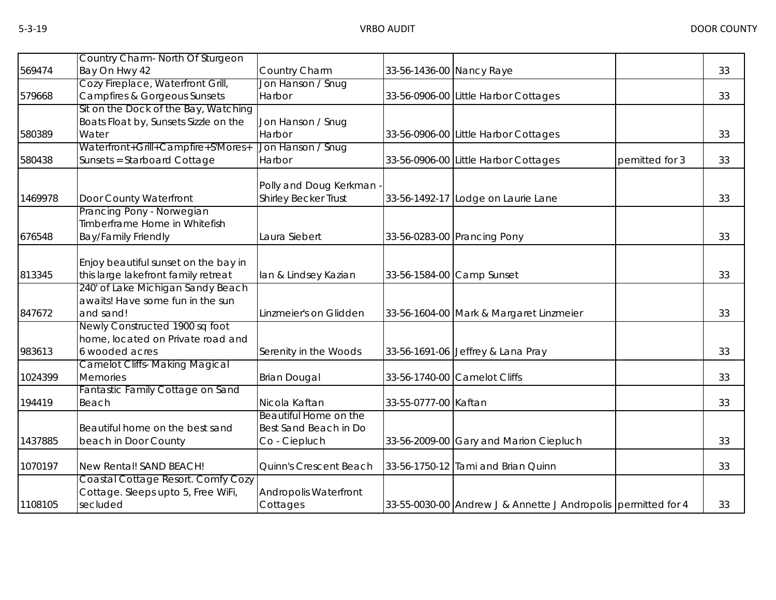|         | Country Charm- North Of Sturgeon        |                              |                           |                                                               |                |    |
|---------|-----------------------------------------|------------------------------|---------------------------|---------------------------------------------------------------|----------------|----|
| 569474  | Bay On Hwy 42                           | Country Charm                | 33-56-1436-00 Nancy Raye  |                                                               |                | 33 |
|         | Cozy Fireplace, Waterfront Grill,       | Jon Hanson / Snug            |                           |                                                               |                |    |
| 579668  | <b>Campfires &amp; Gorgeous Sunsets</b> | Harbor                       |                           | 33-56-0906-00 Little Harbor Cottages                          |                | 33 |
|         | Sit on the Dock of the Bay, Watching    |                              |                           |                                                               |                |    |
|         | Boats Float by, Sunsets Sizzle on the   | Jon Hanson / Snug            |                           |                                                               |                |    |
| 580389  | Water                                   | Harbor                       |                           | 33-56-0906-00 Little Harbor Cottages                          |                | 33 |
|         | Waterfront+Grill+Campfire+S'Mores+      | Jon Hanson / Snug            |                           |                                                               |                |    |
| 580438  | Sunsets = Starboard Cottage             | Harbor                       |                           | 33-56-0906-00 Little Harbor Cottages                          | pemitted for 3 | 33 |
|         |                                         |                              |                           |                                                               |                |    |
|         |                                         | Polly and Doug Kerkman -     |                           |                                                               |                |    |
| 1469978 | Door County Waterfront                  | <b>Shirley Becker Trust</b>  |                           | 33-56-1492-17 Lodge on Laurie Lane                            |                | 33 |
|         | Prancing Pony - Norwegian               |                              |                           |                                                               |                |    |
|         | Timberframe Home in Whitefish           |                              |                           |                                                               |                |    |
| 676548  | <b>Bay/Family Friendly</b>              | Laura Siebert                |                           | 33-56-0283-00 Prancing Pony                                   |                | 33 |
|         |                                         |                              |                           |                                                               |                |    |
|         | Enjoy beautiful sunset on the bay in    |                              |                           |                                                               |                |    |
| 813345  | this large lakefront family retreat     | lan & Lindsey Kazian         | 33-56-1584-00 Camp Sunset |                                                               |                | 33 |
|         | 240' of Lake Michigan Sandy Beach       |                              |                           |                                                               |                |    |
|         | awaits! Have some fun in the sun        |                              |                           |                                                               |                |    |
| 847672  | and sand!                               | Linzmeier's on Glidden       |                           | 33-56-1604-00 Mark & Margaret Linzmeier                       |                | 33 |
|         | Newly Constructed 1900 sq foot          |                              |                           |                                                               |                |    |
|         | home, located on Private road and       |                              |                           |                                                               |                |    |
| 983613  | 6 wooded acres                          | Serenity in the Woods        |                           | 33-56-1691-06 Jeffrey & Lana Pray                             |                | 33 |
|         | <b>Camelot Cliffs- Making Magical</b>   |                              |                           |                                                               |                |    |
| 1024399 | <b>Memories</b>                         | <b>Brian Dougal</b>          |                           | 33-56-1740-00 Camelot Cliffs                                  |                | 33 |
|         | Fantastic Family Cottage on Sand        |                              |                           |                                                               |                |    |
| 194419  | Beach                                   | Nicola Kaftan                | 33-55-0777-00 Kaftan      |                                                               |                | 33 |
|         |                                         | Beautiful Home on the        |                           |                                                               |                |    |
|         | Beautiful home on the best sand         | Best Sand Beach in Do        |                           |                                                               |                |    |
| 1437885 | beach in Door County                    | Co - Ciepluch                |                           | 33-56-2009-00 Gary and Marion Ciepluch                        |                | 33 |
|         |                                         |                              |                           |                                                               |                |    |
| 1070197 | New Rental! SAND BEACH!                 | Quinn's Crescent Beach       |                           | 33-56-1750-12 Tami and Brian Quinn                            |                | 33 |
|         | Coastal Cottage Resort. Comfy Cozy      |                              |                           |                                                               |                |    |
|         | Cottage. Sleeps upto 5, Free WiFi,      | <b>Andropolis Waterfront</b> |                           |                                                               |                |    |
| 1108105 | secluded                                | Cottages                     |                           | 33-55-0030-00 Andrew J & Annette J Andropolis permitted for 4 |                | 33 |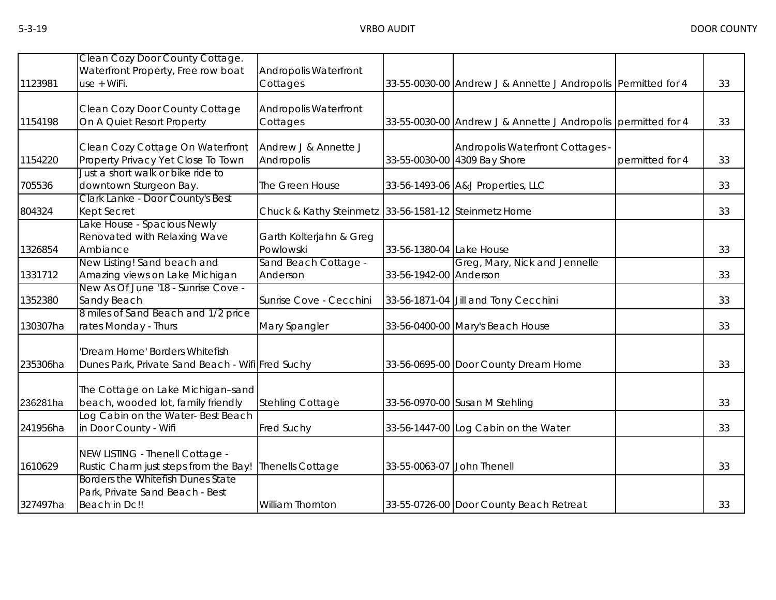|          | Clean Cozy Door County Cottage.                                            |                                                      |                            |                                                               |                 |    |
|----------|----------------------------------------------------------------------------|------------------------------------------------------|----------------------------|---------------------------------------------------------------|-----------------|----|
|          | Waterfront Property, Free row boat                                         | Andropolis Waterfront                                |                            |                                                               |                 |    |
| 1123981  | use + WiFi.                                                                | Cottages                                             |                            | 33-55-0030-00 Andrew J & Annette J Andropolis Permitted for 4 |                 | 33 |
|          |                                                                            |                                                      |                            |                                                               |                 |    |
|          | Clean Cozy Door County Cottage                                             | Andropolis Waterfront                                |                            |                                                               |                 |    |
| 1154198  | On A Quiet Resort Property                                                 | Cottages                                             |                            | 33-55-0030-00 Andrew J & Annette J Andropolis permitted for 4 |                 | 33 |
|          |                                                                            |                                                      |                            |                                                               |                 |    |
|          | Clean Cozy Cottage On Waterfront                                           | Andrew J & Annette J                                 |                            | Andropolis Waterfront Cottages -                              |                 |    |
| 1154220  | Property Privacy Yet Close To Town                                         | Andropolis                                           |                            | 33-55-0030-00 4309 Bay Shore                                  | permitted for 4 | 33 |
|          | Just a short walk or bike ride to                                          |                                                      |                            |                                                               |                 |    |
| 705536   | downtown Sturgeon Bay.                                                     | The Green House                                      |                            | 33-56-1493-06 A&J Properties, LLC                             |                 | 33 |
|          | Clark Lanke - Door County's Best                                           |                                                      |                            |                                                               |                 |    |
| 804324   | <b>Kept Secret</b>                                                         | Chuck & Kathy Steinmetz 33-56-1581-12 Steinmetz Home |                            |                                                               |                 | 33 |
|          | Lake House - Spacious Newly                                                |                                                      |                            |                                                               |                 |    |
|          | Renovated with Relaxing Wave                                               | Garth Kolterjahn & Greg                              |                            |                                                               |                 |    |
| 1326854  | Ambiance                                                                   | Powlowski                                            | 33-56-1380-04 Lake House   |                                                               |                 | 33 |
|          | New Listing! Sand beach and                                                | Sand Beach Cottage -                                 |                            | Greg, Mary, Nick and Jennelle                                 |                 |    |
| 1331712  | Amazing views on Lake Michigan                                             | Anderson                                             | 33-56-1942-00 Anderson     |                                                               |                 | 33 |
|          | New As Of June '18 - Sunrise Cove -                                        |                                                      |                            |                                                               |                 |    |
| 1352380  | Sandy Beach                                                                | Sunrise Cove - Cecchini                              |                            | 33-56-1871-04 Jill and Tony Cecchini                          |                 | 33 |
|          | 8 miles of Sand Beach and 1/2 price                                        |                                                      |                            |                                                               |                 |    |
| 130307ha | rates Monday - Thurs                                                       | Mary Spangler                                        |                            | 33-56-0400-00 Mary's Beach House                              |                 | 33 |
|          |                                                                            |                                                      |                            |                                                               |                 |    |
|          | Dream Home' Borders Whitefish                                              |                                                      |                            |                                                               |                 |    |
| 235306ha | Dunes Park, Private Sand Beach - Wifi Fred Suchy                           |                                                      |                            | 33-56-0695-00 Door County Dream Home                          |                 | 33 |
|          |                                                                            |                                                      |                            |                                                               |                 |    |
|          | The Cottage on Lake Michigan-sand                                          |                                                      |                            |                                                               |                 |    |
| 236281ha | beach, wooded lot, family friendly                                         | Stehling Cottage                                     |                            | 33-56-0970-00 Susan M Stehling                                |                 | 33 |
|          | Log Cabin on the Water-Best Beach                                          |                                                      |                            |                                                               |                 |    |
| 241956ha | in Door County - Wifi                                                      | Fred Suchy                                           |                            | 33-56-1447-00 Log Cabin on the Water                          |                 | 33 |
|          |                                                                            |                                                      |                            |                                                               |                 |    |
|          | NEW LISTING - Thenell Cottage -                                            |                                                      |                            |                                                               |                 |    |
| 1610629  | Rustic Charm just steps from the Bay!<br>Borders the Whitefish Dunes State | <b>Thenells Cottage</b>                              | 33-55-0063-07 John Thenell |                                                               |                 | 33 |
|          |                                                                            |                                                      |                            |                                                               |                 |    |
|          | Park, Private Sand Beach - Best                                            |                                                      |                            |                                                               |                 |    |
| 327497ha | Beach in Dc!!                                                              | William Thornton                                     |                            | 33-55-0726-00 Door County Beach Retreat                       |                 | 33 |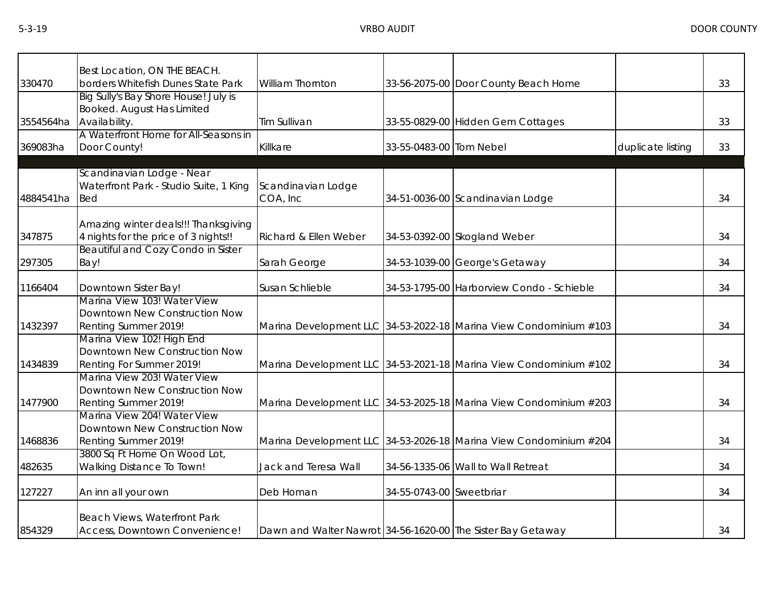|           | Best Location, ON THE BEACH.                                                               |                                                             |                          |                                                                   |                   |    |
|-----------|--------------------------------------------------------------------------------------------|-------------------------------------------------------------|--------------------------|-------------------------------------------------------------------|-------------------|----|
| 330470    | borders Whitefish Dunes State Park                                                         | <b>William Thornton</b>                                     |                          | 33-56-2075-00 Door County Beach Home                              |                   | 33 |
| 3554564ha | Big Sully's Bay Shore House! July is<br><b>Booked. August Has Limited</b><br>Availability. | Tim Sullivan                                                |                          | 33-55-0829-00 Hidden Gem Cottages                                 |                   | 33 |
| 369083ha  | A Waterfront Home for All-Seasons in<br>Door County!                                       | Killkare                                                    | 33-55-0483-00 Tom Nebel  |                                                                   | duplicate listing | 33 |
| 4884541ha | Scandinavian Lodge - Near<br>Waterfront Park - Studio Suite, 1 King<br>Bed                 | Scandinavian Lodge<br>COA, Inc                              |                          | 34-51-0036-00 Scandinavian Lodge                                  |                   | 34 |
| 347875    | Amazing winter deals!!! Thanksgiving<br>4 nights for the price of 3 nights!!               | Richard & Ellen Weber                                       |                          | 34-53-0392-00 Skogland Weber                                      |                   | 34 |
| 297305    | Beautiful and Cozy Condo in Sister<br>Bay!                                                 | Sarah George                                                |                          | 34-53-1039-00 George's Getaway                                    |                   | 34 |
| 1166404   | Downtown Sister Bay!                                                                       | Susan Schlieble                                             |                          | 34-53-1795-00 Harborview Condo - Schieble                         |                   | 34 |
| 1432397   | Marina View 103! Water View<br>Downtown New Construction Now<br>Renting Summer 2019!       |                                                             |                          | Marina Development LLC 34-53-2022-18 Marina View Condominium #103 |                   | 34 |
| 1434839   | Marina View 102! High End<br>Downtown New Construction Now<br>Renting For Summer 2019!     |                                                             |                          | Marina Development LLC 34-53-2021-18 Marina View Condominium #102 |                   | 34 |
| 1477900   | Marina View 203! Water View<br>Downtown New Construction Now<br>Renting Summer 2019!       |                                                             |                          | Marina Development LLC 34-53-2025-18 Marina View Condominium #203 |                   | 34 |
| 1468836   | Marina View 204! Water View<br>Downtown New Construction Now<br>Renting Summer 2019!       |                                                             |                          | Marina Development LLC 34-53-2026-18 Marina View Condominium #204 |                   | 34 |
| 482635    | 3800 Sq Ft Home On Wood Lot,<br>Walking Distance To Town!                                  | Jack and Teresa Wall                                        |                          | 34-56-1335-06 Wall to Wall Retreat                                |                   | 34 |
| 127227    | An inn all your own                                                                        | Deb Homan                                                   | 34-55-0743-00 Sweetbriar |                                                                   |                   | 34 |
| 854329    | Beach Views, Waterfront Park<br>Access, Downtown Convenience!                              | Dawn and Walter Nawrot 34-56-1620-00 The Sister Bay Getaway |                          |                                                                   |                   | 34 |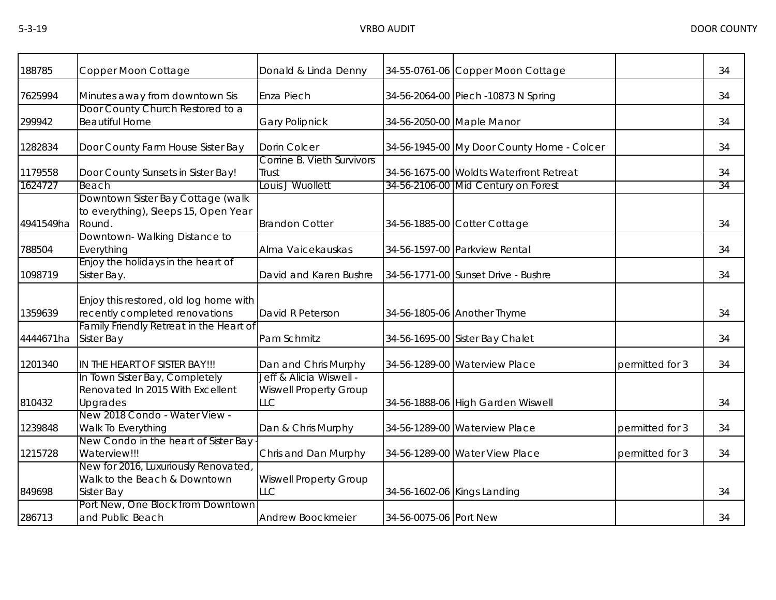| 188785    | Copper Moon Cottage                                                                 | Donald & Linda Denny                                            |                           | 34-55-0761-06 Copper Moon Cottage          |                 | 34 |
|-----------|-------------------------------------------------------------------------------------|-----------------------------------------------------------------|---------------------------|--------------------------------------------|-----------------|----|
| 7625994   | Minutes away from downtown Sis                                                      | Enza Piech                                                      |                           | 34-56-2064-00 Piech -10873 N Spring        |                 | 34 |
| 299942    | Door County Church Restored to a<br><b>Beautiful Home</b>                           | <b>Gary Polipnick</b>                                           | 34-56-2050-00 Maple Manor |                                            |                 | 34 |
| 1282834   | Door County Farm House Sister Bay                                                   | <b>Dorin Colcer</b>                                             |                           | 34-56-1945-00 My Door County Home - Colcer |                 | 34 |
| 1179558   | Door County Sunsets in Sister Bay!                                                  | Corrine B. Vieth Survivors<br>Trust                             |                           | 34-56-1675-00 Woldts Waterfront Retreat    |                 | 34 |
| 1624727   | Beach                                                                               | Louis J Wuollett                                                |                           | 34-56-2106-00 Mid Century on Forest        |                 | 34 |
| 4941549ha | Downtown Sister Bay Cottage (walk<br>to everything), Sleeps 15, Open Year<br>Round. | <b>Brandon Cotter</b>                                           |                           | 34-56-1885-00 Cotter Cottage               |                 | 34 |
| 788504    | Downtown-Walking Distance to<br>Everything                                          | Alma Vaicekauskas                                               |                           | 34-56-1597-00 Parkview Rental              |                 | 34 |
| 1098719   | Enjoy the holidays in the heart of<br>Sister Bay.                                   | David and Karen Bushre                                          |                           | 34-56-1771-00 Sunset Drive - Bushre        |                 | 34 |
| 1359639   | Enjoy this restored, old log home with<br>recently completed renovations            | David R Peterson                                                |                           | 34-56-1805-06 Another Thyme                |                 | 34 |
| 4444671ha | Family Friendly Retreat in the Heart of<br><b>Sister Bay</b>                        | Pam Schmitz                                                     |                           | 34-56-1695-00 Sister Bay Chalet            |                 | 34 |
| 1201340   | IN THE HEART OF SISTER BAY!!!                                                       | Dan and Chris Murphy                                            |                           | 34-56-1289-00 Waterview Place              | permitted for 3 | 34 |
| 810432    | In Town Sister Bay, Completely<br>Renovated In 2015 With Excellent<br>Upgrades      | Jeff & Alicia Wiswell -<br><b>Wiswell Property Group</b><br>LLC |                           | 34-56-1888-06 High Garden Wiswell          |                 | 34 |
| 1239848   | New 2018 Condo - Water View -<br>Walk To Everything                                 | Dan & Chris Murphy                                              |                           | 34-56-1289-00 Waterview Place              | permitted for 3 | 34 |
| 1215728   | New Condo in the heart of Sister Bay<br>Waterview!!!                                | Chris and Dan Murphy                                            |                           | 34-56-1289-00 Water View Place             | permitted for 3 | 34 |
| 849698    | New for 2016, Luxuriously Renovated<br>Walk to the Beach & Downtown<br>Sister Bay   | <b>Wiswell Property Group</b><br><b>LLC</b>                     |                           | 34-56-1602-06 Kings Landing                |                 | 34 |
| 286713    | Port New, One Block from Downtown<br>and Public Beach                               | Andrew Boockmeier                                               | 34-56-0075-06 Port New    |                                            |                 | 34 |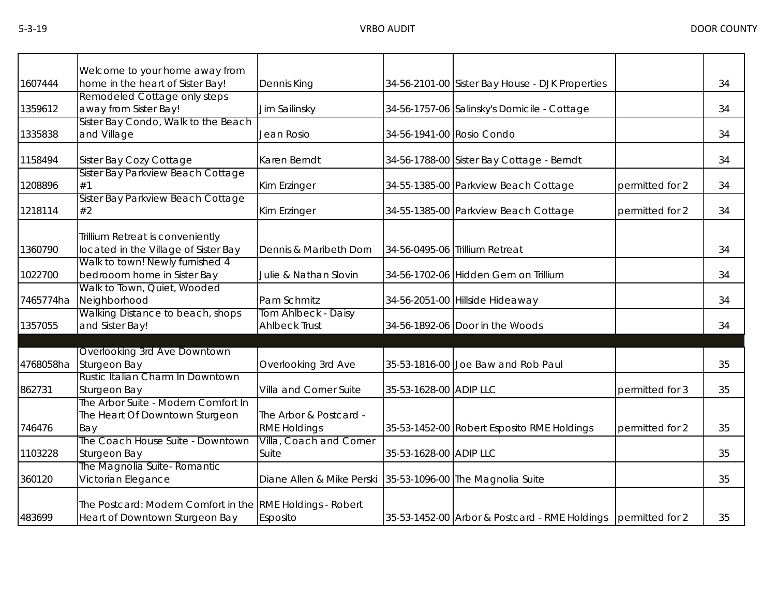|           | Welcome to your home away from                                                              |                                               |                           |                                                               |                 |    |
|-----------|---------------------------------------------------------------------------------------------|-----------------------------------------------|---------------------------|---------------------------------------------------------------|-----------------|----|
| 1607444   | home in the heart of Sister Bay!                                                            | Dennis King                                   |                           | 34-56-2101-00 Sister Bay House - DJK Properties               |                 | 34 |
| 1359612   | Remodeled Cottage only steps<br>away from Sister Bay!                                       | Jim Sailinsky                                 |                           | 34-56-1757-06 Salinsky's Domicile - Cottage                   |                 | 34 |
| 1335838   | Sister Bay Condo, Walk to the Beach<br>and Village                                          | Jean Rosio                                    | 34-56-1941-00 Rosio Condo |                                                               |                 | 34 |
| 1158494   | Sister Bay Cozy Cottage                                                                     | Karen Berndt                                  |                           | 34-56-1788-00 Sister Bay Cottage - Berndt                     |                 | 34 |
| 1208896   | Sister Bay Parkview Beach Cottage<br>#1                                                     | Kim Erzinger                                  |                           | 34-55-1385-00 Parkview Beach Cottage                          | permitted for 2 | 34 |
| 1218114   | Sister Bay Parkview Beach Cottage<br>#2                                                     | Kim Erzinger                                  |                           | 34-55-1385-00 Parkview Beach Cottage                          | permitted for 2 | 34 |
| 1360790   | Trillium Retreat is conveniently<br>located in the Village of Sister Bay                    | Dennis & Maribeth Dorn                        |                           | 34-56-0495-06 Trillium Retreat                                |                 | 34 |
| 1022700   | Walk to town! Newly furnished 4<br>bedrooom home in Sister Bay                              | Julie & Nathan Slovin                         |                           | 34-56-1702-06 Hidden Gem on Trillium                          |                 | 34 |
| 7465774ha | Walk to Town, Quiet, Wooded<br>Neighborhood                                                 | Pam Schmitz                                   |                           | 34-56-2051-00 Hillside Hideaway                               |                 | 34 |
| 1357055   | Walking Distance to beach, shops<br>and Sister Bay!                                         | Tom Ahlbeck - Daisy<br><b>Ahlbeck Trust</b>   |                           | 34-56-1892-06 Door in the Woods                               |                 | 34 |
| 4768058ha | Overlooking 3rd Ave Downtown<br>Sturgeon Bay                                                | Overlooking 3rd Ave                           |                           | 35-53-1816-00 Joe Baw and Rob Paul                            |                 | 35 |
| 862731    | Rustic Italian Charm In Downtown<br>Sturgeon Bay                                            | Villa and Corner Suite                        | 35-53-1628-00 ADIP LLC    |                                                               | permitted for 3 | 35 |
| 746476    | The Arbor Suite - Modern Comfort In<br>The Heart Of Downtown Sturgeon<br>Bay                | The Arbor & Postcard -<br><b>RME Holdings</b> |                           | 35-53-1452-00 Robert Esposito RME Holdings                    | permitted for 2 | 35 |
| 1103228   | The Coach House Suite - Downtown<br>Sturgeon Bay                                            | Villa, Coach and Corner<br>Suite              | 35-53-1628-00 ADIP LLC    |                                                               |                 | 35 |
| 360120    | The Magnolia Suite- Romantic<br>Victorian Elegance                                          | Diane Allen & Mike Perski                     |                           | 35-53-1096-00 The Magnolia Suite                              |                 | 35 |
| 483699    | The Postcard: Modern Comfort in the RME Holdings - Robert<br>Heart of Downtown Sturgeon Bay | Esposito                                      |                           | 35-53-1452-00 Arbor & Postcard - RME Holdings permitted for 2 |                 | 35 |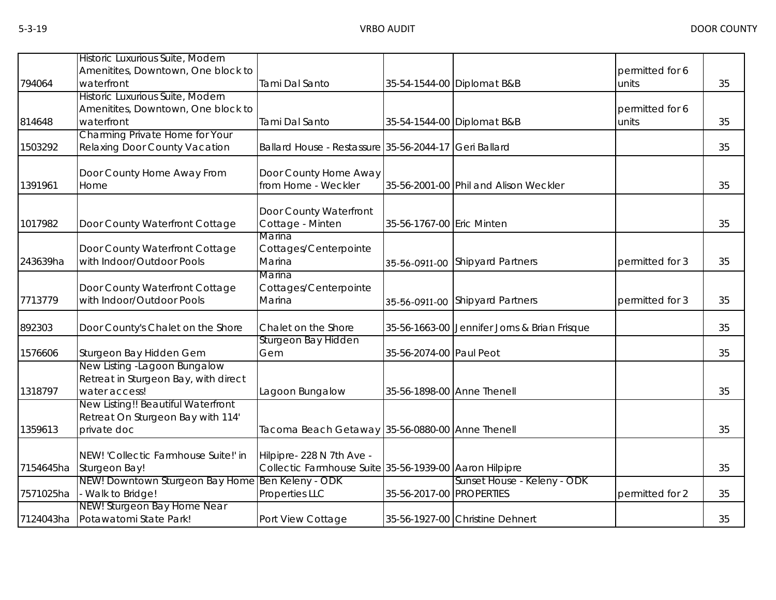|           | Historic Luxurious Suite, Modern<br>Amenitites, Downtown, One block to                 |                                                                                     |                            |                                              | permitted for 6          |    |
|-----------|----------------------------------------------------------------------------------------|-------------------------------------------------------------------------------------|----------------------------|----------------------------------------------|--------------------------|----|
| 794064    | waterfront                                                                             | Tami Dal Santo                                                                      |                            | 35-54-1544-00 Diplomat B&B                   | units                    | 35 |
| 814648    | Historic Luxurious Suite, Modern<br>Amenitites, Downtown, One block to<br>waterfront   | Tami Dal Santo                                                                      |                            | 35-54-1544-00 Diplomat B&B                   | permitted for 6<br>units | 35 |
| 1503292   | Charming Private Home for Your<br>Relaxing Door County Vacation                        | Ballard House - Restassure 35-56-2044-17 Geri Ballard                               |                            |                                              |                          | 35 |
| 1391961   | Door County Home Away From<br>Home                                                     | Door County Home Away<br>from Home - Weckler                                        |                            | 35-56-2001-00 Phil and Alison Weckler        |                          | 35 |
| 1017982   | Door County Waterfront Cottage                                                         | Door County Waterfront<br>Cottage - Minten<br>Marina                                | 35-56-1767-00 Eric Minten  |                                              |                          | 35 |
| 243639ha  | Door County Waterfront Cottage<br>with Indoor/Outdoor Pools                            | Cottages/Centerpointe<br>Marina                                                     | 35-56-0911-00              | <b>Shipyard Partners</b>                     | permitted for 3          | 35 |
| 7713779   | Door County Waterfront Cottage<br>with Indoor/Outdoor Pools                            | Marina<br>Cottages/Centerpointe<br>Marina                                           | 35-56-0911-00              | <b>Shipyard Partners</b>                     | permitted for 3          | 35 |
| 892303    | Door County's Chalet on the Shore                                                      | Chalet on the Shore                                                                 |                            | 35-56-1663-00 Jennifer Jorns & Brian Frisque |                          | 35 |
| 1576606   | Sturgeon Bay Hidden Gem                                                                | Sturgeon Bay Hidden<br>Gem                                                          | 35-56-2074-00 Paul Peot    |                                              |                          | 35 |
| 1318797   | New Listing -Lagoon Bungalow<br>Retreat in Sturgeon Bay, with direct<br>water access!  | Lagoon Bungalow                                                                     | 35-56-1898-00 Anne Thenell |                                              |                          | 35 |
| 1359613   | New Listing!! Beautiful Waterfront<br>Retreat On Sturgeon Bay with 114'<br>private doc | Tacoma Beach Getaway 35-56-0880-00 Anne Thenell                                     |                            |                                              |                          | 35 |
| 7154645ha | NEW! 'Collectic Farmhouse Suite!' in<br>Sturgeon Bay!                                  | Hilpipre- 228 N 7th Ave -<br>Collectic Farmhouse Suite 35-56-1939-00 Aaron Hilpipre |                            |                                              |                          | 35 |
| 7571025ha | NEW! Downtown Sturgeon Bay Home Ben Keleny - ODK<br>- Walk to Bridge!                  | Properties LLC                                                                      | 35-56-2017-00 PROPERTIES   | Sunset House - Keleny - ODK                  | permitted for 2          | 35 |
| 7124043ha | NEW! Sturgeon Bay Home Near<br>Potawatomi State Park!                                  | Port View Cottage                                                                   |                            | 35-56-1927-00 Christine Dehnert              |                          | 35 |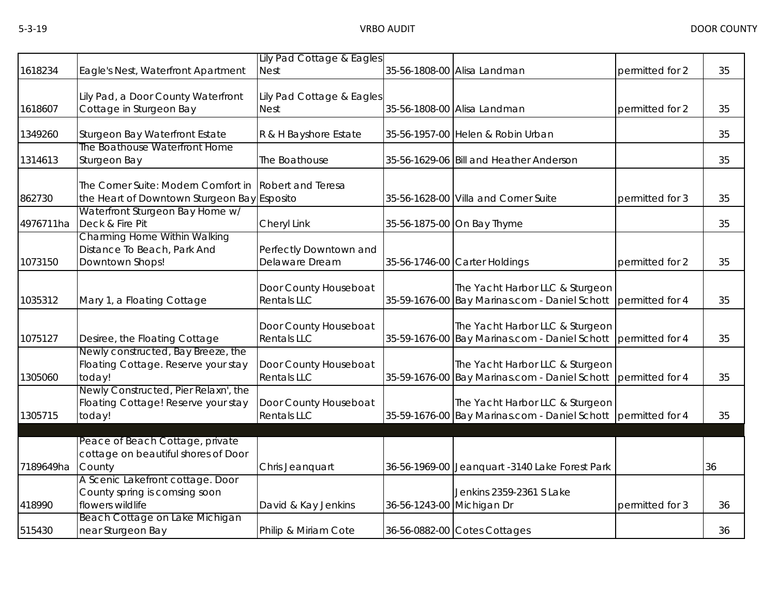|           |                                                                                       | Lily Pad Cottage & Eagles                   |                           |                                                                                                  |                 |    |
|-----------|---------------------------------------------------------------------------------------|---------------------------------------------|---------------------------|--------------------------------------------------------------------------------------------------|-----------------|----|
| 1618234   | Eagle's Nest, Waterfront Apartment                                                    | <b>Nest</b>                                 |                           | 35-56-1808-00 Alisa Landman                                                                      | permitted for 2 | 35 |
| 1618607   | Lily Pad, a Door County Waterfront<br>Cottage in Sturgeon Bay                         | Lily Pad Cottage & Eagles<br><b>Nest</b>    |                           | 35-56-1808-00 Alisa Landman                                                                      | permitted for 2 | 35 |
| 1349260   | Sturgeon Bay Waterfront Estate                                                        | R & H Bayshore Estate                       |                           | 35-56-1957-00 Helen & Robin Urban                                                                |                 | 35 |
| 1314613   | The Boathouse Waterfront Home<br>Sturgeon Bay                                         | The Boathouse                               |                           | 35-56-1629-06 Bill and Heather Anderson                                                          |                 | 35 |
| 862730    | The Corner Suite: Modern Comfort in<br>the Heart of Downtown Sturgeon Bay Esposito    | <b>Robert and Teresa</b>                    |                           | 35-56-1628-00 Villa and Corner Suite                                                             | permitted for 3 | 35 |
| 4976711ha | Waterfront Sturgeon Bay Home w/<br>Deck & Fire Pit                                    | Cheryl Link                                 |                           | 35-56-1875-00 On Bay Thyme                                                                       |                 | 35 |
| 1073150   | Charming Home Within Walking<br>Distance To Beach, Park And<br>Downtown Shops!        | Perfectly Downtown and<br>Delaware Dream    |                           | 35-56-1746-00 Carter Holdings                                                                    | permitted for 2 | 35 |
| 1035312   | Mary 1, a Floating Cottage                                                            | Door County Houseboat<br>Rentals LLC        |                           | The Yacht Harbor LLC & Sturgeon<br>35-59-1676-00 Bay Marinas.com - Daniel Schott                 | permitted for 4 | 35 |
| 1075127   | Desiree, the Floating Cottage                                                         | Door County Houseboat<br><b>Rentals LLC</b> |                           | The Yacht Harbor LLC & Sturgeon<br>35-59-1676-00 Bay Marinas.com - Daniel Schott                 | permitted for 4 | 35 |
| 1305060   | Newly constructed, Bay Breeze, the<br>Floating Cottage. Reserve your stay<br>today!   | Door County Houseboat<br><b>Rentals LLC</b> |                           | The Yacht Harbor LLC & Sturgeon<br>35-59-1676-00 Bay Marinas.com - Daniel Schott                 | permitted for 4 | 35 |
| 1305715   | Newly Constructed, Pier Relaxn', the<br>Floating Cottage! Reserve your stay<br>today! | Door County Houseboat<br>Rentals LLC        |                           | The Yacht Harbor LLC & Sturgeon<br>35-59-1676-00 Bay Marinas.com - Daniel Schott permitted for 4 |                 | 35 |
| 7189649ha | Peace of Beach Cottage, private<br>cottage on beautiful shores of Door<br>County      | Chris Jeanquart                             |                           | 36-56-1969-00 Jeanquart -3140 Lake Forest Park                                                   |                 | 36 |
| 418990    | A Scenic Lakefront cottage. Door<br>County spring is comsing soon<br>flowers wildlife | David & Kay Jenkins                         | 36-56-1243-00 Michigan Dr | Jenkins 2359-2361 S Lake                                                                         | permitted for 3 | 36 |
| 515430    | Beach Cottage on Lake Michigan<br>near Sturgeon Bay                                   | Philip & Miriam Cote                        |                           | 36-56-0882-00 Cotes Cottages                                                                     |                 | 36 |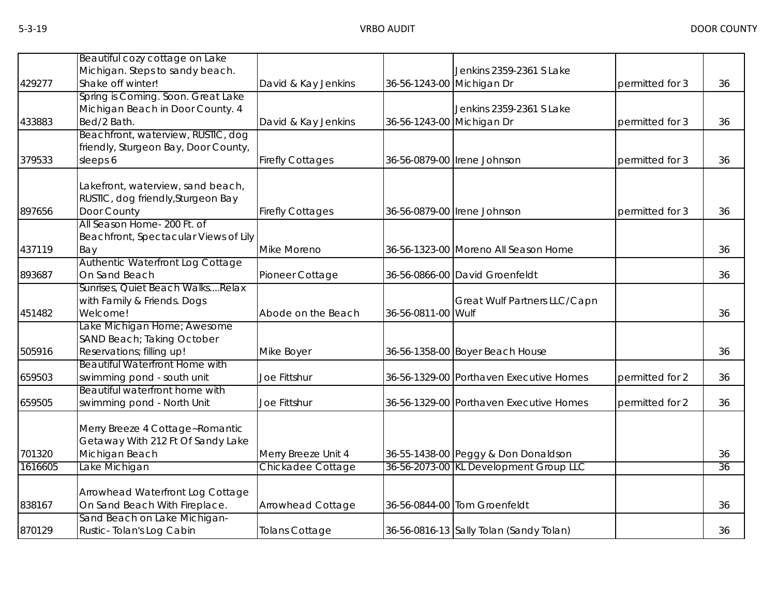|         | Beautiful cozy cottage on Lake                                          |                         |                           |                                         |                 |    |
|---------|-------------------------------------------------------------------------|-------------------------|---------------------------|-----------------------------------------|-----------------|----|
| 429277  | Michigan. Steps to sandy beach.<br>Shake off winter!                    | David & Kay Jenkins     | 36-56-1243-00 Michigan Dr | Jenkins 2359-2361 S Lake                | permitted for 3 | 36 |
|         | Spring is Coming. Soon. Great Lake                                      |                         |                           |                                         |                 |    |
|         | Michigan Beach in Door County. 4<br>Bed/2 Bath.                         |                         |                           | Jenkins 2359-2361 S Lake                |                 |    |
| 433883  | Beachfront, waterview, RUSTIC, dog                                      | David & Kay Jenkins     | 36-56-1243-00 Michigan Dr |                                         | permitted for 3 | 36 |
|         | friendly, Sturgeon Bay, Door County,                                    |                         |                           |                                         |                 |    |
| 379533  | sleeps 6                                                                | <b>Firefly Cottages</b> |                           | 36-56-0879-00 Irene Johnson             | permitted for 3 | 36 |
|         | Lakefront, waterview, sand beach,<br>RUSTIC, dog friendly, Sturgeon Bay |                         |                           |                                         |                 |    |
| 897656  | Door County                                                             | <b>Firefly Cottages</b> |                           | 36-56-0879-00 Irene Johnson             | permitted for 3 | 36 |
|         | All Season Home- 200 Ft. of<br>Beachfront, Spectacular Views of Lily    |                         |                           |                                         |                 |    |
| 437119  | Bay                                                                     | Mike Moreno             |                           | 36-56-1323-00 Moreno All Season Home    |                 | 36 |
|         | Authentic Waterfront Log Cottage                                        |                         |                           |                                         |                 |    |
| 893687  | On Sand Beach                                                           | Pioneer Cottage         |                           | 36-56-0866-00 David Groenfeldt          |                 | 36 |
|         | Sunrises, Quiet Beach WalksRelax                                        |                         |                           |                                         |                 |    |
| 451482  | with Family & Friends. Dogs<br>Welcome!                                 | Abode on the Beach      | 36-56-0811-00 Wulf        | Great Wulf Partners LLC/Capn            |                 | 36 |
|         | Lake Michigan Home; Awesome                                             |                         |                           |                                         |                 |    |
|         | SAND Beach; Taking October                                              |                         |                           |                                         |                 |    |
| 505916  | Reservations; filling up!                                               | Mike Boyer              |                           | 36-56-1358-00 Boyer Beach House         |                 | 36 |
|         | <b>Beautiful Waterfront Home with</b>                                   |                         |                           |                                         |                 |    |
| 659503  | swimming pond - south unit                                              | Joe Fittshur            |                           | 36-56-1329-00 Porthaven Executive Homes | permitted for 2 | 36 |
| 659505  | Beautiful waterfront home with<br>swimming pond - North Unit            | Joe Fittshur            |                           | 36-56-1329-00 Porthaven Executive Homes | permitted for 2 | 36 |
|         |                                                                         |                         |                           |                                         |                 |    |
|         | Merry Breeze 4 Cottage~Romantic                                         |                         |                           |                                         |                 |    |
|         | Getaway With 212 Ft Of Sandy Lake                                       |                         |                           |                                         |                 |    |
| 701320  | Michigan Beach                                                          | Merry Breeze Unit 4     |                           | 36-55-1438-00 Peggy & Don Donaldson     |                 | 36 |
| 1616605 | Lake Michigan                                                           | Chickadee Cottage       |                           | 36-56-2073-00 KL Development Group LLC  |                 | 36 |
|         |                                                                         |                         |                           |                                         |                 |    |
| 838167  | Arrowhead Waterfront Log Cottage<br>On Sand Beach With Fireplace.       | Arrowhead Cottage       |                           | 36-56-0844-00 Tom Groenfeldt            |                 | 36 |
|         | Sand Beach on Lake Michigan-                                            |                         |                           |                                         |                 |    |
| 870129  | Rustic-Tolan's Log Cabin                                                | <b>Tolans Cottage</b>   |                           | 36-56-0816-13 Sally Tolan (Sandy Tolan) |                 | 36 |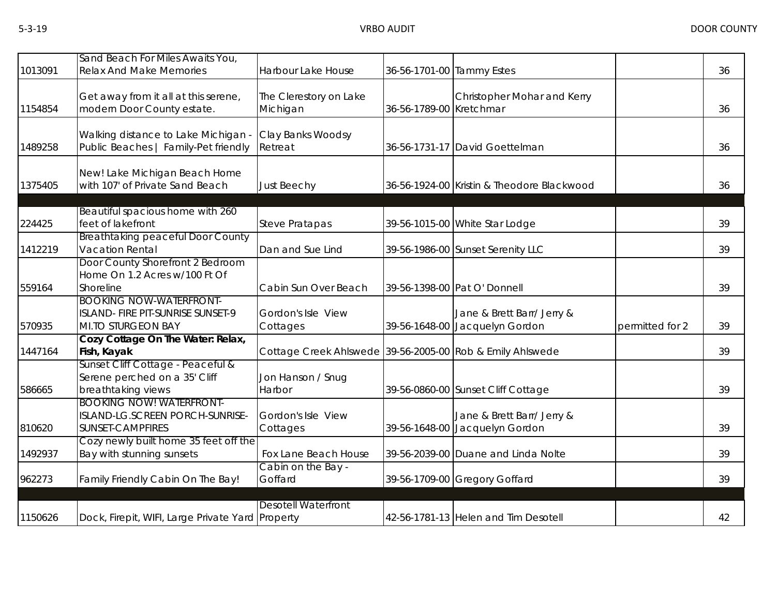| 1013091 | Sand Beach For Miles Awaits You,<br><b>Relax And Make Memories</b>                        | Harbour Lake House                                        | 36-56-1701-00 Tammy Estes |                                                              |                 | 36 |
|---------|-------------------------------------------------------------------------------------------|-----------------------------------------------------------|---------------------------|--------------------------------------------------------------|-----------------|----|
| 1154854 | Get away from it all at this serene,<br>modern Door County estate.                        | The Clerestory on Lake<br>Michigan                        | 36-56-1789-00 Kretchmar   | Christopher Mohar and Kerry                                  |                 | 36 |
| 1489258 | Walking distance to Lake Michigan -<br>Public Beaches   Family-Pet friendly               | Clay Banks Woodsy<br>Retreat                              |                           | 36-56-1731-17 David Goettelman                               |                 | 36 |
| 1375405 | New! Lake Michigan Beach Home<br>with 107' of Private Sand Beach                          | <b>Just Beechy</b>                                        |                           | 36-56-1924-00 Kristin & Theodore Blackwood                   |                 | 36 |
| 224425  | Beautiful spacious home with 260<br>feet of lakefront                                     | <b>Steve Pratapas</b>                                     |                           | 39-56-1015-00 White Star Lodge                               |                 | 39 |
| 1412219 | <b>Breathtaking peaceful Door County</b><br>Vacation Rental                               | Dan and Sue Lind                                          |                           | 39-56-1986-00 Sunset Serenity LLC                            |                 | 39 |
| 559164  | Door County Shorefront 2 Bedroom<br>Home On 1.2 Acres w/100 Ft Of<br>Shoreline            | Cabin Sun Over Beach                                      |                           | 39-56-1398-00 Pat O' Donnell                                 |                 | 39 |
| 570935  | <b>BOOKING NOW-WATERFRONT-</b><br>ISLAND- FIRE PIT-SUNRISE SUNSET-9<br>MI.TO STURGEON BAY | Gordon's Isle View<br>Cottages                            |                           | Jane & Brett Barr/ Jerry &<br>39-56-1648-00 Jacquelyn Gordon | permitted for 2 | 39 |
| 1447164 | Cozy Cottage On The Water: Relax,<br>Fish, Kayak                                          | Cottage Creek Ahlswede 39-56-2005-00 Rob & Emily Ahlswede |                           |                                                              |                 | 39 |
| 586665  | Sunset Cliff Cottage - Peaceful &<br>Serene perched on a 35' Cliff<br>breathtaking views  | Jon Hanson / Snug<br>Harbor                               |                           | 39-56-0860-00 Sunset Cliff Cottage                           |                 | 39 |
| 810620  | <b>BOOKING NOW! WATERFRONT-</b><br>ISLAND-LG.SCREEN PORCH-SUNRISE-<br>SUNSET-CAMPFIRES    | Gordon's Isle View<br>Cottages                            |                           | Jane & Brett Barr/ Jerry &<br>39-56-1648-00 Jacquelyn Gordon |                 | 39 |
| 1492937 | Cozy newly built home 35 feet off the<br>Bay with stunning sunsets                        | Fox Lane Beach House                                      |                           | 39-56-2039-00 Duane and Linda Nolte                          |                 | 39 |
| 962273  | Family Friendly Cabin On The Bay!                                                         | Cabin on the Bay -<br>Goffard                             |                           | 39-56-1709-00 Gregory Goffard                                |                 | 39 |
| 1150626 | Dock, Firepit, WIFI, Large Private Yard Property                                          | <b>Desotell Waterfront</b>                                |                           | 42-56-1781-13 Helen and Tim Desotell                         |                 | 42 |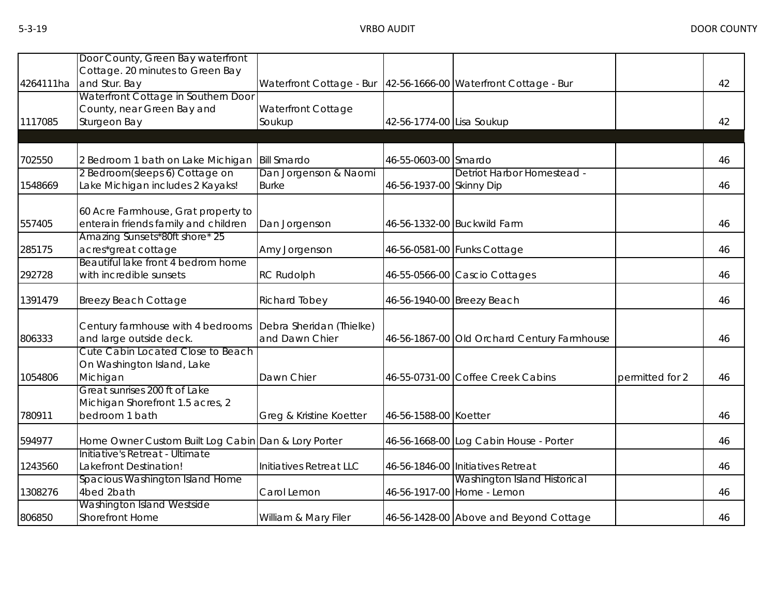|           | Door County, Green Bay waterfront                   |                          |                           |                                             |                 |    |
|-----------|-----------------------------------------------------|--------------------------|---------------------------|---------------------------------------------|-----------------|----|
|           | Cottage. 20 minutes to Green Bay                    |                          |                           |                                             |                 |    |
| 4264111ha | and Stur. Bay                                       | Waterfront Cottage - Bur |                           | 42-56-1666-00 Waterfront Cottage - Bur      |                 | 42 |
|           | Waterfront Cottage in Southern Door                 |                          |                           |                                             |                 |    |
|           | County, near Green Bay and                          | Waterfront Cottage       |                           |                                             |                 |    |
| 1117085   | Sturgeon Bay                                        | Soukup                   | 42-56-1774-00 Lisa Soukup |                                             |                 | 42 |
|           |                                                     |                          |                           |                                             |                 |    |
| 702550    | 2 Bedroom 1 bath on Lake Michigan                   | <b>Bill Smardo</b>       | 46-55-0603-00 Smardo      |                                             |                 | 46 |
|           | 2 Bedroom(sleeps 6) Cottage on                      | Dan Jorgenson & Naomi    |                           | Detriot Harbor Homestead -                  |                 |    |
| 1548669   | Lake Michigan includes 2 Kayaks!                    | <b>Burke</b>             | 46-56-1937-00 Skinny Dip  |                                             |                 | 46 |
|           |                                                     |                          |                           |                                             |                 |    |
|           | 60 Acre Farmhouse, Grat property to                 |                          |                           |                                             |                 |    |
| 557405    | enterain friends family and children                | Dan Jorgenson            |                           | 46-56-1332-00 Buckwild Farm                 |                 | 46 |
|           | Amazing Sunsets*80ft shore* 25                      |                          |                           |                                             |                 |    |
| 285175    | acres*great cottage                                 | Amy Jorgenson            |                           | 46-56-0581-00 Funks Cottage                 |                 | 46 |
|           | Beautiful lake front 4 bedrom home                  |                          |                           |                                             |                 |    |
| 292728    | with incredible sunsets                             | <b>RC Rudolph</b>        |                           | 46-55-0566-00 Cascio Cottages               |                 | 46 |
| 1391479   | <b>Breezy Beach Cottage</b>                         | Richard Tobey            |                           | 46-56-1940-00 Breezy Beach                  |                 | 46 |
|           | Century farmhouse with 4 bedrooms                   | Debra Sheridan (Thielke) |                           |                                             |                 |    |
| 806333    | and large outside deck.                             | and Dawn Chier           |                           | 46-56-1867-00 Old Orchard Century Farmhouse |                 | 46 |
|           | Cute Cabin Located Close to Beach                   |                          |                           |                                             |                 |    |
|           | On Washington Island, Lake                          |                          |                           |                                             |                 |    |
| 1054806   | Michigan                                            | Dawn Chier               |                           | 46-55-0731-00 Coffee Creek Cabins           | permitted for 2 | 46 |
|           | Great sunrises 200 ft of Lake                       |                          |                           |                                             |                 |    |
|           | Michigan Shorefront 1.5 acres, 2                    |                          |                           |                                             |                 |    |
| 780911    | bedroom 1 bath                                      | Greg & Kristine Koetter  | 46-56-1588-00 Koetter     |                                             |                 | 46 |
| 594977    | Home Owner Custom Built Log Cabin Dan & Lory Porter |                          |                           | 46-56-1668-00 Log Cabin House - Porter      |                 | 46 |
|           | Initiative's Retreat - Ultimate                     |                          |                           |                                             |                 |    |
| 1243560   | Lakefront Destination!                              | Initiatives Retreat LLC  |                           | 46-56-1846-00 Initiatives Retreat           |                 | 46 |
|           | Spacious Washington Island Home                     |                          |                           | Washington Island Historical                |                 |    |
| 1308276   | 4bed 2bath                                          | Carol Lemon              |                           | 46-56-1917-00 Home - Lemon                  |                 | 46 |
|           | Washington Island Westside                          |                          |                           |                                             |                 |    |
| 806850    | <b>Shorefront Home</b>                              | William & Mary Filer     |                           | 46-56-1428-00 Above and Beyond Cottage      |                 | 46 |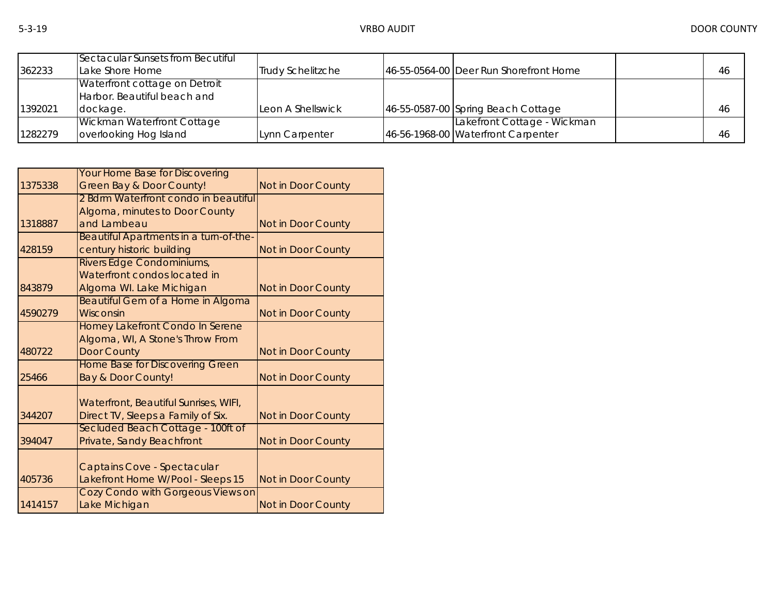| 362233  | Sectacular Sunsets from Becutiful<br>Lake Shore Home | <b>Trudy Schelitzche</b> | 46-55-0564-00 Deer Run Shorefront Home | 46 |
|---------|------------------------------------------------------|--------------------------|----------------------------------------|----|
|         | Waterfront cottage on Detroit                        |                          |                                        |    |
|         | Harbor. Beautiful beach and                          |                          |                                        |    |
| 1392021 | dockage.                                             | Leon A Shellswick        | 46-55-0587-00 Spring Beach Cottage     | 46 |
|         | <b>Wickman Waterfront Cottage</b>                    |                          | Lakefront Cottage - Wickman            |    |
| 1282279 | overlooking Hog Island                               | Lynn Carpenter           | 46-56-1968-00 Waterfront Carpenter     | 46 |

|         | <b>Your Home Base for Discovering</b>    |                    |
|---------|------------------------------------------|--------------------|
| 1375338 | <b>Green Bay &amp; Door County!</b>      | Not in Door County |
|         | 2 Bdrm Waterfront condo in beautiful     |                    |
|         | Algoma, minutes to Door County           |                    |
| 1318887 | and Lambeau                              | Not in Door County |
|         | Beautiful Apartments in a turn-of-the-   |                    |
| 428159  | century historic building                | Not in Door County |
|         | Rivers Edge Condominiums,                |                    |
|         | Waterfront condos located in             |                    |
| 843879  | Algoma WI. Lake Michigan                 | Not in Door County |
|         | <b>Beautiful Gem of a Home in Algoma</b> |                    |
| 4590279 | Wisconsin                                | Not in Door County |
|         | Homey Lakefront Condo In Serene          |                    |
|         | Algoma, WI, A Stone's Throw From         |                    |
| 480722  | <b>Door County</b>                       | Not in Door County |
|         | <b>Home Base for Discovering Green</b>   |                    |
| 25466   | <b>Bay &amp; Door County!</b>            | Not in Door County |
|         |                                          |                    |
|         | Waterfront, Beautiful Sunrises, WIFI,    |                    |
| 344207  | Direct TV, Sleeps a Family of Six.       | Not in Door County |
|         | Secluded Beach Cottage - 100ft of        |                    |
| 394047  | Private, Sandy Beachfront                | Not in Door County |
|         |                                          |                    |
|         | Captains Cove - Spectacular              |                    |
| 405736  | Lakefront Home W/Pool - Sleeps 15        | Not in Door County |
|         | Cozy Condo with Gorgeous Views on        |                    |
| 1414157 | Lake Michigan                            | Not in Door County |